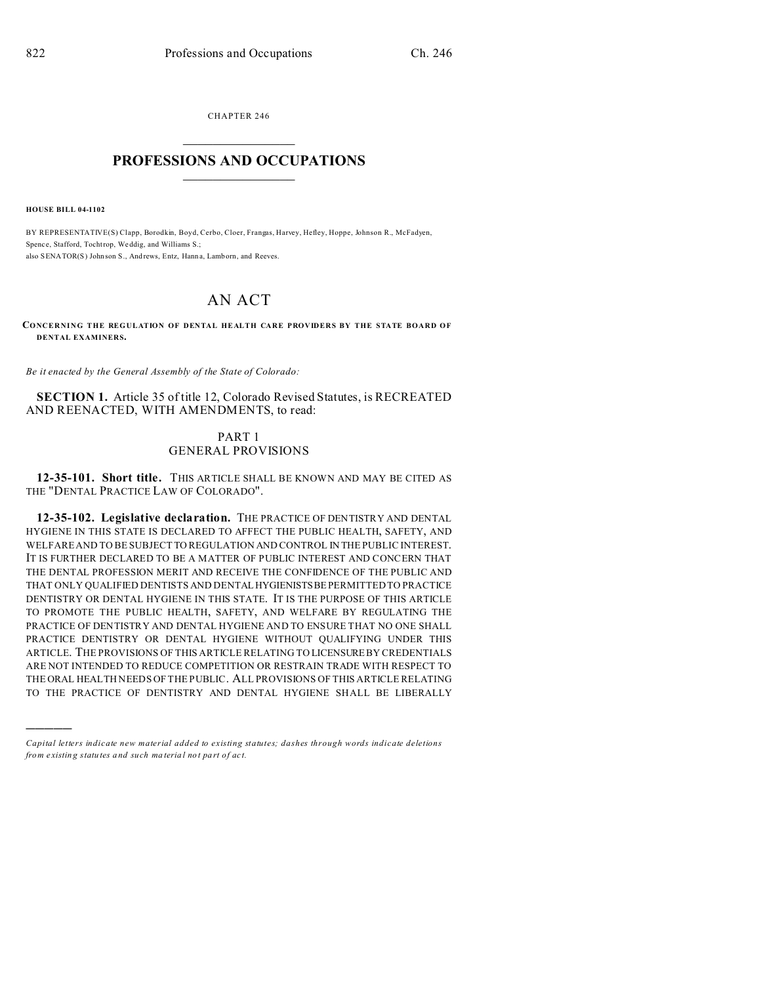CHAPTER 246  $\overline{\phantom{a}}$  , where  $\overline{\phantom{a}}$ 

# **PROFESSIONS AND OCCUPATIONS**  $\frac{1}{2}$  ,  $\frac{1}{2}$  ,  $\frac{1}{2}$  ,  $\frac{1}{2}$  ,  $\frac{1}{2}$  ,  $\frac{1}{2}$

**HOUSE BILL 04-1102**

)))))

BY REPRESENTATIVE(S) Clapp, Borodkin, Boyd, Cerbo, Cloer, Frangas, Harvey, Hefley, Hoppe, Johnson R., McFadyen, Spenc e, Stafford, Tochtrop, Weddig, and Williams S.; also SENATOR(S) John son S., And rews, Entz, Hann a, Lamborn, and Reeves.

# AN ACT

**CONCERNING THE REGULATION OF DENTAL HEALTH CARE PROVIDERS BY THE STATE BOARD OF DENTAL EXAMINERS.**

*Be it enacted by the General Assembly of the State of Colorado:*

**SECTION 1.** Article 35 of title 12, Colorado Revised Statutes, is RECREATED AND REENACTED, WITH AMENDMENTS, to read:

# PART 1 GENERAL PROVISIONS

**12-35-101. Short title.** THIS ARTICLE SHALL BE KNOWN AND MAY BE CITED AS THE "DENTAL PRACTICE LAW OF COLORADO".

**12-35-102. Legislative declaration.** THE PRACTICE OF DENTISTRY AND DENTAL HYGIENE IN THIS STATE IS DECLARED TO AFFECT THE PUBLIC HEALTH, SAFETY, AND WELFARE AND TO BE SUBJECT TO REGULATION AND CONTROL IN THE PUBLIC INTEREST. IT IS FURTHER DECLARED TO BE A MATTER OF PUBLIC INTEREST AND CONCERN THAT THE DENTAL PROFESSION MERIT AND RECEIVE THE CONFIDENCE OF THE PUBLIC AND THAT ONLY QUALIFIED DENTISTS AND DENTALHYGIENISTSBEPERMITTED TO PRACTICE DENTISTRY OR DENTAL HYGIENE IN THIS STATE. IT IS THE PURPOSE OF THIS ARTICLE TO PROMOTE THE PUBLIC HEALTH, SAFETY, AND WELFARE BY REGULATING THE PRACTICE OF DENTISTRY AND DENTAL HYGIENE AND TO ENSURE THAT NO ONE SHALL PRACTICE DENTISTRY OR DENTAL HYGIENE WITHOUT QUALIFYING UNDER THIS ARTICLE. THE PROVISIONS OF THIS ARTICLE RELATING TO LICENSURE BY CREDENTIALS ARE NOT INTENDED TO REDUCE COMPETITION OR RESTRAIN TRADE WITH RESPECT TO THE ORAL HEALTH NEEDS OF THE PUBLIC. ALL PROVISIONS OF THIS ARTICLE RELATING TO THE PRACTICE OF DENTISTRY AND DENTAL HYGIENE SHALL BE LIBERALLY

*Capital letters indicate new material added to existing statutes; dashes through words indicate deletions from e xistin g statu tes a nd such ma teria l no t pa rt of ac t.*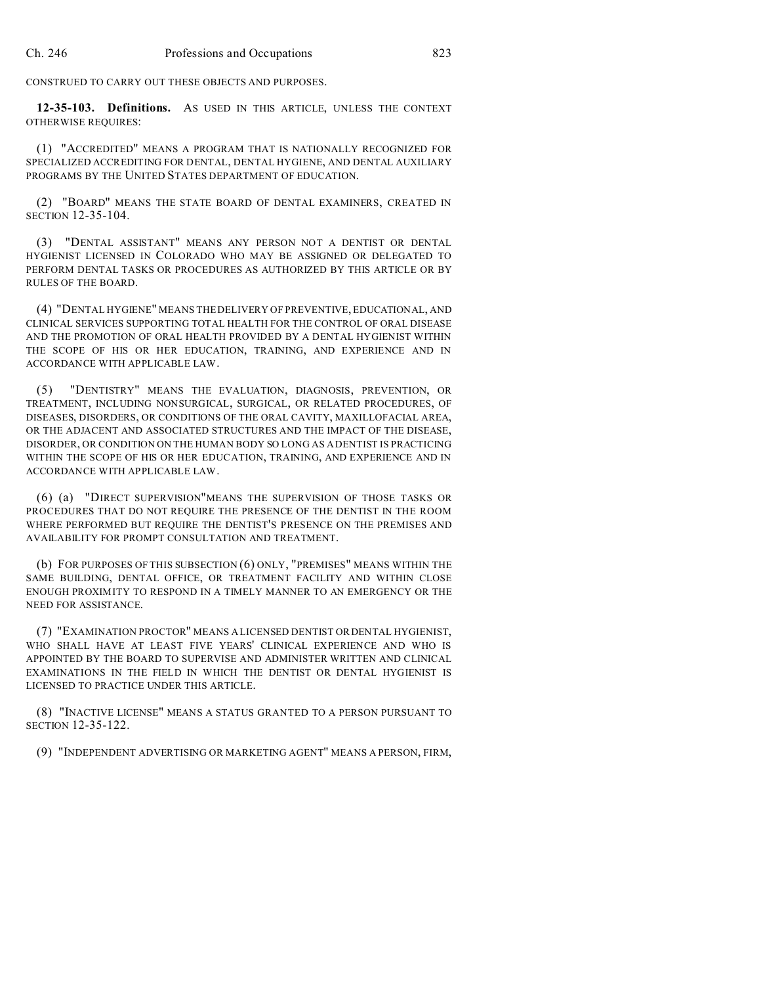CONSTRUED TO CARRY OUT THESE OBJECTS AND PURPOSES.

**12-35-103. Definitions.** AS USED IN THIS ARTICLE, UNLESS THE CONTEXT OTHERWISE REQUIRES:

(1) "ACCREDITED" MEANS A PROGRAM THAT IS NATIONALLY RECOGNIZED FOR SPECIALIZED ACCREDITING FOR DENTAL, DENTAL HYGIENE, AND DENTAL AUXILIARY PROGRAMS BY THE UNITED STATES DEPARTMENT OF EDUCATION.

(2) "BOARD" MEANS THE STATE BOARD OF DENTAL EXAMINERS, CREATED IN SECTION 12-35-104.

(3) "DENTAL ASSISTANT" MEANS ANY PERSON NOT A DENTIST OR DENTAL HYGIENIST LICENSED IN COLORADO WHO MAY BE ASSIGNED OR DELEGATED TO PERFORM DENTAL TASKS OR PROCEDURES AS AUTHORIZED BY THIS ARTICLE OR BY RULES OF THE BOARD.

(4) "DENTAL HYGIENE" MEANS THE DELIVERY OF PREVENTIVE, EDUCATIONAL, AND CLINICAL SERVICES SUPPORTING TOTAL HEALTH FOR THE CONTROL OF ORAL DISEASE AND THE PROMOTION OF ORAL HEALTH PROVIDED BY A DENTAL HYGIENIST WITHIN THE SCOPE OF HIS OR HER EDUCATION, TRAINING, AND EXPERIENCE AND IN ACCORDANCE WITH APPLICABLE LAW.

(5) "DENTISTRY" MEANS THE EVALUATION, DIAGNOSIS, PREVENTION, OR TREATMENT, INCLUDING NONSURGICAL, SURGICAL, OR RELATED PROCEDURES, OF DISEASES, DISORDERS, OR CONDITIONS OF THE ORAL CAVITY, MAXILLOFACIAL AREA, OR THE ADJACENT AND ASSOCIATED STRUCTURES AND THE IMPACT OF THE DISEASE, DISORDER, OR CONDITION ON THE HUMAN BODY SO LONG AS A DENTIST IS PRACTICING WITHIN THE SCOPE OF HIS OR HER EDUCATION, TRAINING, AND EXPERIENCE AND IN ACCORDANCE WITH APPLICABLE LAW.

(6) (a) "DIRECT SUPERVISION"MEANS THE SUPERVISION OF THOSE TASKS OR PROCEDURES THAT DO NOT REQUIRE THE PRESENCE OF THE DENTIST IN THE ROOM WHERE PERFORMED BUT REQUIRE THE DENTIST'S PRESENCE ON THE PREMISES AND AVAILABILITY FOR PROMPT CONSULTATION AND TREATMENT.

(b) FOR PURPOSES OF THIS SUBSECTION (6) ONLY, "PREMISES" MEANS WITHIN THE SAME BUILDING, DENTAL OFFICE, OR TREATMENT FACILITY AND WITHIN CLOSE ENOUGH PROXIMITY TO RESPOND IN A TIMELY MANNER TO AN EMERGENCY OR THE NEED FOR ASSISTANCE.

(7) "EXAMINATION PROCTOR" MEANS A LICENSED DENTIST OR DENTAL HYGIENIST, WHO SHALL HAVE AT LEAST FIVE YEARS' CLINICAL EXPERIENCE AND WHO IS APPOINTED BY THE BOARD TO SUPERVISE AND ADMINISTER WRITTEN AND CLINICAL EXAMINATIONS IN THE FIELD IN WHICH THE DENTIST OR DENTAL HYGIENIST IS LICENSED TO PRACTICE UNDER THIS ARTICLE.

(8) "INACTIVE LICENSE" MEANS A STATUS GRANTED TO A PERSON PURSUANT TO SECTION 12-35-122.

(9) "INDEPENDENT ADVERTISING OR MARKETING AGENT" MEANS A PERSON, FIRM,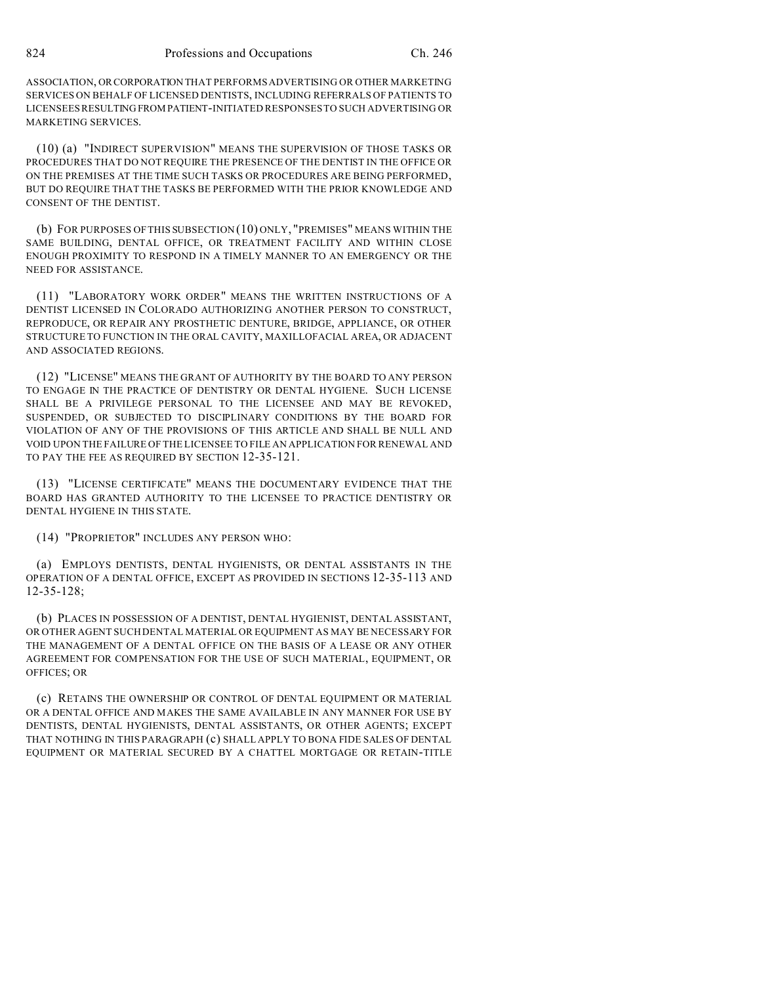ASSOCIATION, ORCORPORATION THAT PERFORMS ADVERTISING OR OTHER MARKETING SERVICES ON BEHALF OF LICENSED DENTISTS, INCLUDING REFERRALS OF PATIENTS TO LICENSEES RESULTING FROMPATIENT-INITIATED RESPONSES TO SUCH ADVERTISING OR MARKETING SERVICES.

(10) (a) "INDIRECT SUPERVISION" MEANS THE SUPERVISION OF THOSE TASKS OR PROCEDURES THAT DO NOT REQUIRE THE PRESENCE OF THE DENTIST IN THE OFFICE OR ON THE PREMISES AT THE TIME SUCH TASKS OR PROCEDURES ARE BEING PERFORMED, BUT DO REQUIRE THAT THE TASKS BE PERFORMED WITH THE PRIOR KNOWLEDGE AND CONSENT OF THE DENTIST.

(b) FOR PURPOSES OF THIS SUBSECTION (10) ONLY, "PREMISES" MEANS WITHIN THE SAME BUILDING, DENTAL OFFICE, OR TREATMENT FACILITY AND WITHIN CLOSE ENOUGH PROXIMITY TO RESPOND IN A TIMELY MANNER TO AN EMERGENCY OR THE NEED FOR ASSISTANCE.

(11) "LABORATORY WORK ORDER" MEANS THE WRITTEN INSTRUCTIONS OF A DENTIST LICENSED IN COLORADO AUTHORIZING ANOTHER PERSON TO CONSTRUCT, REPRODUCE, OR REPAIR ANY PROSTHETIC DENTURE, BRIDGE, APPLIANCE, OR OTHER STRUCTURE TO FUNCTION IN THE ORAL CAVITY, MAXILLOFACIAL AREA, OR ADJACENT AND ASSOCIATED REGIONS.

(12) "LICENSE" MEANS THE GRANT OF AUTHORITY BY THE BOARD TO ANY PERSON TO ENGAGE IN THE PRACTICE OF DENTISTRY OR DENTAL HYGIENE. SUCH LICENSE SHALL BE A PRIVILEGE PERSONAL TO THE LICENSEE AND MAY BE REVOKED, SUSPENDED, OR SUBJECTED TO DISCIPLINARY CONDITIONS BY THE BOARD FOR VIOLATION OF ANY OF THE PROVISIONS OF THIS ARTICLE AND SHALL BE NULL AND VOID UPON THE FAILURE OF THE LICENSEE TO FILE AN APPLICATION FOR RENEWAL AND TO PAY THE FEE AS REQUIRED BY SECTION 12-35-121.

(13) "LICENSE CERTIFICATE" MEANS THE DOCUMENTARY EVIDENCE THAT THE BOARD HAS GRANTED AUTHORITY TO THE LICENSEE TO PRACTICE DENTISTRY OR DENTAL HYGIENE IN THIS STATE.

(14) "PROPRIETOR" INCLUDES ANY PERSON WHO:

(a) EMPLOYS DENTISTS, DENTAL HYGIENISTS, OR DENTAL ASSISTANTS IN THE OPERATION OF A DENTAL OFFICE, EXCEPT AS PROVIDED IN SECTIONS 12-35-113 AND 12-35-128;

(b) PLACES IN POSSESSION OF A DENTIST, DENTAL HYGIENIST, DENTAL ASSISTANT, OR OTHER AGENT SUCH DENTAL MATERIAL OR EQUIPMENT AS MAY BE NECESSARY FOR THE MANAGEMENT OF A DENTAL OFFICE ON THE BASIS OF A LEASE OR ANY OTHER AGREEMENT FOR COMPENSATION FOR THE USE OF SUCH MATERIAL, EQUIPMENT, OR OFFICES; OR

(c) RETAINS THE OWNERSHIP OR CONTROL OF DENTAL EQUIPMENT OR MATERIAL OR A DENTAL OFFICE AND MAKES THE SAME AVAILABLE IN ANY MANNER FOR USE BY DENTISTS, DENTAL HYGIENISTS, DENTAL ASSISTANTS, OR OTHER AGENTS; EXCEPT THAT NOTHING IN THIS PARAGRAPH (c) SHALL APPLY TO BONA FIDE SALES OF DENTAL EQUIPMENT OR MATERIAL SECURED BY A CHATTEL MORTGAGE OR RETAIN-TITLE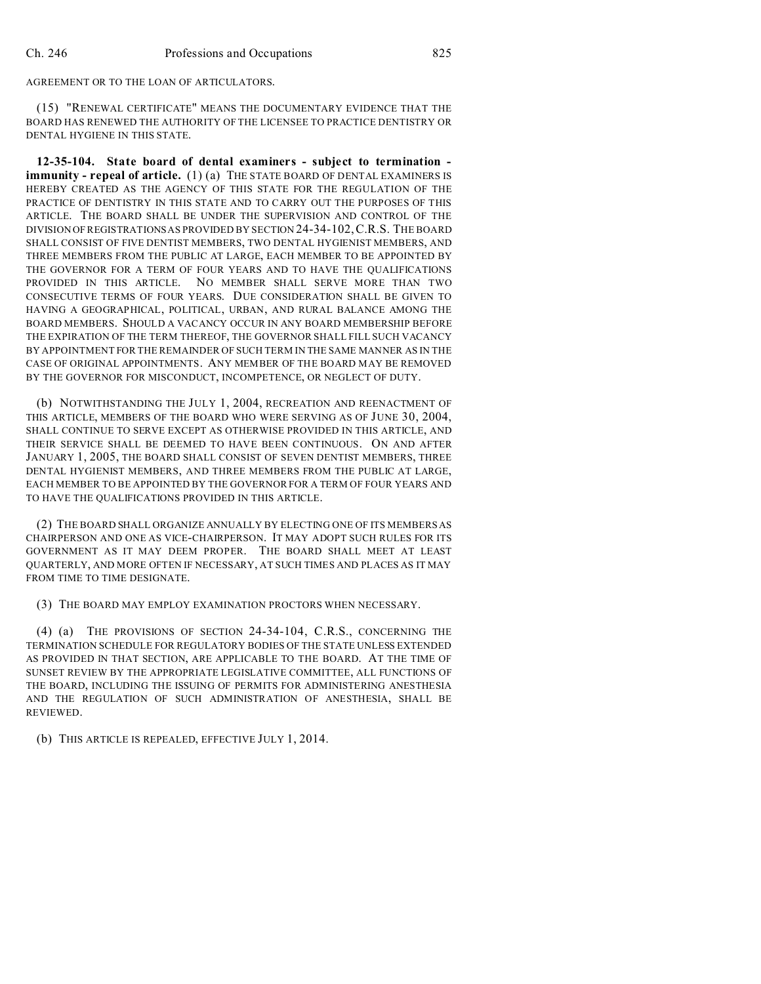AGREEMENT OR TO THE LOAN OF ARTICULATORS.

(15) "RENEWAL CERTIFICATE" MEANS THE DOCUMENTARY EVIDENCE THAT THE BOARD HAS RENEWED THE AUTHORITY OF THE LICENSEE TO PRACTICE DENTISTRY OR DENTAL HYGIENE IN THIS STATE.

**12-35-104. State board of dental examiners - subject to termination immunity - repeal of article.** (1) (a) THE STATE BOARD OF DENTAL EXAMINERS IS HEREBY CREATED AS THE AGENCY OF THIS STATE FOR THE REGULATION OF THE PRACTICE OF DENTISTRY IN THIS STATE AND TO CARRY OUT THE PURPOSES OF THIS ARTICLE. THE BOARD SHALL BE UNDER THE SUPERVISION AND CONTROL OF THE DIVISION OF REGISTRATIONS AS PROVIDED BY SECTION 24-34-102,C.R.S. THE BOARD SHALL CONSIST OF FIVE DENTIST MEMBERS, TWO DENTAL HYGIENIST MEMBERS, AND THREE MEMBERS FROM THE PUBLIC AT LARGE, EACH MEMBER TO BE APPOINTED BY THE GOVERNOR FOR A TERM OF FOUR YEARS AND TO HAVE THE QUALIFICATIONS PROVIDED IN THIS ARTICLE. NO MEMBER SHALL SERVE MORE THAN TWO CONSECUTIVE TERMS OF FOUR YEARS. DUE CONSIDERATION SHALL BE GIVEN TO HAVING A GEOGRAPHICAL, POLITICAL, URBAN, AND RURAL BALANCE AMONG THE BOARD MEMBERS. SHOULD A VACANCY OCCUR IN ANY BOARD MEMBERSHIP BEFORE THE EXPIRATION OF THE TERM THEREOF, THE GOVERNOR SHALL FILL SUCH VACANCY BY APPOINTMENT FOR THE REMAINDER OF SUCH TERM IN THE SAME MANNER AS IN THE CASE OF ORIGINAL APPOINTMENTS. ANY MEMBER OF THE BOARD MAY BE REMOVED BY THE GOVERNOR FOR MISCONDUCT, INCOMPETENCE, OR NEGLECT OF DUTY.

(b) NOTWITHSTANDING THE JULY 1, 2004, RECREATION AND REENACTMENT OF THIS ARTICLE, MEMBERS OF THE BOARD WHO WERE SERVING AS OF JUNE 30, 2004, SHALL CONTINUE TO SERVE EXCEPT AS OTHERWISE PROVIDED IN THIS ARTICLE, AND THEIR SERVICE SHALL BE DEEMED TO HAVE BEEN CONTINUOUS. ON AND AFTER JANUARY 1, 2005, THE BOARD SHALL CONSIST OF SEVEN DENTIST MEMBERS, THREE DENTAL HYGIENIST MEMBERS, AND THREE MEMBERS FROM THE PUBLIC AT LARGE, EACH MEMBER TO BE APPOINTED BY THE GOVERNOR FOR A TERM OF FOUR YEARS AND TO HAVE THE QUALIFICATIONS PROVIDED IN THIS ARTICLE.

(2) THE BOARD SHALL ORGANIZE ANNUALLY BY ELECTING ONE OF ITS MEMBERS AS CHAIRPERSON AND ONE AS VICE-CHAIRPERSON. IT MAY ADOPT SUCH RULES FOR ITS GOVERNMENT AS IT MAY DEEM PROPER. THE BOARD SHALL MEET AT LEAST QUARTERLY, AND MORE OFTEN IF NECESSARY, AT SUCH TIMES AND PLACES AS IT MAY FROM TIME TO TIME DESIGNATE.

(3) THE BOARD MAY EMPLOY EXAMINATION PROCTORS WHEN NECESSARY.

(4) (a) THE PROVISIONS OF SECTION 24-34-104, C.R.S., CONCERNING THE TERMINATION SCHEDULE FOR REGULATORY BODIES OF THE STATE UNLESS EXTENDED AS PROVIDED IN THAT SECTION, ARE APPLICABLE TO THE BOARD. AT THE TIME OF SUNSET REVIEW BY THE APPROPRIATE LEGISLATIVE COMMITTEE, ALL FUNCTIONS OF THE BOARD, INCLUDING THE ISSUING OF PERMITS FOR ADMINISTERING ANESTHESIA AND THE REGULATION OF SUCH ADMINISTRATION OF ANESTHESIA, SHALL BE REVIEWED.

(b) THIS ARTICLE IS REPEALED, EFFECTIVE JULY 1, 2014.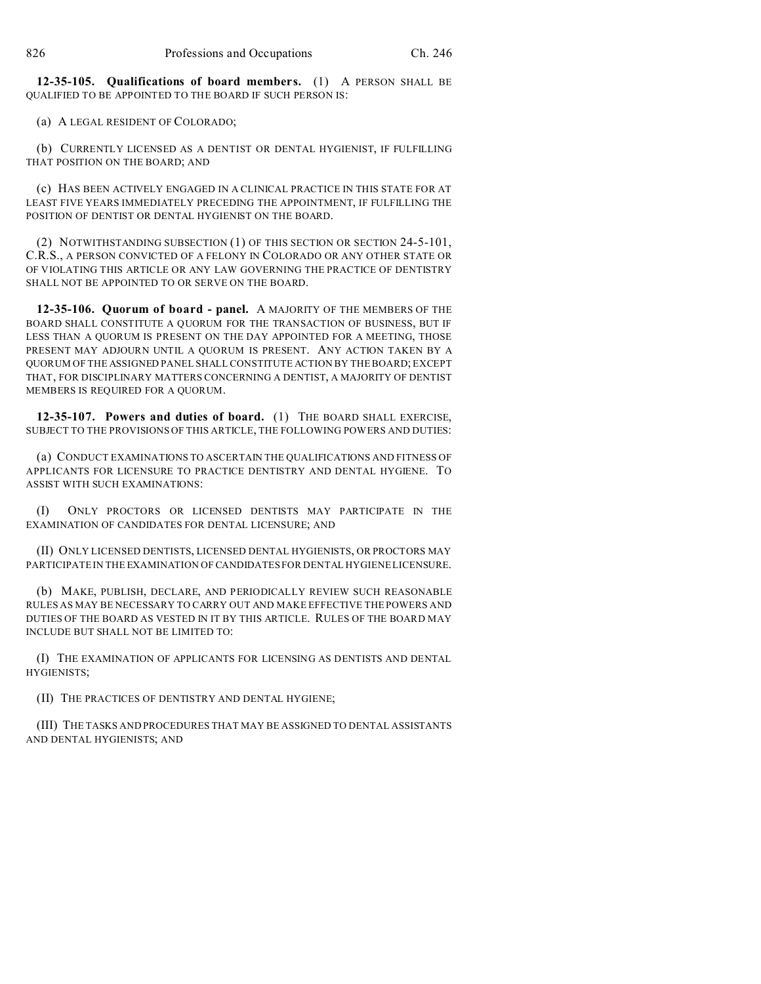**12-35-105. Qualifications of board members.** (1) A PERSON SHALL BE QUALIFIED TO BE APPOINTED TO THE BOARD IF SUCH PERSON IS:

(a) A LEGAL RESIDENT OF COLORADO;

(b) CURRENTLY LICENSED AS A DENTIST OR DENTAL HYGIENIST, IF FULFILLING THAT POSITION ON THE BOARD; AND

(c) HAS BEEN ACTIVELY ENGAGED IN A CLINICAL PRACTICE IN THIS STATE FOR AT LEAST FIVE YEARS IMMEDIATELY PRECEDING THE APPOINTMENT, IF FULFILLING THE POSITION OF DENTIST OR DENTAL HYGIENIST ON THE BOARD.

(2) NOTWITHSTANDING SUBSECTION (1) OF THIS SECTION OR SECTION 24-5-101, C.R.S., A PERSON CONVICTED OF A FELONY IN COLORADO OR ANY OTHER STATE OR OF VIOLATING THIS ARTICLE OR ANY LAW GOVERNING THE PRACTICE OF DENTISTRY SHALL NOT BE APPOINTED TO OR SERVE ON THE BOARD.

**12-35-106. Quorum of board - panel.** A MAJORITY OF THE MEMBERS OF THE BOARD SHALL CONSTITUTE A QUORUM FOR THE TRANSACTION OF BUSINESS, BUT IF LESS THAN A QUORUM IS PRESENT ON THE DAY APPOINTED FOR A MEETING, THOSE PRESENT MAY ADJOURN UNTIL A QUORUM IS PRESENT. ANY ACTION TAKEN BY A QUORUM OF THE ASSIGNED PANEL SHALL CONSTITUTE ACTION BY THE BOARD; EXCEPT THAT, FOR DISCIPLINARY MATTERS CONCERNING A DENTIST, A MAJORITY OF DENTIST MEMBERS IS REQUIRED FOR A QUORUM.

**12-35-107. Powers and duties of board.** (1) THE BOARD SHALL EXERCISE, SUBJECT TO THE PROVISIONS OF THIS ARTICLE, THE FOLLOWING POWERS AND DUTIES:

(a) CONDUCT EXAMINATIONS TO ASCERTAIN THE QUALIFICATIONS AND FITNESS OF APPLICANTS FOR LICENSURE TO PRACTICE DENTISTRY AND DENTAL HYGIENE. TO ASSIST WITH SUCH EXAMINATIONS:

(I) ONLY PROCTORS OR LICENSED DENTISTS MAY PARTICIPATE IN THE EXAMINATION OF CANDIDATES FOR DENTAL LICENSURE; AND

(II) ONLY LICENSED DENTISTS, LICENSED DENTAL HYGIENISTS, OR PROCTORS MAY PARTICIPATE IN THE EXAMINATION OF CANDIDATES FOR DENTAL HYGIENELICENSURE.

(b) MAKE, PUBLISH, DECLARE, AND PERIODICALLY REVIEW SUCH REASONABLE RULES AS MAY BE NECESSARY TO CARRY OUT AND MAKE EFFECTIVE THE POWERS AND DUTIES OF THE BOARD AS VESTED IN IT BY THIS ARTICLE. RULES OF THE BOARD MAY INCLUDE BUT SHALL NOT BE LIMITED TO:

(I) THE EXAMINATION OF APPLICANTS FOR LICENSING AS DENTISTS AND DENTAL HYGIENISTS;

(II) THE PRACTICES OF DENTISTRY AND DENTAL HYGIENE;

(III) THE TASKS AND PROCEDURES THAT MAY BE ASSIGNED TO DENTAL ASSISTANTS AND DENTAL HYGIENISTS; AND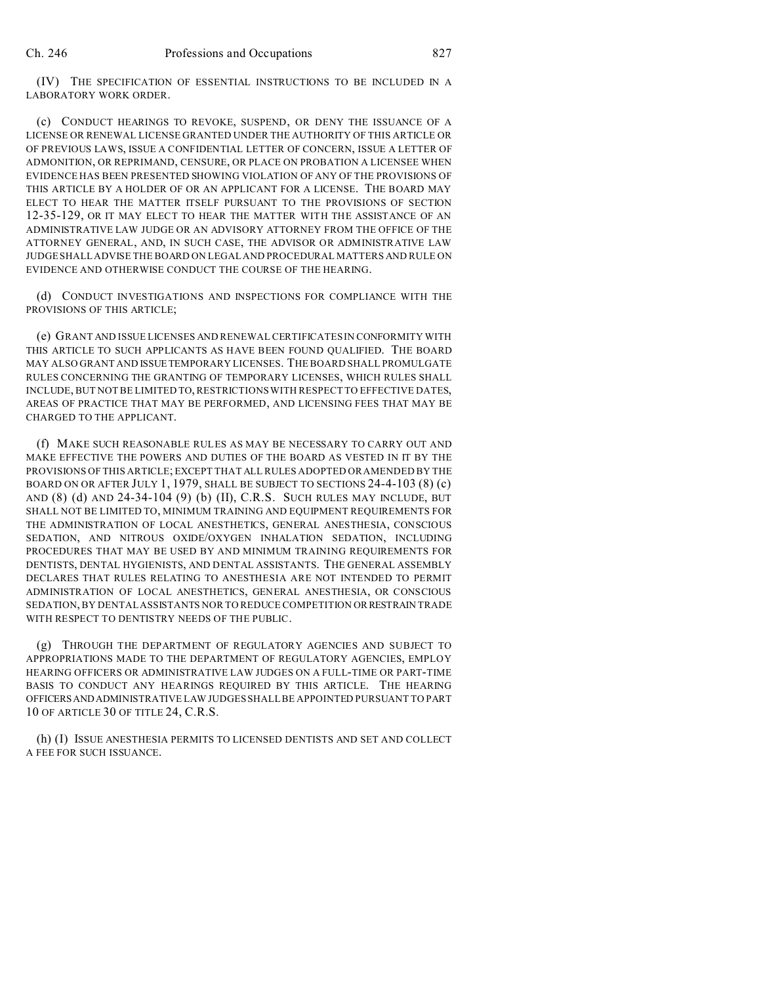(IV) THE SPECIFICATION OF ESSENTIAL INSTRUCTIONS TO BE INCLUDED IN A LABORATORY WORK ORDER.

(c) CONDUCT HEARINGS TO REVOKE, SUSPEND, OR DENY THE ISSUANCE OF A LICENSE OR RENEWAL LICENSE GRANTED UNDER THE AUTHORITY OF THIS ARTICLE OR OF PREVIOUS LAWS, ISSUE A CONFIDENTIAL LETTER OF CONCERN, ISSUE A LETTER OF ADMONITION, OR REPRIMAND, CENSURE, OR PLACE ON PROBATION A LICENSEE WHEN EVIDENCE HAS BEEN PRESENTED SHOWING VIOLATION OF ANY OF THE PROVISIONS OF THIS ARTICLE BY A HOLDER OF OR AN APPLICANT FOR A LICENSE. THE BOARD MAY ELECT TO HEAR THE MATTER ITSELF PURSUANT TO THE PROVISIONS OF SECTION 12-35-129, OR IT MAY ELECT TO HEAR THE MATTER WITH THE ASSISTANCE OF AN ADMINISTRATIVE LAW JUDGE OR AN ADVISORY ATTORNEY FROM THE OFFICE OF THE ATTORNEY GENERAL, AND, IN SUCH CASE, THE ADVISOR OR ADMINISTRATIVE LAW JUDGE SHALL ADVISE THE BOARD ON LEGAL AND PROCEDURAL MATTERS AND RULE ON EVIDENCE AND OTHERWISE CONDUCT THE COURSE OF THE HEARING.

(d) CONDUCT INVESTIGATIONS AND INSPECTIONS FOR COMPLIANCE WITH THE PROVISIONS OF THIS ARTICLE;

(e) GRANT AND ISSUE LICENSES AND RENEWAL CERTIFICATES IN CONFORMITY WITH THIS ARTICLE TO SUCH APPLICANTS AS HAVE BEEN FOUND QUALIFIED. THE BOARD MAY ALSO GRANT AND ISSUETEMPORARY LICENSES. THE BOARD SHALL PROMULGATE RULES CONCERNING THE GRANTING OF TEMPORARY LICENSES, WHICH RULES SHALL INCLUDE, BUT NOT BE LIMITED TO, RESTRICTIONS WITH RESPECT TO EFFECTIVE DATES, AREAS OF PRACTICE THAT MAY BE PERFORMED, AND LICENSING FEES THAT MAY BE CHARGED TO THE APPLICANT.

(f) MAKE SUCH REASONABLE RULES AS MAY BE NECESSARY TO CARRY OUT AND MAKE EFFECTIVE THE POWERS AND DUTIES OF THE BOARD AS VESTED IN IT BY THE PROVISIONS OF THIS ARTICLE; EXCEPT THAT ALL RULES ADOPTED OR AMENDED BY THE BOARD ON OR AFTER JULY 1, 1979, SHALL BE SUBJECT TO SECTIONS 24-4-103 (8) (c) AND (8) (d) AND 24-34-104 (9) (b) (II), C.R.S. SUCH RULES MAY INCLUDE, BUT SHALL NOT BE LIMITED TO, MINIMUM TRAINING AND EQUIPMENT REQUIREMENTS FOR THE ADMINISTRATION OF LOCAL ANESTHETICS, GENERAL ANESTHESIA, CONSCIOUS SEDATION, AND NITROUS OXIDE/OXYGEN INHALATION SEDATION, INCLUDING PROCEDURES THAT MAY BE USED BY AND MINIMUM TRAINING REQUIREMENTS FOR DENTISTS, DENTAL HYGIENISTS, AND DENTAL ASSISTANTS. THE GENERAL ASSEMBLY DECLARES THAT RULES RELATING TO ANESTHESIA ARE NOT INTENDED TO PERMIT ADMINISTRATION OF LOCAL ANESTHETICS, GENERAL ANESTHESIA, OR CONSCIOUS SEDATION, BY DENTAL ASSISTANTS NOR TO REDUCE COMPETITION ORRESTRAIN TRADE WITH RESPECT TO DENTISTRY NEEDS OF THE PUBLIC.

(g) THROUGH THE DEPARTMENT OF REGULATORY AGENCIES AND SUBJECT TO APPROPRIATIONS MADE TO THE DEPARTMENT OF REGULATORY AGENCIES, EMPLOY HEARING OFFICERS OR ADMINISTRATIVE LAW JUDGES ON A FULL-TIME OR PART-TIME BASIS TO CONDUCT ANY HEARINGS REQUIRED BY THIS ARTICLE. THE HEARING OFFICERSANDADMINISTRATIVE LAW JUDGES SHALL BE APPOINTED PURSUANT TO PART 10 OF ARTICLE 30 OF TITLE 24, C.R.S.

(h) (I) ISSUE ANESTHESIA PERMITS TO LICENSED DENTISTS AND SET AND COLLECT A FEE FOR SUCH ISSUANCE.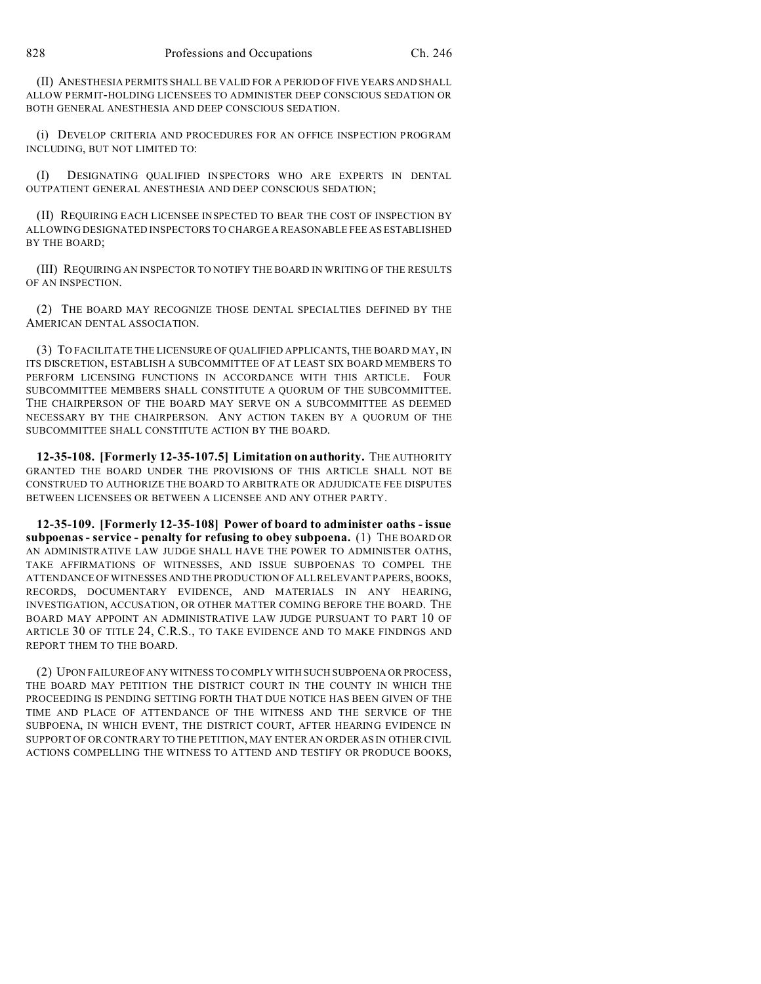(II) ANESTHESIA PERMITS SHALL BE VALID FOR A PERIOD OF FIVE YEARS AND SHALL ALLOW PERMIT-HOLDING LICENSEES TO ADMINISTER DEEP CONSCIOUS SEDATION OR BOTH GENERAL ANESTHESIA AND DEEP CONSCIOUS SEDATION.

(i) DEVELOP CRITERIA AND PROCEDURES FOR AN OFFICE INSPECTION PROGRAM INCLUDING, BUT NOT LIMITED TO:

(I) DESIGNATING QUALIFIED INSPECTORS WHO ARE EXPERTS IN DENTAL OUTPATIENT GENERAL ANESTHESIA AND DEEP CONSCIOUS SEDATION;

(II) REQUIRING EACH LICENSEE INSPECTED TO BEAR THE COST OF INSPECTION BY ALLOWING DESIGNATED INSPECTORS TO CHARGE A REASONABLE FEE AS ESTABLISHED BY THE BOARD;

(III) REQUIRING AN INSPECTOR TO NOTIFY THE BOARD IN WRITING OF THE RESULTS OF AN INSPECTION.

(2) THE BOARD MAY RECOGNIZE THOSE DENTAL SPECIALTIES DEFINED BY THE AMERICAN DENTAL ASSOCIATION.

(3) TO FACILITATE THE LICENSURE OF QUALIFIED APPLICANTS, THE BOARD MAY, IN ITS DISCRETION, ESTABLISH A SUBCOMMITTEE OF AT LEAST SIX BOARD MEMBERS TO PERFORM LICENSING FUNCTIONS IN ACCORDANCE WITH THIS ARTICLE. FOUR SUBCOMMITTEE MEMBERS SHALL CONSTITUTE A QUORUM OF THE SUBCOMMITTEE. THE CHAIRPERSON OF THE BOARD MAY SERVE ON A SUBCOMMITTEE AS DEEMED NECESSARY BY THE CHAIRPERSON. ANY ACTION TAKEN BY A QUORUM OF THE SUBCOMMITTEE SHALL CONSTITUTE ACTION BY THE BOARD.

**12-35-108. [Formerly 12-35-107.5] Limitation on authority.** THE AUTHORITY GRANTED THE BOARD UNDER THE PROVISIONS OF THIS ARTICLE SHALL NOT BE CONSTRUED TO AUTHORIZE THE BOARD TO ARBITRATE OR ADJUDICATE FEE DISPUTES BETWEEN LICENSEES OR BETWEEN A LICENSEE AND ANY OTHER PARTY.

**12-35-109. [Formerly 12-35-108] Power of board to administer oaths - issue subpoenas - service - penalty for refusing to obey subpoena.** (1) THE BOARD OR AN ADMINISTRATIVE LAW JUDGE SHALL HAVE THE POWER TO ADMINISTER OATHS, TAKE AFFIRMATIONS OF WITNESSES, AND ISSUE SUBPOENAS TO COMPEL THE ATTENDANCE OF WITNESSES AND THE PRODUCTION OF ALL RELEVANT PAPERS, BOOKS, RECORDS, DOCUMENTARY EVIDENCE, AND MATERIALS IN ANY HEARING, INVESTIGATION, ACCUSATION, OR OTHER MATTER COMING BEFORE THE BOARD. THE BOARD MAY APPOINT AN ADMINISTRATIVE LAW JUDGE PURSUANT TO PART 10 OF ARTICLE 30 OF TITLE 24, C.R.S., TO TAKE EVIDENCE AND TO MAKE FINDINGS AND REPORT THEM TO THE BOARD.

(2) UPON FAILURE OF ANY WITNESS TO COMPLY WITH SUCH SUBPOENA OR PROCESS, THE BOARD MAY PETITION THE DISTRICT COURT IN THE COUNTY IN WHICH THE PROCEEDING IS PENDING SETTING FORTH THAT DUE NOTICE HAS BEEN GIVEN OF THE TIME AND PLACE OF ATTENDANCE OF THE WITNESS AND THE SERVICE OF THE SUBPOENA, IN WHICH EVENT, THE DISTRICT COURT, AFTER HEARING EVIDENCE IN SUPPORT OF OR CONTRARY TO THE PETITION, MAY ENTER AN ORDER AS IN OTHER CIVIL ACTIONS COMPELLING THE WITNESS TO ATTEND AND TESTIFY OR PRODUCE BOOKS,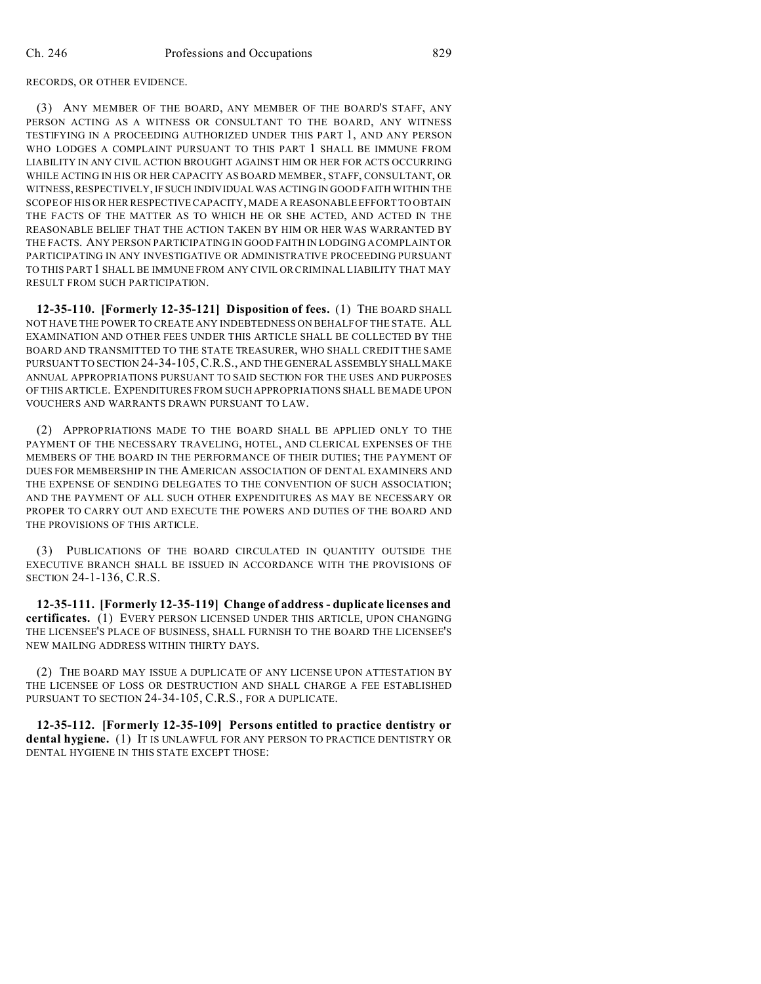RECORDS, OR OTHER EVIDENCE.

(3) ANY MEMBER OF THE BOARD, ANY MEMBER OF THE BOARD'S STAFF, ANY PERSON ACTING AS A WITNESS OR CONSULTANT TO THE BOARD, ANY WITNESS TESTIFYING IN A PROCEEDING AUTHORIZED UNDER THIS PART 1, AND ANY PERSON WHO LODGES A COMPLAINT PURSUANT TO THIS PART 1 SHALL BE IMMUNE FROM LIABILITY IN ANY CIVIL ACTION BROUGHT AGAINST HIM OR HER FOR ACTS OCCURRING WHILE ACTING IN HIS OR HER CAPACITY AS BOARD MEMBER, STAFF, CONSULTANT, OR WITNESS, RESPECTIVELY, IF SUCH INDIVIDUALWAS ACTING IN GOOD FAITH WITHIN THE SCOPE OF HIS OR HER RESPECTIVE CAPACITY, MADE A REASONABLE EFFORT TO OBTAIN THE FACTS OF THE MATTER AS TO WHICH HE OR SHE ACTED, AND ACTED IN THE REASONABLE BELIEF THAT THE ACTION TAKEN BY HIM OR HER WAS WARRANTED BY THE FACTS. ANY PERSON PARTICIPATING IN GOOD FAITH IN LODGING A COMPLAINT OR PARTICIPATING IN ANY INVESTIGATIVE OR ADMINISTRATIVE PROCEEDING PURSUANT TO THIS PART 1 SHALL BE IMMUNE FROM ANY CIVIL OR CRIMINAL LIABILITY THAT MAY RESULT FROM SUCH PARTICIPATION.

**12-35-110. [Formerly 12-35-121] Disposition of fees.** (1) THE BOARD SHALL NOT HAVE THE POWER TO CREATE ANY INDEBTEDNESS ON BEHALF OF THE STATE. ALL EXAMINATION AND OTHER FEES UNDER THIS ARTICLE SHALL BE COLLECTED BY THE BOARD AND TRANSMITTED TO THE STATE TREASURER, WHO SHALL CREDIT THE SAME PURSUANT TO SECTION 24-34-105,C.R.S., AND THE GENERAL ASSEMBLY SHALLMAKE ANNUAL APPROPRIATIONS PURSUANT TO SAID SECTION FOR THE USES AND PURPOSES OF THIS ARTICLE. EXPENDITURES FROM SUCH APPROPRIATIONS SHALL BE MADE UPON VOUCHERS AND WARRANTS DRAWN PURSUANT TO LAW.

(2) APPROPRIATIONS MADE TO THE BOARD SHALL BE APPLIED ONLY TO THE PAYMENT OF THE NECESSARY TRAVELING, HOTEL, AND CLERICAL EXPENSES OF THE MEMBERS OF THE BOARD IN THE PERFORMANCE OF THEIR DUTIES; THE PAYMENT OF DUES FOR MEMBERSHIP IN THE AMERICAN ASSOCIATION OF DENTAL EXAMINERS AND THE EXPENSE OF SENDING DELEGATES TO THE CONVENTION OF SUCH ASSOCIATION; AND THE PAYMENT OF ALL SUCH OTHER EXPENDITURES AS MAY BE NECESSARY OR PROPER TO CARRY OUT AND EXECUTE THE POWERS AND DUTIES OF THE BOARD AND THE PROVISIONS OF THIS ARTICLE.

(3) PUBLICATIONS OF THE BOARD CIRCULATED IN QUANTITY OUTSIDE THE EXECUTIVE BRANCH SHALL BE ISSUED IN ACCORDANCE WITH THE PROVISIONS OF SECTION 24-1-136, C.R.S.

**12-35-111. [Formerly 12-35-119] Change of address - duplicate licenses and certificates.** (1) EVERY PERSON LICENSED UNDER THIS ARTICLE, UPON CHANGING THE LICENSEE'S PLACE OF BUSINESS, SHALL FURNISH TO THE BOARD THE LICENSEE'S NEW MAILING ADDRESS WITHIN THIRTY DAYS.

(2) THE BOARD MAY ISSUE A DUPLICATE OF ANY LICENSE UPON ATTESTATION BY THE LICENSEE OF LOSS OR DESTRUCTION AND SHALL CHARGE A FEE ESTABLISHED PURSUANT TO SECTION 24-34-105, C.R.S., FOR A DUPLICATE.

**12-35-112. [Formerly 12-35-109] Persons entitled to practice dentistry or dental hygiene.** (1) IT IS UNLAWFUL FOR ANY PERSON TO PRACTICE DENTISTRY OR DENTAL HYGIENE IN THIS STATE EXCEPT THOSE: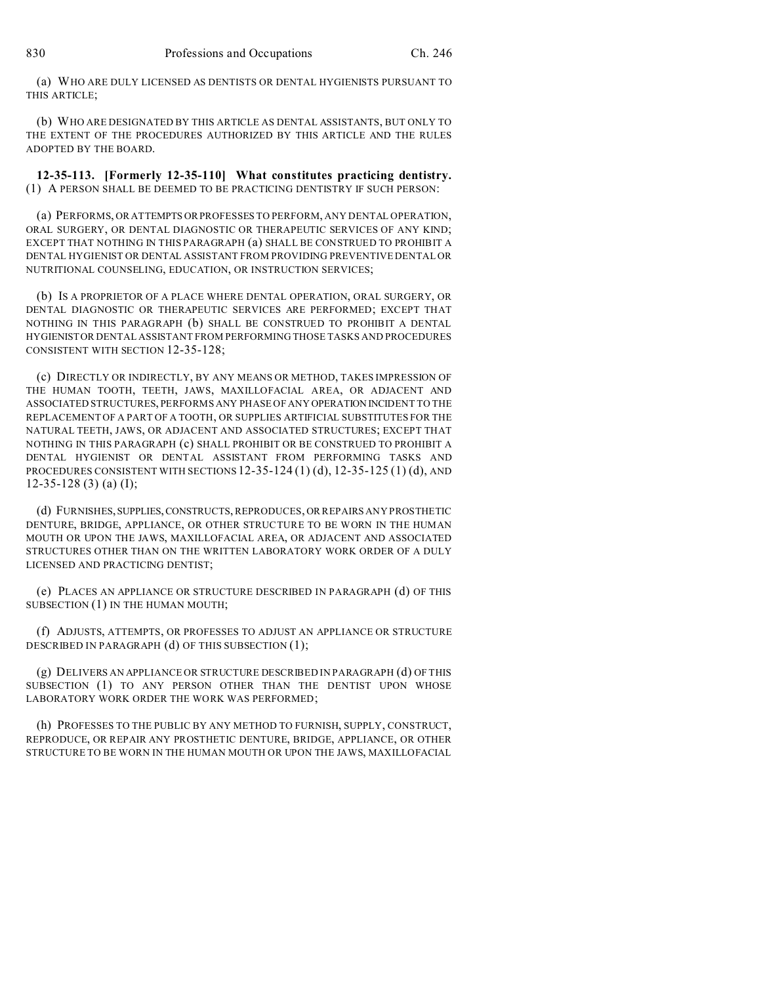(a) WHO ARE DULY LICENSED AS DENTISTS OR DENTAL HYGIENISTS PURSUANT TO THIS ARTICLE:

(b) WHO ARE DESIGNATED BY THIS ARTICLE AS DENTAL ASSISTANTS, BUT ONLY TO THE EXTENT OF THE PROCEDURES AUTHORIZED BY THIS ARTICLE AND THE RULES ADOPTED BY THE BOARD.

**12-35-113. [Formerly 12-35-110] What constitutes practicing dentistry.** (1) A PERSON SHALL BE DEEMED TO BE PRACTICING DENTISTRY IF SUCH PERSON:

(a) PERFORMS, OR ATTEMPTS ORPROFESSES TO PERFORM, ANY DENTAL OPERATION, ORAL SURGERY, OR DENTAL DIAGNOSTIC OR THERAPEUTIC SERVICES OF ANY KIND; EXCEPT THAT NOTHING IN THIS PARAGRAPH (a) SHALL BE CONSTRUED TO PROHIBIT A DENTAL HYGIENIST OR DENTAL ASSISTANT FROM PROVIDING PREVENTIVE DENTAL OR NUTRITIONAL COUNSELING, EDUCATION, OR INSTRUCTION SERVICES;

(b) IS A PROPRIETOR OF A PLACE WHERE DENTAL OPERATION, ORAL SURGERY, OR DENTAL DIAGNOSTIC OR THERAPEUTIC SERVICES ARE PERFORMED; EXCEPT THAT NOTHING IN THIS PARAGRAPH (b) SHALL BE CONSTRUED TO PROHIBIT A DENTAL HYGIENISTOR DENTAL ASSISTANT FROM PERFORMING THOSE TASKS AND PROCEDURES CONSISTENT WITH SECTION 12-35-128;

(c) DIRECTLY OR INDIRECTLY, BY ANY MEANS OR METHOD, TAKES IMPRESSION OF THE HUMAN TOOTH, TEETH, JAWS, MAXILLOFACIAL AREA, OR ADJACENT AND ASSOCIATED STRUCTURES, PERFORMS ANY PHASE OF ANY OPERATION INCIDENT TO THE REPLACEMENT OF A PART OF A TOOTH, OR SUPPLIES ARTIFICIAL SUBSTITUTES FOR THE NATURAL TEETH, JAWS, OR ADJACENT AND ASSOCIATED STRUCTURES; EXCEPT THAT NOTHING IN THIS PARAGRAPH (c) SHALL PROHIBIT OR BE CONSTRUED TO PROHIBIT A DENTAL HYGIENIST OR DENTAL ASSISTANT FROM PERFORMING TASKS AND PROCEDURES CONSISTENT WITH SECTIONS  $12-35-124 (1) (d)$ ,  $12-35-125 (1) (d)$ , AND 12-35-128 (3) (a) (I);

(d) FURNISHES, SUPPLIES,CONSTRUCTS, REPRODUCES, OR REPAIRS ANY PROSTHETIC DENTURE, BRIDGE, APPLIANCE, OR OTHER STRUCTURE TO BE WORN IN THE HUMAN MOUTH OR UPON THE JAWS, MAXILLOFACIAL AREA, OR ADJACENT AND ASSOCIATED STRUCTURES OTHER THAN ON THE WRITTEN LABORATORY WORK ORDER OF A DULY LICENSED AND PRACTICING DENTIST;

(e) PLACES AN APPLIANCE OR STRUCTURE DESCRIBED IN PARAGRAPH (d) OF THIS SUBSECTION (1) IN THE HUMAN MOUTH;

(f) ADJUSTS, ATTEMPTS, OR PROFESSES TO ADJUST AN APPLIANCE OR STRUCTURE DESCRIBED IN PARAGRAPH (d) OF THIS SUBSECTION (1);

(g) DELIVERS AN APPLIANCE OR STRUCTURE DESCRIBED IN PARAGRAPH (d) OF THIS SUBSECTION (1) TO ANY PERSON OTHER THAN THE DENTIST UPON WHOSE LABORATORY WORK ORDER THE WORK WAS PERFORMED;

(h) PROFESSES TO THE PUBLIC BY ANY METHOD TO FURNISH, SUPPLY, CONSTRUCT, REPRODUCE, OR REPAIR ANY PROSTHETIC DENTURE, BRIDGE, APPLIANCE, OR OTHER STRUCTURE TO BE WORN IN THE HUMAN MOUTH OR UPON THE JAWS, MAXILLOFACIAL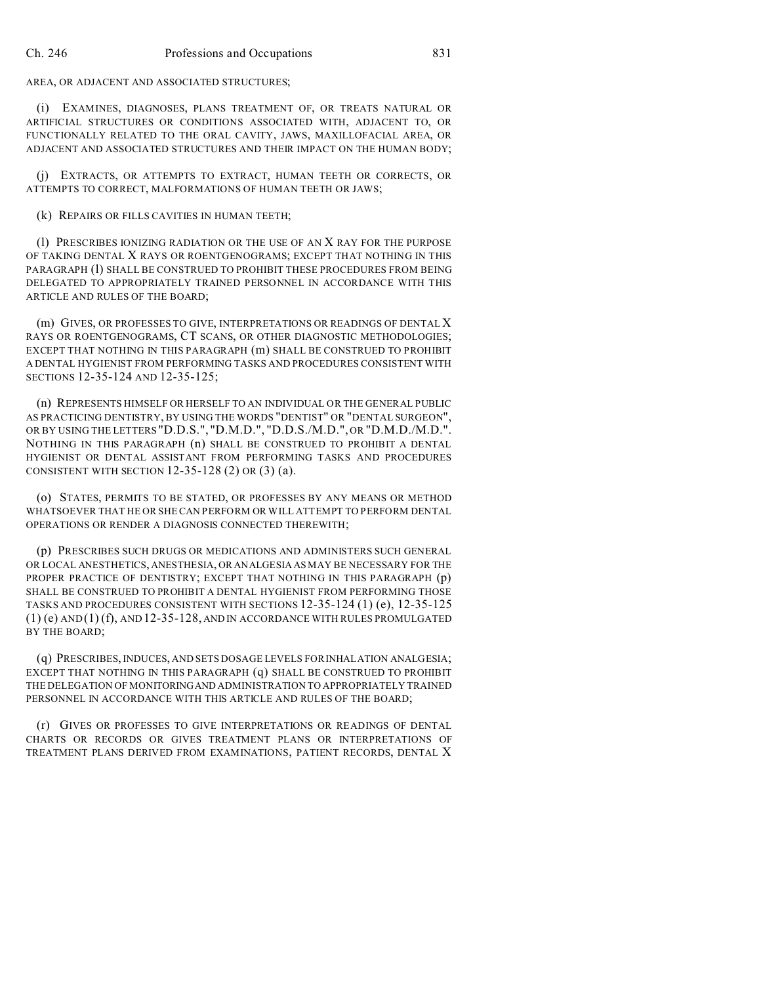AREA, OR ADJACENT AND ASSOCIATED STRUCTURES;

(i) EXAMINES, DIAGNOSES, PLANS TREATMENT OF, OR TREATS NATURAL OR ARTIFICIAL STRUCTURES OR CONDITIONS ASSOCIATED WITH, ADJACENT TO, OR FUNCTIONALLY RELATED TO THE ORAL CAVITY, JAWS, MAXILLOFACIAL AREA, OR ADJACENT AND ASSOCIATED STRUCTURES AND THEIR IMPACT ON THE HUMAN BODY;

(j) EXTRACTS, OR ATTEMPTS TO EXTRACT, HUMAN TEETH OR CORRECTS, OR ATTEMPTS TO CORRECT, MALFORMATIONS OF HUMAN TEETH OR JAWS;

(k) REPAIRS OR FILLS CAVITIES IN HUMAN TEETH;

(l) PRESCRIBES IONIZING RADIATION OR THE USE OF AN X RAY FOR THE PURPOSE OF TAKING DENTAL X RAYS OR ROENTGENOGRAMS; EXCEPT THAT NOTHING IN THIS PARAGRAPH (1) SHALL BE CONSTRUED TO PROHIBIT THESE PROCEDURES FROM BEING DELEGATED TO APPROPRIATELY TRAINED PERSONNEL IN ACCORDANCE WITH THIS ARTICLE AND RULES OF THE BOARD;

(m) GIVES, OR PROFESSES TO GIVE, INTERPRETATIONS OR READINGS OF DENTAL X RAYS OR ROENTGENOGRAMS, CT SCANS, OR OTHER DIAGNOSTIC METHODOLOGIES; EXCEPT THAT NOTHING IN THIS PARAGRAPH (m) SHALL BE CONSTRUED TO PROHIBIT A DENTAL HYGIENIST FROM PERFORMING TASKS AND PROCEDURES CONSISTENT WITH SECTIONS 12-35-124 AND 12-35-125;

(n) REPRESENTS HIMSELF OR HERSELF TO AN INDIVIDUAL OR THE GENERAL PUBLIC AS PRACTICING DENTISTRY, BY USING THE WORDS "DENTIST" OR "DENTAL SURGEON", OR BY USING THE LETTERS "D.D.S.", "D.M.D.", "D.D.S./M.D.", OR "D.M.D./M.D.". NOTHING IN THIS PARAGRAPH (n) SHALL BE CONSTRUED TO PROHIBIT A DENTAL HYGIENIST OR DENTAL ASSISTANT FROM PERFORMING TASKS AND PROCEDURES CONSISTENT WITH SECTION 12-35-128 (2) OR (3) (a).

(o) STATES, PERMITS TO BE STATED, OR PROFESSES BY ANY MEANS OR METHOD WHATSOEVER THAT HE OR SHE CAN PERFORM OR WILL ATTEMPT TO PERFORM DENTAL OPERATIONS OR RENDER A DIAGNOSIS CONNECTED THEREWITH;

(p) PRESCRIBES SUCH DRUGS OR MEDICATIONS AND ADMINISTERS SUCH GENERAL OR LOCAL ANESTHETICS, ANESTHESIA, OR ANALGESIA AS MAY BE NECESSARY FOR THE PROPER PRACTICE OF DENTISTRY; EXCEPT THAT NOTHING IN THIS PARAGRAPH (p) SHALL BE CONSTRUED TO PROHIBIT A DENTAL HYGIENIST FROM PERFORMING THOSE TASKS AND PROCEDURES CONSISTENT WITH SECTIONS 12-35-124 (1) (e), 12-35-125  $(1)$  (e) AND  $(1)$  (f), AND 12-35-128, AND IN ACCORDANCE WITH RULES PROMULGATED BY THE BOARD;

(q) PRESCRIBES, INDUCES, AND SETS DOSAGE LEVELS FOR INHALATION ANALGESIA; EXCEPT THAT NOTHING IN THIS PARAGRAPH (q) SHALL BE CONSTRUED TO PROHIBIT THE DELEGATION OF MONITORINGAND ADMINISTRATION TO APPROPRIATELY TRAINED PERSONNEL IN ACCORDANCE WITH THIS ARTICLE AND RULES OF THE BOARD;

(r) GIVES OR PROFESSES TO GIVE INTERPRETATIONS OR READINGS OF DENTAL CHARTS OR RECORDS OR GIVES TREATMENT PLANS OR INTERPRETATIONS OF TREATMENT PLANS DERIVED FROM EXAMINATIONS, PATIENT RECORDS, DENTAL X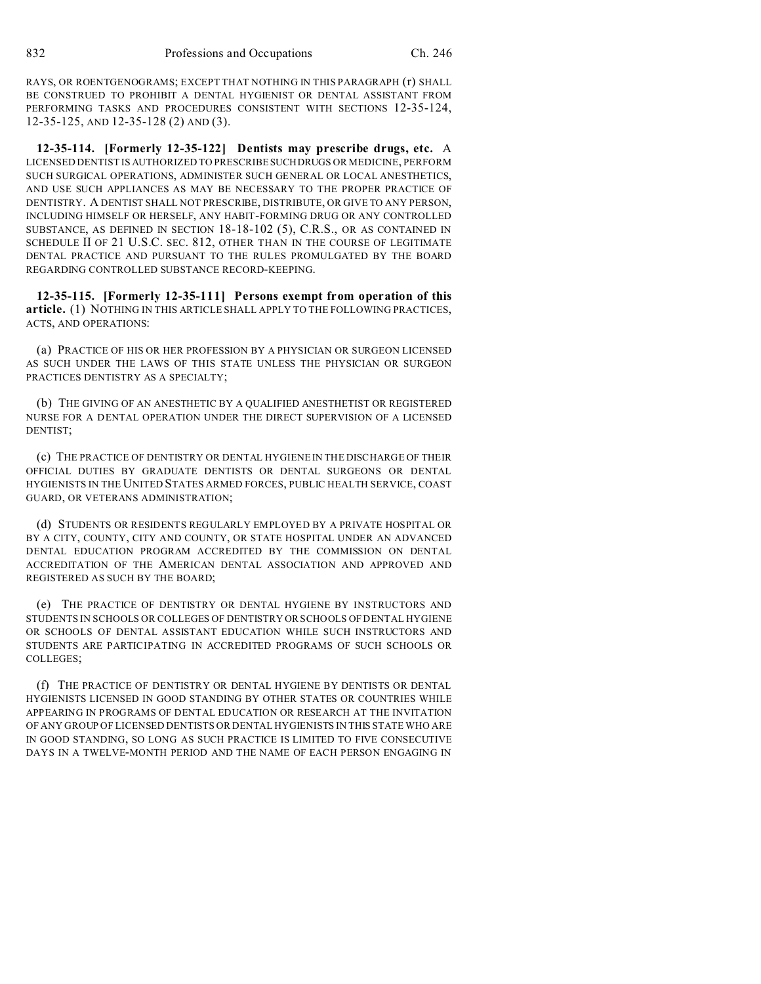RAYS, OR ROENTGENOGRAMS; EXCEPT THAT NOTHING IN THIS PARAGRAPH (r) SHALL BE CONSTRUED TO PROHIBIT A DENTAL HYGIENIST OR DENTAL ASSISTANT FROM PERFORMING TASKS AND PROCEDURES CONSISTENT WITH SECTIONS 12-35-124, 12-35-125, AND 12-35-128 (2) AND (3).

**12-35-114. [Formerly 12-35-122] Dentists may prescribe drugs, etc.** A LICENSED DENTIST IS AUTHORIZED TO PRESCRIBE SUCHDRUGS OR MEDICINE, PERFORM SUCH SURGICAL OPERATIONS, ADMINISTER SUCH GENERAL OR LOCAL ANESTHETICS, AND USE SUCH APPLIANCES AS MAY BE NECESSARY TO THE PROPER PRACTICE OF DENTISTRY. A DENTIST SHALL NOT PRESCRIBE, DISTRIBUTE, OR GIVE TO ANY PERSON, INCLUDING HIMSELF OR HERSELF, ANY HABIT-FORMING DRUG OR ANY CONTROLLED SUBSTANCE, AS DEFINED IN SECTION 18-18-102 (5), C.R.S., OR AS CONTAINED IN SCHEDULE II OF 21 U.S.C. SEC. 812, OTHER THAN IN THE COURSE OF LEGITIMATE DENTAL PRACTICE AND PURSUANT TO THE RULES PROMULGATED BY THE BOARD REGARDING CONTROLLED SUBSTANCE RECORD-KEEPING.

**12-35-115. [Formerly 12-35-111] Persons exempt from operation of this article.** (1) NOTHING IN THIS ARTICLE SHALL APPLY TO THE FOLLOWING PRACTICES, ACTS, AND OPERATIONS:

(a) PRACTICE OF HIS OR HER PROFESSION BY A PHYSICIAN OR SURGEON LICENSED AS SUCH UNDER THE LAWS OF THIS STATE UNLESS THE PHYSICIAN OR SURGEON PRACTICES DENTISTRY AS A SPECIALTY;

(b) THE GIVING OF AN ANESTHETIC BY A QUALIFIED ANESTHETIST OR REGISTERED NURSE FOR A DENTAL OPERATION UNDER THE DIRECT SUPERVISION OF A LICENSED DENTIST;

(c) THE PRACTICE OF DENTISTRY OR DENTAL HYGIENE IN THE DISCHARGE OF THEIR OFFICIAL DUTIES BY GRADUATE DENTISTS OR DENTAL SURGEONS OR DENTAL HYGIENISTS IN THE UNITED STATES ARMED FORCES, PUBLIC HEALTH SERVICE, COAST GUARD, OR VETERANS ADMINISTRATION;

(d) STUDENTS OR RESIDENTS REGULARLY EMPLOYED BY A PRIVATE HOSPITAL OR BY A CITY, COUNTY, CITY AND COUNTY, OR STATE HOSPITAL UNDER AN ADVANCED DENTAL EDUCATION PROGRAM ACCREDITED BY THE COMMISSION ON DENTAL ACCREDITATION OF THE AMERICAN DENTAL ASSOCIATION AND APPROVED AND REGISTERED AS SUCH BY THE BOARD;

(e) THE PRACTICE OF DENTISTRY OR DENTAL HYGIENE BY INSTRUCTORS AND STUDENTS IN SCHOOLS OR COLLEGES OF DENTISTRY OR SCHOOLS OF DENTAL HYGIENE OR SCHOOLS OF DENTAL ASSISTANT EDUCATION WHILE SUCH INSTRUCTORS AND STUDENTS ARE PARTICIPATING IN ACCREDITED PROGRAMS OF SUCH SCHOOLS OR COLLEGES;

(f) THE PRACTICE OF DENTISTRY OR DENTAL HYGIENE BY DENTISTS OR DENTAL HYGIENISTS LICENSED IN GOOD STANDING BY OTHER STATES OR COUNTRIES WHILE APPEARING IN PROGRAMS OF DENTAL EDUCATION OR RESEARCH AT THE INVITATION OF ANY GROUP OF LICENSED DENTISTS OR DENTAL HYGIENISTS IN THIS STATE WHO ARE IN GOOD STANDING, SO LONG AS SUCH PRACTICE IS LIMITED TO FIVE CONSECUTIVE DAYS IN A TWELVE-MONTH PERIOD AND THE NAME OF EACH PERSON ENGAGING IN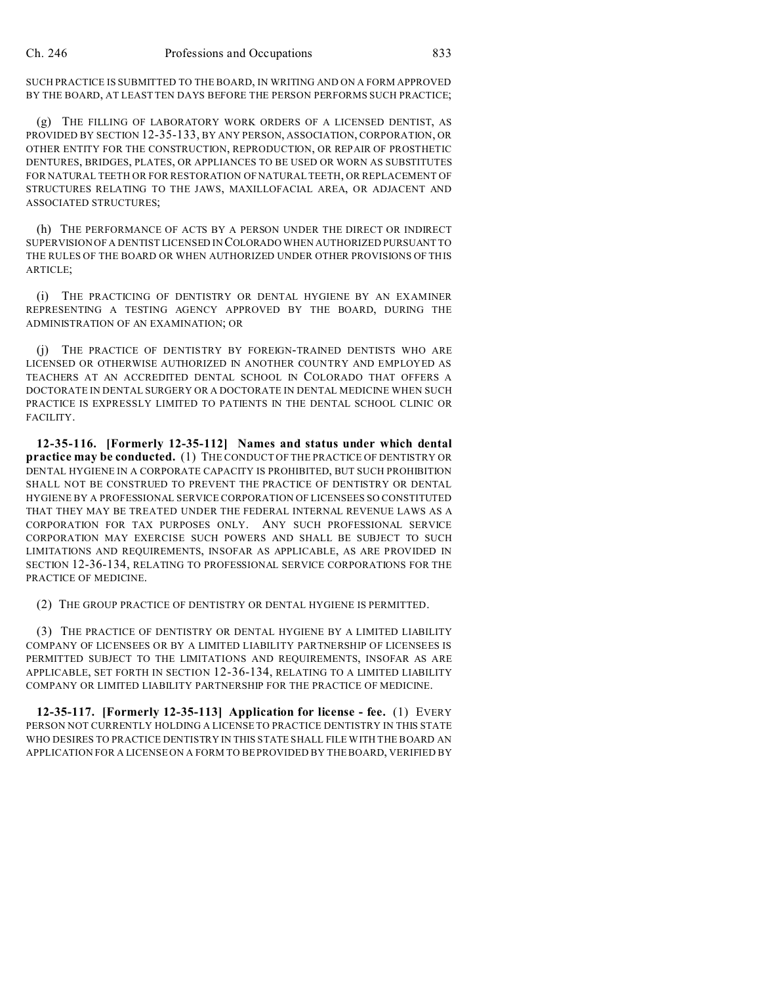SUCH PRACTICE IS SUBMITTED TO THE BOARD, IN WRITING AND ON A FORM APPROVED BY THE BOARD, AT LEAST TEN DAYS BEFORE THE PERSON PERFORMS SUCH PRACTICE;

(g) THE FILLING OF LABORATORY WORK ORDERS OF A LICENSED DENTIST, AS PROVIDED BY SECTION 12-35-133, BY ANY PERSON, ASSOCIATION, CORPORATION, OR OTHER ENTITY FOR THE CONSTRUCTION, REPRODUCTION, OR REPAIR OF PROSTHETIC DENTURES, BRIDGES, PLATES, OR APPLIANCES TO BE USED OR WORN AS SUBSTITUTES FOR NATURAL TEETH OR FOR RESTORATION OF NATURAL TEETH, OR REPLACEMENT OF STRUCTURES RELATING TO THE JAWS, MAXILLOFACIAL AREA, OR ADJACENT AND ASSOCIATED STRUCTURES;

(h) THE PERFORMANCE OF ACTS BY A PERSON UNDER THE DIRECT OR INDIRECT SUPERVISION OF A DENTIST LICENSED IN COLORADO WHEN AUTHORIZED PURSUANT TO THE RULES OF THE BOARD OR WHEN AUTHORIZED UNDER OTHER PROVISIONS OF THIS ARTICLE;

(i) THE PRACTICING OF DENTISTRY OR DENTAL HYGIENE BY AN EXAMINER REPRESENTING A TESTING AGENCY APPROVED BY THE BOARD, DURING THE ADMINISTRATION OF AN EXAMINATION; OR

(j) THE PRACTICE OF DENTISTRY BY FOREIGN-TRAINED DENTISTS WHO ARE LICENSED OR OTHERWISE AUTHORIZED IN ANOTHER COUNTRY AND EMPLOYED AS TEACHERS AT AN ACCREDITED DENTAL SCHOOL IN COLORADO THAT OFFERS A DOCTORATE IN DENTAL SURGERY OR A DOCTORATE IN DENTAL MEDICINE WHEN SUCH PRACTICE IS EXPRESSLY LIMITED TO PATIENTS IN THE DENTAL SCHOOL CLINIC OR FACILITY.

**12-35-116. [Formerly 12-35-112] Names and status under which dental practice may be conducted.** (1) THE CONDUCT OF THE PRACTICE OF DENTISTRY OR DENTAL HYGIENE IN A CORPORATE CAPACITY IS PROHIBITED, BUT SUCH PROHIBITION SHALL NOT BE CONSTRUED TO PREVENT THE PRACTICE OF DENTISTRY OR DENTAL HYGIENE BY A PROFESSIONAL SERVICE CORPORATION OF LICENSEES SO CONSTITUTED THAT THEY MAY BE TREATED UNDER THE FEDERAL INTERNAL REVENUE LAWS AS A CORPORATION FOR TAX PURPOSES ONLY. ANY SUCH PROFESSIONAL SERVICE CORPORATION MAY EXERCISE SUCH POWERS AND SHALL BE SUBJECT TO SUCH LIMITATIONS AND REQUIREMENTS, INSOFAR AS APPLICABLE, AS ARE PROVIDED IN SECTION 12-36-134, RELATING TO PROFESSIONAL SERVICE CORPORATIONS FOR THE PRACTICE OF MEDICINE.

(2) THE GROUP PRACTICE OF DENTISTRY OR DENTAL HYGIENE IS PERMITTED.

(3) THE PRACTICE OF DENTISTRY OR DENTAL HYGIENE BY A LIMITED LIABILITY COMPANY OF LICENSEES OR BY A LIMITED LIABILITY PARTNERSHIP OF LICENSEES IS PERMITTED SUBJECT TO THE LIMITATIONS AND REQUIREMENTS, INSOFAR AS ARE APPLICABLE, SET FORTH IN SECTION 12-36-134, RELATING TO A LIMITED LIABILITY COMPANY OR LIMITED LIABILITY PARTNERSHIP FOR THE PRACTICE OF MEDICINE.

**12-35-117. [Formerly 12-35-113] Application for license - fee.** (1) EVERY PERSON NOT CURRENTLY HOLDING A LICENSE TO PRACTICE DENTISTRY IN THIS STATE WHO DESIRES TO PRACTICE DENTISTRY IN THIS STATE SHALL FILE WITH THE BOARD AN APPLICATION FOR A LICENSE ON A FORM TO BE PROVIDED BY THE BOARD, VERIFIED BY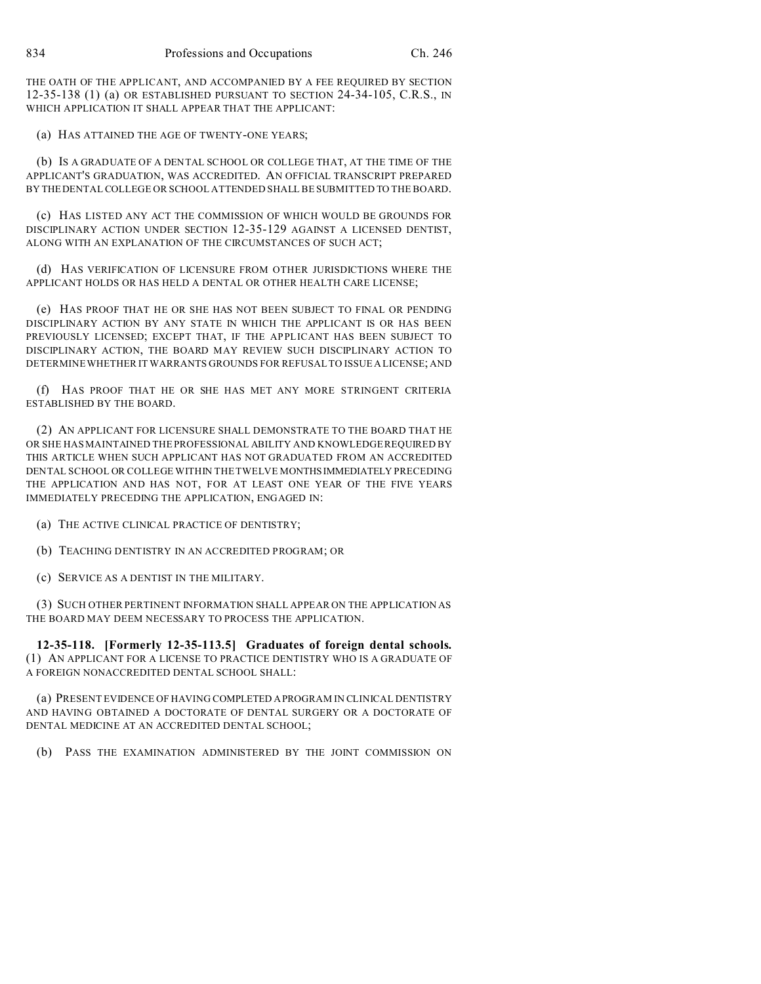THE OATH OF THE APPLICANT, AND ACCOMPANIED BY A FEE REQUIRED BY SECTION 12-35-138 (1) (a) OR ESTABLISHED PURSUANT TO SECTION 24-34-105, C.R.S., IN WHICH APPLICATION IT SHALL APPEAR THAT THE APPLICANT:

(a) HAS ATTAINED THE AGE OF TWENTY-ONE YEARS;

(b) IS A GRADUATE OF A DENTAL SCHOOL OR COLLEGE THAT, AT THE TIME OF THE APPLICANT'S GRADUATION, WAS ACCREDITED. AN OFFICIAL TRANSCRIPT PREPARED BY THEDENTAL COLLEGE OR SCHOOL ATTENDED SHALL BE SUBMITTED TO THE BOARD.

(c) HAS LISTED ANY ACT THE COMMISSION OF WHICH WOULD BE GROUNDS FOR DISCIPLINARY ACTION UNDER SECTION 12-35-129 AGAINST A LICENSED DENTIST, ALONG WITH AN EXPLANATION OF THE CIRCUMSTANCES OF SUCH ACT;

(d) HAS VERIFICATION OF LICENSURE FROM OTHER JURISDICTIONS WHERE THE APPLICANT HOLDS OR HAS HELD A DENTAL OR OTHER HEALTH CARE LICENSE;

(e) HAS PROOF THAT HE OR SHE HAS NOT BEEN SUBJECT TO FINAL OR PENDING DISCIPLINARY ACTION BY ANY STATE IN WHICH THE APPLICANT IS OR HAS BEEN PREVIOUSLY LICENSED; EXCEPT THAT, IF THE APPLICANT HAS BEEN SUBJECT TO DISCIPLINARY ACTION, THE BOARD MAY REVIEW SUCH DISCIPLINARY ACTION TO DETERMINE WHETHER IT WARRANTS GROUNDS FOR REFUSAL TO ISSUE A LICENSE; AND

(f) HAS PROOF THAT HE OR SHE HAS MET ANY MORE STRINGENT CRITERIA ESTABLISHED BY THE BOARD.

(2) AN APPLICANT FOR LICENSURE SHALL DEMONSTRATE TO THE BOARD THAT HE OR SHE HAS MAINTAINED THE PROFESSIONAL ABILITY AND KNOWLEDGE REQUIRED BY THIS ARTICLE WHEN SUCH APPLICANT HAS NOT GRADUATED FROM AN ACCREDITED DENTAL SCHOOL OR COLLEGE WITHIN THE TWELVE MONTHSIMMEDIATELY PRECEDING THE APPLICATION AND HAS NOT, FOR AT LEAST ONE YEAR OF THE FIVE YEARS IMMEDIATELY PRECEDING THE APPLICATION, ENGAGED IN:

- (a) THE ACTIVE CLINICAL PRACTICE OF DENTISTRY;
- (b) TEACHING DENTISTRY IN AN ACCREDITED PROGRAM; OR
- (c) SERVICE AS A DENTIST IN THE MILITARY.

(3) SUCH OTHER PERTINENT INFORMATION SHALL APPEAR ON THE APPLICATION AS THE BOARD MAY DEEM NECESSARY TO PROCESS THE APPLICATION.

**12-35-118. [Formerly 12-35-113.5] Graduates of foreign dental schools.** (1) AN APPLICANT FOR A LICENSE TO PRACTICE DENTISTRY WHO IS A GRADUATE OF A FOREIGN NONACCREDITED DENTAL SCHOOL SHALL:

(a) PRESENT EVIDENCE OF HAVING COMPLETED APROGRAM IN CLINICAL DENTISTRY AND HAVING OBTAINED A DOCTORATE OF DENTAL SURGERY OR A DOCTORATE OF DENTAL MEDICINE AT AN ACCREDITED DENTAL SCHOOL;

(b) PASS THE EXAMINATION ADMINISTERED BY THE JOINT COMMISSION ON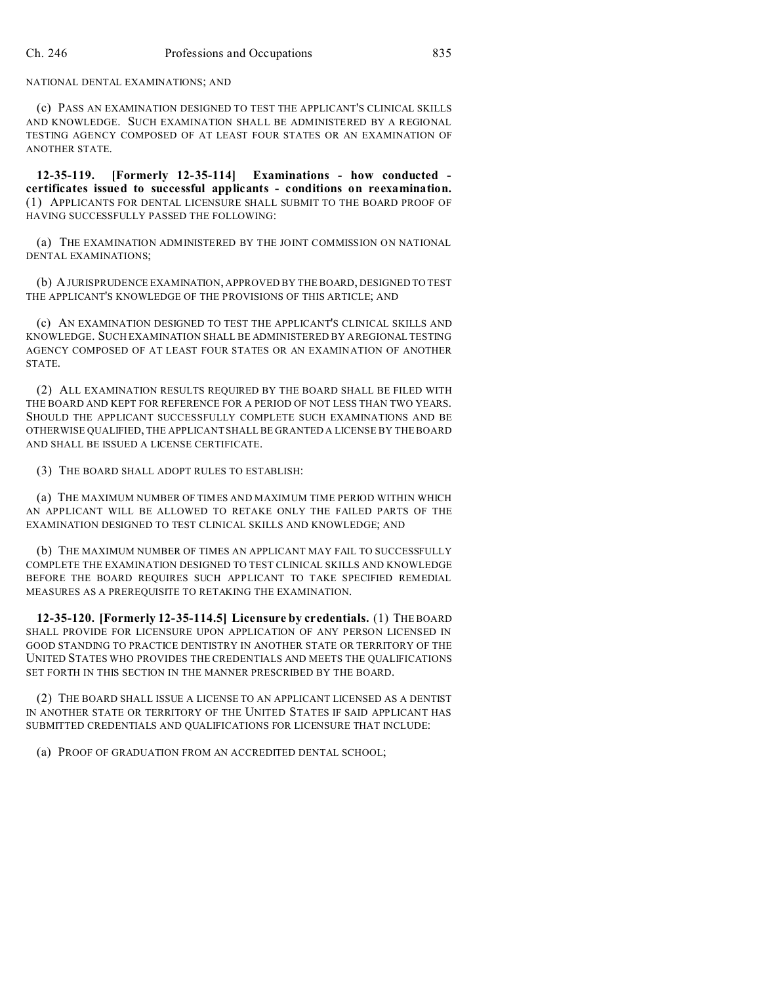#### NATIONAL DENTAL EXAMINATIONS; AND

(c) PASS AN EXAMINATION DESIGNED TO TEST THE APPLICANT'S CLINICAL SKILLS AND KNOWLEDGE. SUCH EXAMINATION SHALL BE ADMINISTERED BY A REGIONAL TESTING AGENCY COMPOSED OF AT LEAST FOUR STATES OR AN EXAMINATION OF ANOTHER STATE.

**12-35-119. [Formerly 12-35-114] Examinations - how conducted certificates issued to successful applicants - conditions on reexamination.** (1) APPLICANTS FOR DENTAL LICENSURE SHALL SUBMIT TO THE BOARD PROOF OF HAVING SUCCESSFULLY PASSED THE FOLLOWING:

(a) THE EXAMINATION ADMINISTERED BY THE JOINT COMMISSION ON NATIONAL DENTAL EXAMINATIONS;

(b) A JURISPRUDENCE EXAMINATION, APPROVED BY THE BOARD, DESIGNED TO TEST THE APPLICANT'S KNOWLEDGE OF THE PROVISIONS OF THIS ARTICLE; AND

(c) AN EXAMINATION DESIGNED TO TEST THE APPLICANT'S CLINICAL SKILLS AND KNOWLEDGE. SUCH EXAMINATION SHALL BE ADMINISTERED BY A REGIONAL TESTING AGENCY COMPOSED OF AT LEAST FOUR STATES OR AN EXAMINATION OF ANOTHER STATE.

(2) ALL EXAMINATION RESULTS REQUIRED BY THE BOARD SHALL BE FILED WITH THE BOARD AND KEPT FOR REFERENCE FOR A PERIOD OF NOT LESS THAN TWO YEARS. SHOULD THE APPLICANT SUCCESSFULLY COMPLETE SUCH EXAMINATIONS AND BE OTHERWISE QUALIFIED, THE APPLICANT SHALL BE GRANTED A LICENSE BY THE BOARD AND SHALL BE ISSUED A LICENSE CERTIFICATE.

(3) THE BOARD SHALL ADOPT RULES TO ESTABLISH:

(a) THE MAXIMUM NUMBER OF TIMES AND MAXIMUM TIME PERIOD WITHIN WHICH AN APPLICANT WILL BE ALLOWED TO RETAKE ONLY THE FAILED PARTS OF THE EXAMINATION DESIGNED TO TEST CLINICAL SKILLS AND KNOWLEDGE; AND

(b) THE MAXIMUM NUMBER OF TIMES AN APPLICANT MAY FAIL TO SUCCESSFULLY COMPLETE THE EXAMINATION DESIGNED TO TEST CLINICAL SKILLS AND KNOWLEDGE BEFORE THE BOARD REQUIRES SUCH APPLICANT TO TAKE SPECIFIED REMEDIAL MEASURES AS A PREREQUISITE TO RETAKING THE EXAMINATION.

**12-35-120. [Formerly 12-35-114.5] Licensure by credentials.** (1) THE BOARD SHALL PROVIDE FOR LICENSURE UPON APPLICATION OF ANY PERSON LICENSED IN GOOD STANDING TO PRACTICE DENTISTRY IN ANOTHER STATE OR TERRITORY OF THE UNITED STATES WHO PROVIDES THE CREDENTIALS AND MEETS THE QUALIFICATIONS SET FORTH IN THIS SECTION IN THE MANNER PRESCRIBED BY THE BOARD.

(2) THE BOARD SHALL ISSUE A LICENSE TO AN APPLICANT LICENSED AS A DENTIST IN ANOTHER STATE OR TERRITORY OF THE UNITED STATES IF SAID APPLICANT HAS SUBMITTED CREDENTIALS AND QUALIFICATIONS FOR LICENSURE THAT INCLUDE:

(a) PROOF OF GRADUATION FROM AN ACCREDITED DENTAL SCHOOL;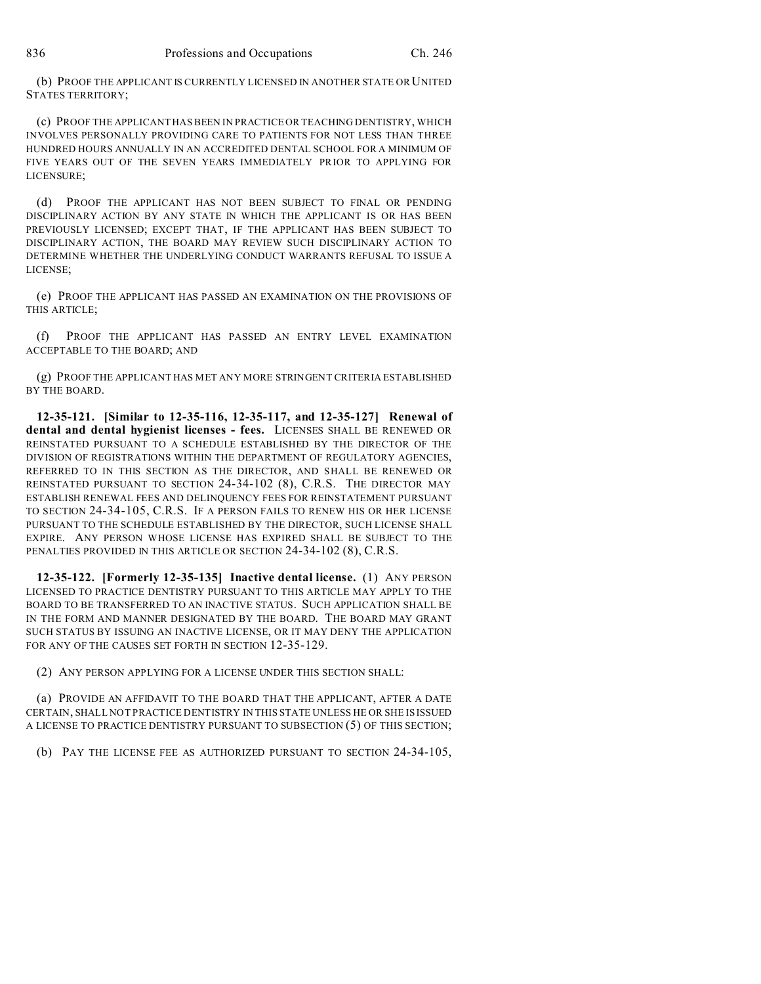(b) PROOF THE APPLICANT IS CURRENTLY LICENSED IN ANOTHER STATE OR UNITED STATES TERRITORY;

(c) PROOF THE APPLICANT HAS BEEN IN PRACTICE OR TEACHING DENTISTRY, WHICH INVOLVES PERSONALLY PROVIDING CARE TO PATIENTS FOR NOT LESS THAN THREE HUNDRED HOURS ANNUALLY IN AN ACCREDITED DENTAL SCHOOL FOR A MINIMUM OF FIVE YEARS OUT OF THE SEVEN YEARS IMMEDIATELY PRIOR TO APPLYING FOR LICENSURE;

(d) PROOF THE APPLICANT HAS NOT BEEN SUBJECT TO FINAL OR PENDING DISCIPLINARY ACTION BY ANY STATE IN WHICH THE APPLICANT IS OR HAS BEEN PREVIOUSLY LICENSED; EXCEPT THAT, IF THE APPLICANT HAS BEEN SUBJECT TO DISCIPLINARY ACTION, THE BOARD MAY REVIEW SUCH DISCIPLINARY ACTION TO DETERMINE WHETHER THE UNDERLYING CONDUCT WARRANTS REFUSAL TO ISSUE A LICENSE;

(e) PROOF THE APPLICANT HAS PASSED AN EXAMINATION ON THE PROVISIONS OF THIS ARTICLE;

(f) PROOF THE APPLICANT HAS PASSED AN ENTRY LEVEL EXAMINATION ACCEPTABLE TO THE BOARD; AND

(g) PROOF THE APPLICANT HAS MET ANY MORE STRINGENT CRITERIA ESTABLISHED BY THE BOARD.

**12-35-121. [Similar to 12-35-116, 12-35-117, and 12-35-127] Renewal of dental and dental hygienist licenses - fees.** LICENSES SHALL BE RENEWED OR REINSTATED PURSUANT TO A SCHEDULE ESTABLISHED BY THE DIRECTOR OF THE DIVISION OF REGISTRATIONS WITHIN THE DEPARTMENT OF REGULATORY AGENCIES, REFERRED TO IN THIS SECTION AS THE DIRECTOR, AND SHALL BE RENEWED OR REINSTATED PURSUANT TO SECTION 24-34-102 (8), C.R.S. THE DIRECTOR MAY ESTABLISH RENEWAL FEES AND DELINQUENCY FEES FOR REINSTATEMENT PURSUANT TO SECTION 24-34-105, C.R.S. IF A PERSON FAILS TO RENEW HIS OR HER LICENSE PURSUANT TO THE SCHEDULE ESTABLISHED BY THE DIRECTOR, SUCH LICENSE SHALL EXPIRE. ANY PERSON WHOSE LICENSE HAS EXPIRED SHALL BE SUBJECT TO THE PENALTIES PROVIDED IN THIS ARTICLE OR SECTION 24-34-102 (8), C.R.S.

**12-35-122. [Formerly 12-35-135] Inactive dental license.** (1) ANY PERSON LICENSED TO PRACTICE DENTISTRY PURSUANT TO THIS ARTICLE MAY APPLY TO THE BOARD TO BE TRANSFERRED TO AN INACTIVE STATUS. SUCH APPLICATION SHALL BE IN THE FORM AND MANNER DESIGNATED BY THE BOARD. THE BOARD MAY GRANT SUCH STATUS BY ISSUING AN INACTIVE LICENSE, OR IT MAY DENY THE APPLICATION FOR ANY OF THE CAUSES SET FORTH IN SECTION 12-35-129.

(2) ANY PERSON APPLYING FOR A LICENSE UNDER THIS SECTION SHALL:

(a) PROVIDE AN AFFIDAVIT TO THE BOARD THAT THE APPLICANT, AFTER A DATE CERTAIN, SHALL NOT PRACTICE DENTISTRY IN THIS STATE UNLESS HE OR SHE IS ISSUED A LICENSE TO PRACTICE DENTISTRY PURSUANT TO SUBSECTION (5) OF THIS SECTION;

(b) PAY THE LICENSE FEE AS AUTHORIZED PURSUANT TO SECTION 24-34-105,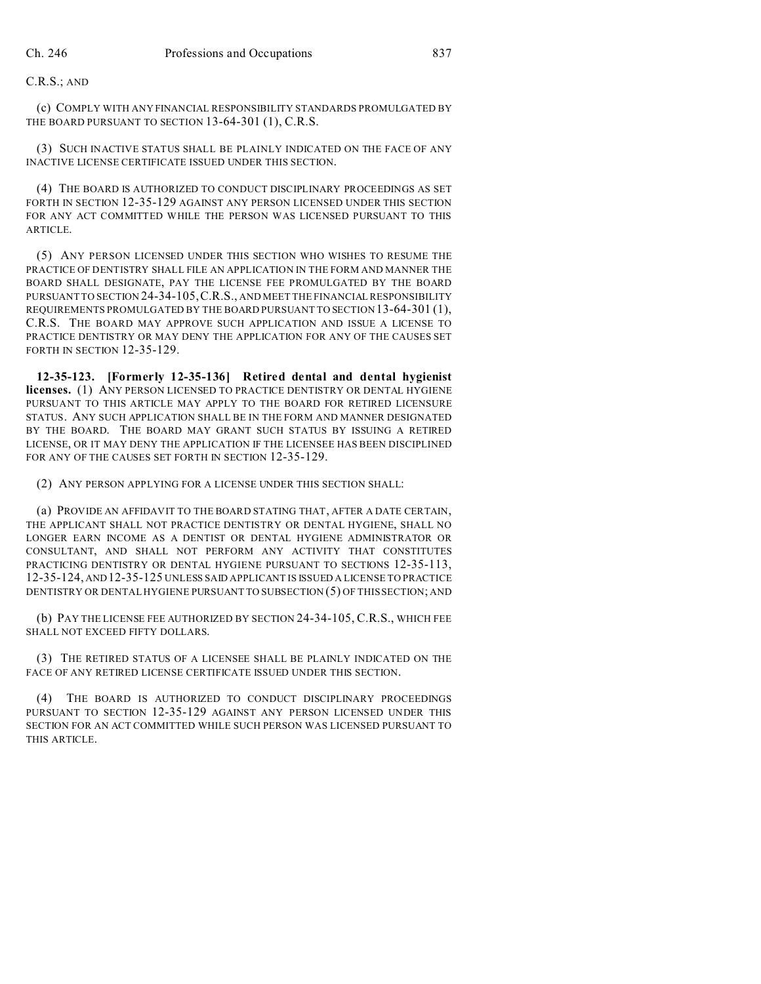# C.R.S.; AND

(c) COMPLY WITH ANY FINANCIAL RESPONSIBILITY STANDARDS PROMULGATED BY THE BOARD PURSUANT TO SECTION 13-64-301 (1), C.R.S.

(3) SUCH INACTIVE STATUS SHALL BE PLAINLY INDICATED ON THE FACE OF ANY INACTIVE LICENSE CERTIFICATE ISSUED UNDER THIS SECTION.

(4) THE BOARD IS AUTHORIZED TO CONDUCT DISCIPLINARY PROCEEDINGS AS SET FORTH IN SECTION 12-35-129 AGAINST ANY PERSON LICENSED UNDER THIS SECTION FOR ANY ACT COMMITTED WHILE THE PERSON WAS LICENSED PURSUANT TO THIS ARTICLE.

(5) ANY PERSON LICENSED UNDER THIS SECTION WHO WISHES TO RESUME THE PRACTICE OF DENTISTRY SHALL FILE AN APPLICATION IN THE FORM AND MANNER THE BOARD SHALL DESIGNATE, PAY THE LICENSE FEE PROMULGATED BY THE BOARD PURSUANT TO SECTION 24-34-105,C.R.S., AND MEET THE FINANCIAL RESPONSIBILITY REQUIREMENTS PROMULGATED BY THE BOARD PURSUANT TO SECTION 13-64-301 (1), C.R.S. THE BOARD MAY APPROVE SUCH APPLICATION AND ISSUE A LICENSE TO PRACTICE DENTISTRY OR MAY DENY THE APPLICATION FOR ANY OF THE CAUSES SET FORTH IN SECTION 12-35-129.

**12-35-123. [Formerly 12-35-136] Retired dental and dental hygienist licenses.** (1) ANY PERSON LICENSED TO PRACTICE DENTISTRY OR DENTAL HYGIENE PURSUANT TO THIS ARTICLE MAY APPLY TO THE BOARD FOR RETIRED LICENSURE STATUS. ANY SUCH APPLICATION SHALL BE IN THE FORM AND MANNER DESIGNATED BY THE BOARD. THE BOARD MAY GRANT SUCH STATUS BY ISSUING A RETIRED LICENSE, OR IT MAY DENY THE APPLICATION IF THE LICENSEE HAS BEEN DISCIPLINED FOR ANY OF THE CAUSES SET FORTH IN SECTION 12-35-129.

(2) ANY PERSON APPLYING FOR A LICENSE UNDER THIS SECTION SHALL:

(a) PROVIDE AN AFFIDAVIT TO THE BOARD STATING THAT, AFTER A DATE CERTAIN, THE APPLICANT SHALL NOT PRACTICE DENTISTRY OR DENTAL HYGIENE, SHALL NO LONGER EARN INCOME AS A DENTIST OR DENTAL HYGIENE ADMINISTRATOR OR CONSULTANT, AND SHALL NOT PERFORM ANY ACTIVITY THAT CONSTITUTES PRACTICING DENTISTRY OR DENTAL HYGIENE PURSUANT TO SECTIONS 12-35-113, 12-35-124, AND12-35-125 UNLESS SAID APPLICANT IS ISSUED A LICENSE TO PRACTICE DENTISTRY OR DENTAL HYGIENE PURSUANT TO SUBSECTION (5) OF THIS SECTION; AND

(b) PAY THE LICENSE FEE AUTHORIZED BY SECTION 24-34-105, C.R.S., WHICH FEE SHALL NOT EXCEED FIFTY DOLLARS.

(3) THE RETIRED STATUS OF A LICENSEE SHALL BE PLAINLY INDICATED ON THE FACE OF ANY RETIRED LICENSE CERTIFICATE ISSUED UNDER THIS SECTION.

(4) THE BOARD IS AUTHORIZED TO CONDUCT DISCIPLINARY PROCEEDINGS PURSUANT TO SECTION 12-35-129 AGAINST ANY PERSON LICENSED UNDER THIS SECTION FOR AN ACT COMMITTED WHILE SUCH PERSON WAS LICENSED PURSUANT TO THIS ARTICLE.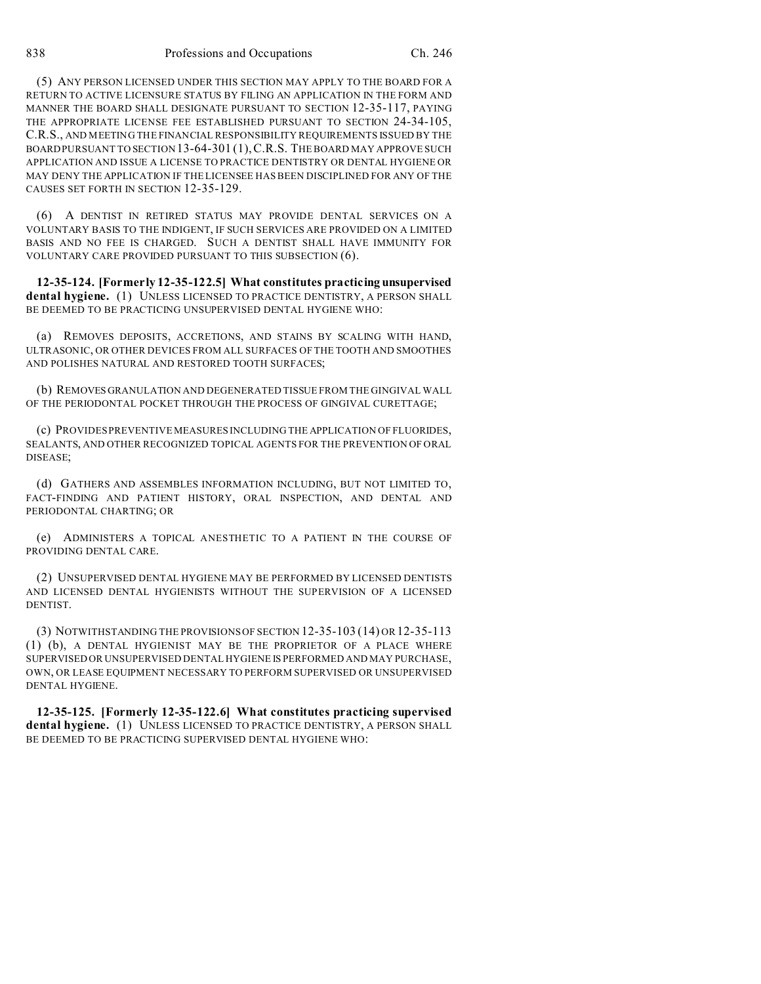(5) ANY PERSON LICENSED UNDER THIS SECTION MAY APPLY TO THE BOARD FOR A RETURN TO ACTIVE LICENSURE STATUS BY FILING AN APPLICATION IN THE FORM AND MANNER THE BOARD SHALL DESIGNATE PURSUANT TO SECTION 12-35-117, PAYING THE APPROPRIATE LICENSE FEE ESTABLISHED PURSUANT TO SECTION 24-34-105, C.R.S., AND MEETING THE FINANCIAL RESPONSIBILITY REQUIREMENTS ISSUED BY THE BOARD PURSUANT TO SECTION 13-64-301 (1),C.R.S. THE BOARD MAY APPROVE SUCH APPLICATION AND ISSUE A LICENSE TO PRACTICE DENTISTRY OR DENTAL HYGIENE OR MAY DENY THE APPLICATION IF THE LICENSEE HAS BEEN DISCIPLINED FOR ANY OF THE CAUSES SET FORTH IN SECTION 12-35-129.

(6) A DENTIST IN RETIRED STATUS MAY PROVIDE DENTAL SERVICES ON A VOLUNTARY BASIS TO THE INDIGENT, IF SUCH SERVICES ARE PROVIDED ON A LIMITED BASIS AND NO FEE IS CHARGED. SUCH A DENTIST SHALL HAVE IMMUNITY FOR VOLUNTARY CARE PROVIDED PURSUANT TO THIS SUBSECTION (6).

**12-35-124. [Formerly 12-35-122.5] What constitutes practicing unsupervised dental hygiene.** (1) UNLESS LICENSED TO PRACTICE DENTISTRY, A PERSON SHALL BE DEEMED TO BE PRACTICING UNSUPERVISED DENTAL HYGIENE WHO:

(a) REMOVES DEPOSITS, ACCRETIONS, AND STAINS BY SCALING WITH HAND, ULTRASONIC, OR OTHER DEVICES FROM ALL SURFACES OF THE TOOTH AND SMOOTHES AND POLISHES NATURAL AND RESTORED TOOTH SURFACES;

(b) REMOVES GRANULATION AND DEGENERATED TISSUE FROM THE GINGIVAL WALL OF THE PERIODONTAL POCKET THROUGH THE PROCESS OF GINGIVAL CURETTAGE;

(c) PROVIDES PREVENTIVE MEASURES INCLUDING THE APPLICATION OF FLUORIDES, SEALANTS, AND OTHER RECOGNIZED TOPICAL AGENTS FOR THE PREVENTION OF ORAL DISEASE;

(d) GATHERS AND ASSEMBLES INFORMATION INCLUDING, BUT NOT LIMITED TO, FACT-FINDING AND PATIENT HISTORY, ORAL INSPECTION, AND DENTAL AND PERIODONTAL CHARTING; OR

(e) ADMINISTERS A TOPICAL ANESTHETIC TO A PATIENT IN THE COURSE OF PROVIDING DENTAL CARE.

(2) UNSUPERVISED DENTAL HYGIENE MAY BE PERFORMED BY LICENSED DENTISTS AND LICENSED DENTAL HYGIENISTS WITHOUT THE SUPERVISION OF A LICENSED DENTIST.

(3) NOTWITHSTANDING THE PROVISIONS OF SECTION 12-35-103 (14) OR 12-35-113 (1) (b), A DENTAL HYGIENIST MAY BE THE PROPRIETOR OF A PLACE WHERE SUPERVISED OR UNSUPERVISED DENTAL HYGIENE IS PERFORMED AND MAY PURCHASE, OWN, OR LEASE EQUIPMENT NECESSARY TO PERFORM SUPERVISED OR UNSUPERVISED DENTAL HYGIENE.

**12-35-125. [Formerly 12-35-122.6] What constitutes practicing supervised dental hygiene.** (1) UNLESS LICENSED TO PRACTICE DENTISTRY, A PERSON SHALL BE DEEMED TO BE PRACTICING SUPERVISED DENTAL HYGIENE WHO: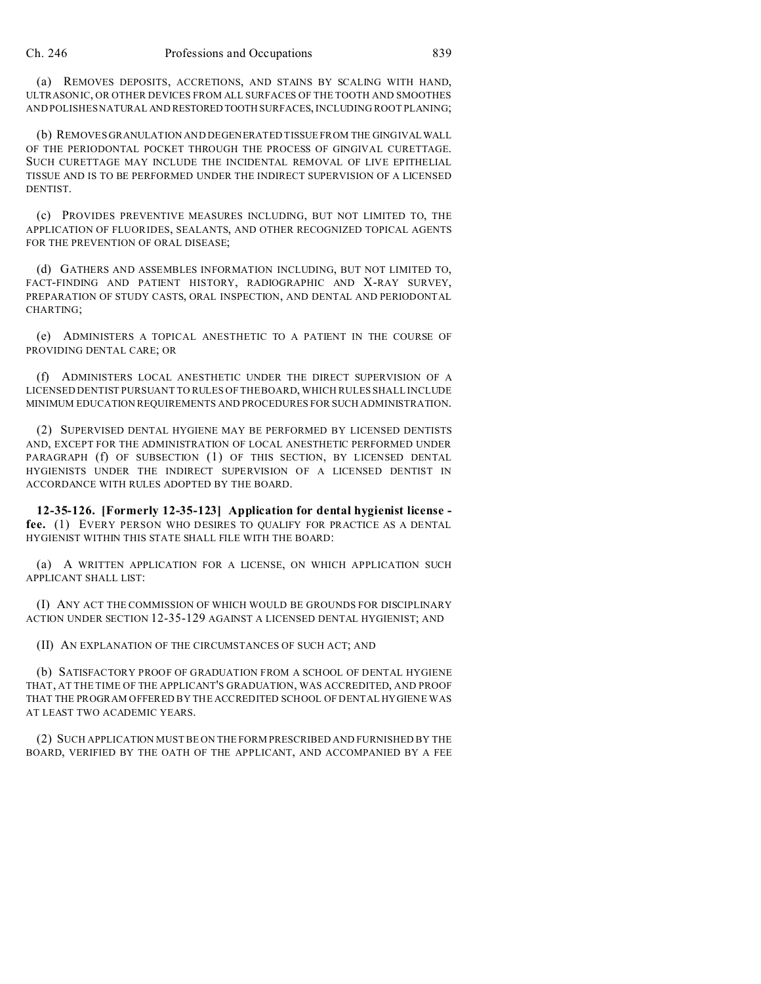(a) REMOVES DEPOSITS, ACCRETIONS, AND STAINS BY SCALING WITH HAND, ULTRASONIC, OR OTHER DEVICES FROM ALL SURFACES OF THE TOOTH AND SMOOTHES AND POLISHES NATURAL AND RESTORED TOOTH SURFACES, INCLUDING ROOT PLANING;

(b) REMOVES GRANULATION AND DEGENERATED TISSUE FROM THE GINGIVALWALL OF THE PERIODONTAL POCKET THROUGH THE PROCESS OF GINGIVAL CURETTAGE. SUCH CURETTAGE MAY INCLUDE THE INCIDENTAL REMOVAL OF LIVE EPITHELIAL TISSUE AND IS TO BE PERFORMED UNDER THE INDIRECT SUPERVISION OF A LICENSED DENTIST.

(c) PROVIDES PREVENTIVE MEASURES INCLUDING, BUT NOT LIMITED TO, THE APPLICATION OF FLUORIDES, SEALANTS, AND OTHER RECOGNIZED TOPICAL AGENTS FOR THE PREVENTION OF ORAL DISEASE;

(d) GATHERS AND ASSEMBLES INFORMATION INCLUDING, BUT NOT LIMITED TO, FACT-FINDING AND PATIENT HISTORY, RADIOGRAPHIC AND X-RAY SURVEY, PREPARATION OF STUDY CASTS, ORAL INSPECTION, AND DENTAL AND PERIODONTAL CHARTING;

(e) ADMINISTERS A TOPICAL ANESTHETIC TO A PATIENT IN THE COURSE OF PROVIDING DENTAL CARE; OR

(f) ADMINISTERS LOCAL ANESTHETIC UNDER THE DIRECT SUPERVISION OF A LICENSED DENTIST PURSUANT TO RULES OF THE BOARD, WHICH RULES SHALL INCLUDE MINIMUM EDUCATION REQUIREMENTS AND PROCEDURES FOR SUCH ADMINISTRATION.

(2) SUPERVISED DENTAL HYGIENE MAY BE PERFORMED BY LICENSED DENTISTS AND, EXCEPT FOR THE ADMINISTRATION OF LOCAL ANESTHETIC PERFORMED UNDER PARAGRAPH (f) OF SUBSECTION (1) OF THIS SECTION, BY LICENSED DENTAL HYGIENISTS UNDER THE INDIRECT SUPERVISION OF A LICENSED DENTIST IN ACCORDANCE WITH RULES ADOPTED BY THE BOARD.

**12-35-126. [Formerly 12-35-123] Application for dental hygienist license fee.** (1) EVERY PERSON WHO DESIRES TO QUALIFY FOR PRACTICE AS A DENTAL HYGIENIST WITHIN THIS STATE SHALL FILE WITH THE BOARD:

(a) A WRITTEN APPLICATION FOR A LICENSE, ON WHICH APPLICATION SUCH APPLICANT SHALL LIST:

(I) ANY ACT THE COMMISSION OF WHICH WOULD BE GROUNDS FOR DISCIPLINARY ACTION UNDER SECTION 12-35-129 AGAINST A LICENSED DENTAL HYGIENIST; AND

(II) AN EXPLANATION OF THE CIRCUMSTANCES OF SUCH ACT; AND

(b) SATISFACTORY PROOF OF GRADUATION FROM A SCHOOL OF DENTAL HYGIENE THAT, AT THE TIME OF THE APPLICANT'S GRADUATION, WAS ACCREDITED, AND PROOF THAT THE PROGRAM OFFERED BY THE ACCREDITED SCHOOL OF DENTAL HYGIENE WAS AT LEAST TWO ACADEMIC YEARS.

(2) SUCH APPLICATION MUST BE ON THE FORM PRESCRIBED AND FURNISHED BY THE BOARD, VERIFIED BY THE OATH OF THE APPLICANT, AND ACCOMPANIED BY A FEE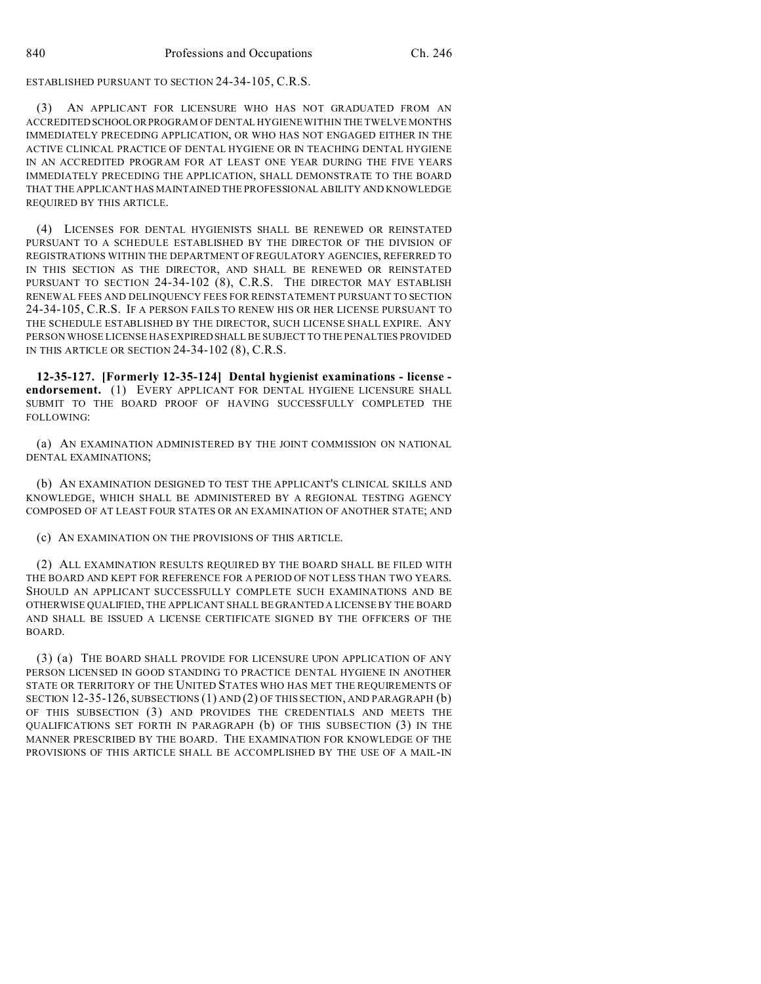ESTABLISHED PURSUANT TO SECTION 24-34-105, C.R.S.

(3) AN APPLICANT FOR LICENSURE WHO HAS NOT GRADUATED FROM AN ACCREDITEDSCHOOLORPROGRAM OF DENTAL HYGIENE WITHIN THE TWELVE MONTHS IMMEDIATELY PRECEDING APPLICATION, OR WHO HAS NOT ENGAGED EITHER IN THE ACTIVE CLINICAL PRACTICE OF DENTAL HYGIENE OR IN TEACHING DENTAL HYGIENE IN AN ACCREDITED PROGRAM FOR AT LEAST ONE YEAR DURING THE FIVE YEARS IMMEDIATELY PRECEDING THE APPLICATION, SHALL DEMONSTRATE TO THE BOARD THAT THE APPLICANT HAS MAINTAINED THE PROFESSIONAL ABILITY AND KNOWLEDGE REQUIRED BY THIS ARTICLE.

(4) LICENSES FOR DENTAL HYGIENISTS SHALL BE RENEWED OR REINSTATED PURSUANT TO A SCHEDULE ESTABLISHED BY THE DIRECTOR OF THE DIVISION OF REGISTRATIONS WITHIN THE DEPARTMENT OF REGULATORY AGENCIES, REFERRED TO IN THIS SECTION AS THE DIRECTOR, AND SHALL BE RENEWED OR REINSTATED PURSUANT TO SECTION 24-34-102 (8), C.R.S. THE DIRECTOR MAY ESTABLISH RENEWAL FEES AND DELINQUENCY FEES FOR REINSTATEMENT PURSUANT TO SECTION 24-34-105, C.R.S. IF A PERSON FAILS TO RENEW HIS OR HER LICENSE PURSUANT TO THE SCHEDULE ESTABLISHED BY THE DIRECTOR, SUCH LICENSE SHALL EXPIRE. ANY PERSON WHOSE LICENSE HAS EXPIREDSHALL BE SUBJECT TO THE PENALTIES PROVIDED IN THIS ARTICLE OR SECTION 24-34-102 (8), C.R.S.

**12-35-127. [Formerly 12-35-124] Dental hygienist examinations - license endorsement.** (1) EVERY APPLICANT FOR DENTAL HYGIENE LICENSURE SHALL SUBMIT TO THE BOARD PROOF OF HAVING SUCCESSFULLY COMPLETED THE FOLLOWING:

(a) AN EXAMINATION ADMINISTERED BY THE JOINT COMMISSION ON NATIONAL DENTAL EXAMINATIONS;

(b) AN EXAMINATION DESIGNED TO TEST THE APPLICANT'S CLINICAL SKILLS AND KNOWLEDGE, WHICH SHALL BE ADMINISTERED BY A REGIONAL TESTING AGENCY COMPOSED OF AT LEAST FOUR STATES OR AN EXAMINATION OF ANOTHER STATE; AND

(c) AN EXAMINATION ON THE PROVISIONS OF THIS ARTICLE.

(2) ALL EXAMINATION RESULTS REQUIRED BY THE BOARD SHALL BE FILED WITH THE BOARD AND KEPT FOR REFERENCE FOR A PERIOD OF NOT LESS THAN TWO YEARS. SHOULD AN APPLICANT SUCCESSFULLY COMPLETE SUCH EXAMINATIONS AND BE OTHERWISE QUALIFIED, THE APPLICANT SHALL BE GRANTED A LICENSE BY THE BOARD AND SHALL BE ISSUED A LICENSE CERTIFICATE SIGNED BY THE OFFICERS OF THE BOARD.

(3) (a) THE BOARD SHALL PROVIDE FOR LICENSURE UPON APPLICATION OF ANY PERSON LICENSED IN GOOD STANDING TO PRACTICE DENTAL HYGIENE IN ANOTHER STATE OR TERRITORY OF THE UNITED STATES WHO HAS MET THE REQUIREMENTS OF SECTION 12-35-126, SUBSECTIONS (1) AND (2) OF THIS SECTION, AND PARAGRAPH (b) OF THIS SUBSECTION (3) AND PROVIDES THE CREDENTIALS AND MEETS THE QUALIFICATIONS SET FORTH IN PARAGRAPH (b) OF THIS SUBSECTION (3) IN THE MANNER PRESCRIBED BY THE BOARD. THE EXAMINATION FOR KNOWLEDGE OF THE PROVISIONS OF THIS ARTICLE SHALL BE ACCOMPLISHED BY THE USE OF A MAIL-IN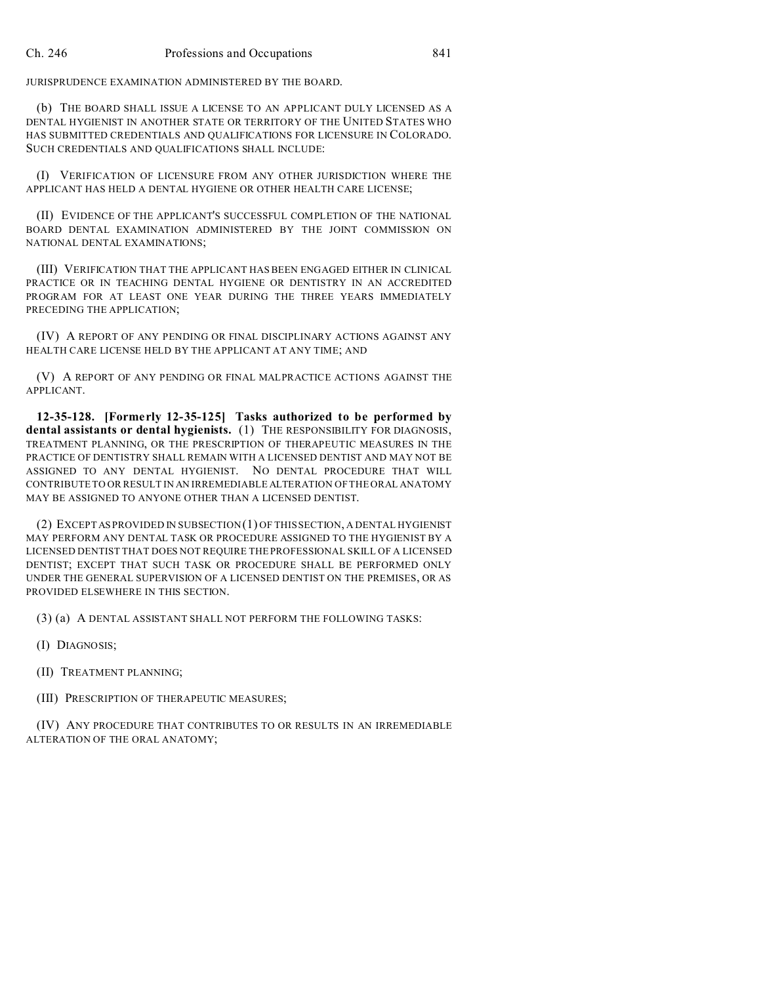JURISPRUDENCE EXAMINATION ADMINISTERED BY THE BOARD.

(b) THE BOARD SHALL ISSUE A LICENSE TO AN APPLICANT DULY LICENSED AS A DENTAL HYGIENIST IN ANOTHER STATE OR TERRITORY OF THE UNITED STATES WHO HAS SUBMITTED CREDENTIALS AND QUALIFICATIONS FOR LICENSURE IN COLORADO. SUCH CREDENTIALS AND QUALIFICATIONS SHALL INCLUDE:

(I) VERIFICATION OF LICENSURE FROM ANY OTHER JURISDICTION WHERE THE APPLICANT HAS HELD A DENTAL HYGIENE OR OTHER HEALTH CARE LICENSE;

(II) EVIDENCE OF THE APPLICANT'S SUCCESSFUL COMPLETION OF THE NATIONAL BOARD DENTAL EXAMINATION ADMINISTERED BY THE JOINT COMMISSION ON NATIONAL DENTAL EXAMINATIONS;

(III) VERIFICATION THAT THE APPLICANT HAS BEEN ENGAGED EITHER IN CLINICAL PRACTICE OR IN TEACHING DENTAL HYGIENE OR DENTISTRY IN AN ACCREDITED PROGRAM FOR AT LEAST ONE YEAR DURING THE THREE YEARS IMMEDIATELY PRECEDING THE APPLICATION;

(IV) A REPORT OF ANY PENDING OR FINAL DISCIPLINARY ACTIONS AGAINST ANY HEALTH CARE LICENSE HELD BY THE APPLICANT AT ANY TIME; AND

(V) A REPORT OF ANY PENDING OR FINAL MALPRACTICE ACTIONS AGAINST THE APPLICANT.

**12-35-128. [Formerly 12-35-125] Tasks authorized to be performed by dental assistants or dental hygienists.** (1) THE RESPONSIBILITY FOR DIAGNOSIS, TREATMENT PLANNING, OR THE PRESCRIPTION OF THERAPEUTIC MEASURES IN THE PRACTICE OF DENTISTRY SHALL REMAIN WITH A LICENSED DENTIST AND MAY NOT BE ASSIGNED TO ANY DENTAL HYGIENIST. NO DENTAL PROCEDURE THAT WILL CONTRIBUTE TO OR RESULT IN AN IRREMEDIABLE ALTERATION OF THE ORAL ANATOMY MAY BE ASSIGNED TO ANYONE OTHER THAN A LICENSED DENTIST.

(2) EXCEPTAS PROVIDED IN SUBSECTION (1) OF THIS SECTION, A DENTAL HYGIENIST MAY PERFORM ANY DENTAL TASK OR PROCEDURE ASSIGNED TO THE HYGIENIST BY A LICENSED DENTIST THAT DOES NOT REQUIRE THE PROFESSIONAL SKILL OF A LICENSED DENTIST; EXCEPT THAT SUCH TASK OR PROCEDURE SHALL BE PERFORMED ONLY UNDER THE GENERAL SUPERVISION OF A LICENSED DENTIST ON THE PREMISES, OR AS PROVIDED ELSEWHERE IN THIS SECTION.

(3) (a) A DENTAL ASSISTANT SHALL NOT PERFORM THE FOLLOWING TASKS:

(I) DIAGNOSIS;

(II) TREATMENT PLANNING;

(III) PRESCRIPTION OF THERAPEUTIC MEASURES;

(IV) ANY PROCEDURE THAT CONTRIBUTES TO OR RESULTS IN AN IRREMEDIABLE ALTERATION OF THE ORAL ANATOMY;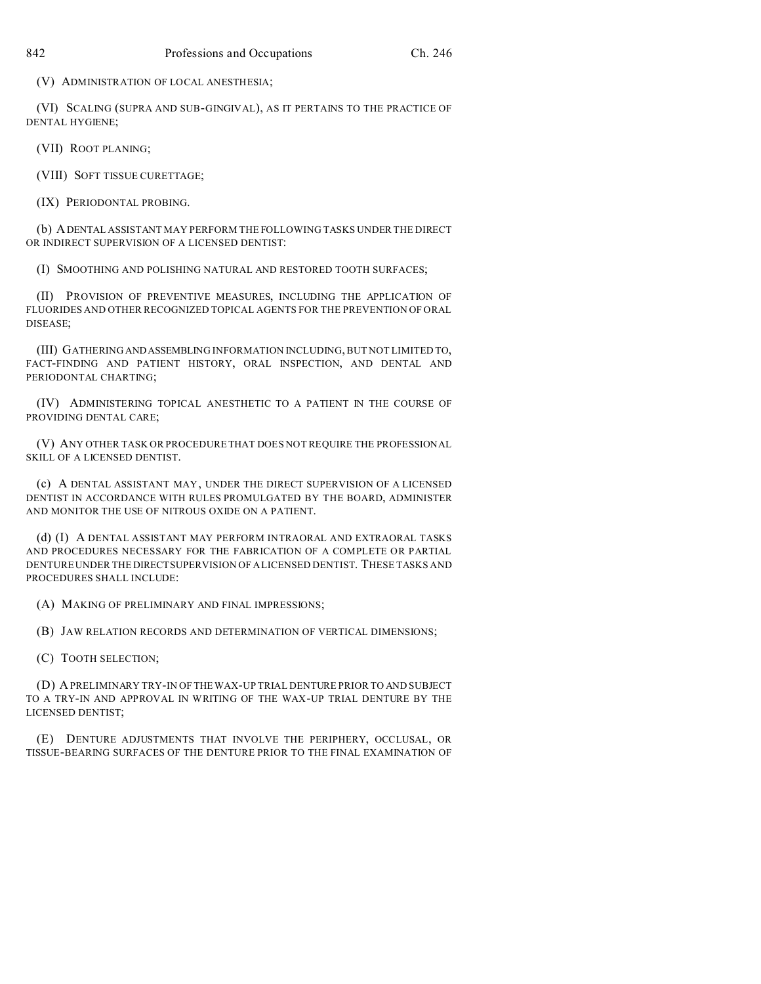(V) ADMINISTRATION OF LOCAL ANESTHESIA;

(VI) SCALING (SUPRA AND SUB-GINGIVAL), AS IT PERTAINS TO THE PRACTICE OF DENTAL HYGIENE;

(VII) ROOT PLANING;

(VIII) SOFT TISSUE CURETTAGE;

(IX) PERIODONTAL PROBING.

(b) ADENTAL ASSISTANT MAY PERFORM THE FOLLOWING TASKS UNDER THE DIRECT OR INDIRECT SUPERVISION OF A LICENSED DENTIST:

(I) SMOOTHING AND POLISHING NATURAL AND RESTORED TOOTH SURFACES;

(II) PROVISION OF PREVENTIVE MEASURES, INCLUDING THE APPLICATION OF FLUORIDES AND OTHER RECOGNIZED TOPICAL AGENTS FOR THE PREVENTION OF ORAL DISEASE;

(III) GATHERING ANDASSEMBLING INFORMATION INCLUDING, BUT NOT LIMITED TO, FACT-FINDING AND PATIENT HISTORY, ORAL INSPECTION, AND DENTAL AND PERIODONTAL CHARTING;

(IV) ADMINISTERING TOPICAL ANESTHETIC TO A PATIENT IN THE COURSE OF PROVIDING DENTAL CARE;

(V) ANY OTHER TASK OR PROCEDURE THAT DOES NOT REQUIRE THE PROFESSIONAL SKILL OF A LICENSED DENTIST.

(c) A DENTAL ASSISTANT MAY, UNDER THE DIRECT SUPERVISION OF A LICENSED DENTIST IN ACCORDANCE WITH RULES PROMULGATED BY THE BOARD, ADMINISTER AND MONITOR THE USE OF NITROUS OXIDE ON A PATIENT.

(d) (I) A DENTAL ASSISTANT MAY PERFORM INTRAORAL AND EXTRAORAL TASKS AND PROCEDURES NECESSARY FOR THE FABRICATION OF A COMPLETE OR PARTIAL DENTURE UNDER THE DIRECT SUPERVISION OF A LICENSED DENTIST. THESE TASKS AND PROCEDURES SHALL INCLUDE:

(A) MAKING OF PRELIMINARY AND FINAL IMPRESSIONS;

(B) JAW RELATION RECORDS AND DETERMINATION OF VERTICAL DIMENSIONS;

(C) TOOTH SELECTION;

(D) A PRELIMINARY TRY-IN OF THEWAX-UP TRIAL DENTURE PRIOR TO AND SUBJECT TO A TRY-IN AND APPROVAL IN WRITING OF THE WAX-UP TRIAL DENTURE BY THE LICENSED DENTIST;

(E) DENTURE ADJUSTMENTS THAT INVOLVE THE PERIPHERY, OCCLUSAL, OR TISSUE-BEARING SURFACES OF THE DENTURE PRIOR TO THE FINAL EXAMINATION OF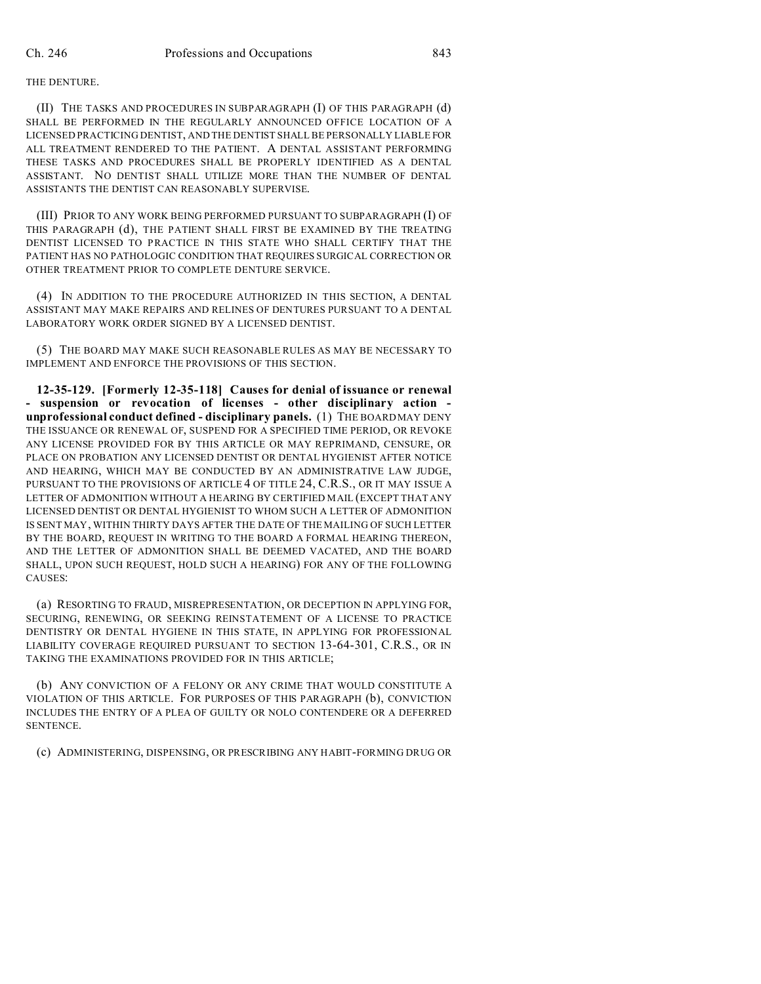## THE DENTURE.

(II) THE TASKS AND PROCEDURES IN SUBPARAGRAPH (I) OF THIS PARAGRAPH (d) SHALL BE PERFORMED IN THE REGULARLY ANNOUNCED OFFICE LOCATION OF A LICENSED PRACTICING DENTIST, AND THE DENTIST SHALL BE PERSONALLY LIABLE FOR ALL TREATMENT RENDERED TO THE PATIENT. A DENTAL ASSISTANT PERFORMING THESE TASKS AND PROCEDURES SHALL BE PROPERLY IDENTIFIED AS A DENTAL ASSISTANT. NO DENTIST SHALL UTILIZE MORE THAN THE NUMBER OF DENTAL ASSISTANTS THE DENTIST CAN REASONABLY SUPERVISE.

(III) PRIOR TO ANY WORK BEING PERFORMED PURSUANT TO SUBPARAGRAPH (I) OF THIS PARAGRAPH (d), THE PATIENT SHALL FIRST BE EXAMINED BY THE TREATING DENTIST LICENSED TO PRACTICE IN THIS STATE WHO SHALL CERTIFY THAT THE PATIENT HAS NO PATHOLOGIC CONDITION THAT REQUIRES SURGICAL CORRECTION OR OTHER TREATMENT PRIOR TO COMPLETE DENTURE SERVICE.

(4) IN ADDITION TO THE PROCEDURE AUTHORIZED IN THIS SECTION, A DENTAL ASSISTANT MAY MAKE REPAIRS AND RELINES OF DENTURES PURSUANT TO A DENTAL LABORATORY WORK ORDER SIGNED BY A LICENSED DENTIST.

(5) THE BOARD MAY MAKE SUCH REASONABLE RULES AS MAY BE NECESSARY TO IMPLEMENT AND ENFORCE THE PROVISIONS OF THIS SECTION.

**12-35-129. [Formerly 12-35-118] Causes for denial of issuance or renewal - suspension or revocation of licenses - other disciplinary action unprofessional conduct defined - disciplinary panels.** (1) THE BOARD MAY DENY THE ISSUANCE OR RENEWAL OF, SUSPEND FOR A SPECIFIED TIME PERIOD, OR REVOKE ANY LICENSE PROVIDED FOR BY THIS ARTICLE OR MAY REPRIMAND, CENSURE, OR PLACE ON PROBATION ANY LICENSED DENTIST OR DENTAL HYGIENIST AFTER NOTICE AND HEARING, WHICH MAY BE CONDUCTED BY AN ADMINISTRATIVE LAW JUDGE, PURSUANT TO THE PROVISIONS OF ARTICLE 4 OF TITLE 24, C.R.S., OR IT MAY ISSUE A LETTER OF ADMONITION WITHOUT A HEARING BY CERTIFIED MAIL (EXCEPT THAT ANY LICENSED DENTIST OR DENTAL HYGIENIST TO WHOM SUCH A LETTER OF ADMONITION IS SENT MAY, WITHIN THIRTY DAYS AFTER THE DATE OF THE MAILING OF SUCH LETTER BY THE BOARD, REQUEST IN WRITING TO THE BOARD A FORMAL HEARING THEREON, AND THE LETTER OF ADMONITION SHALL BE DEEMED VACATED, AND THE BOARD SHALL, UPON SUCH REQUEST, HOLD SUCH A HEARING) FOR ANY OF THE FOLLOWING CAUSES:

(a) RESORTING TO FRAUD, MISREPRESENTATION, OR DECEPTION IN APPLYING FOR, SECURING, RENEWING, OR SEEKING REINSTATEMENT OF A LICENSE TO PRACTICE DENTISTRY OR DENTAL HYGIENE IN THIS STATE, IN APPLYING FOR PROFESSIONAL LIABILITY COVERAGE REQUIRED PURSUANT TO SECTION 13-64-301, C.R.S., OR IN TAKING THE EXAMINATIONS PROVIDED FOR IN THIS ARTICLE;

(b) ANY CONVICTION OF A FELONY OR ANY CRIME THAT WOULD CONSTITUTE A VIOLATION OF THIS ARTICLE. FOR PURPOSES OF THIS PARAGRAPH (b), CONVICTION INCLUDES THE ENTRY OF A PLEA OF GUILTY OR NOLO CONTENDERE OR A DEFERRED SENTENCE.

(c) ADMINISTERING, DISPENSING, OR PRESCRIBING ANY HABIT-FORMING DRUG OR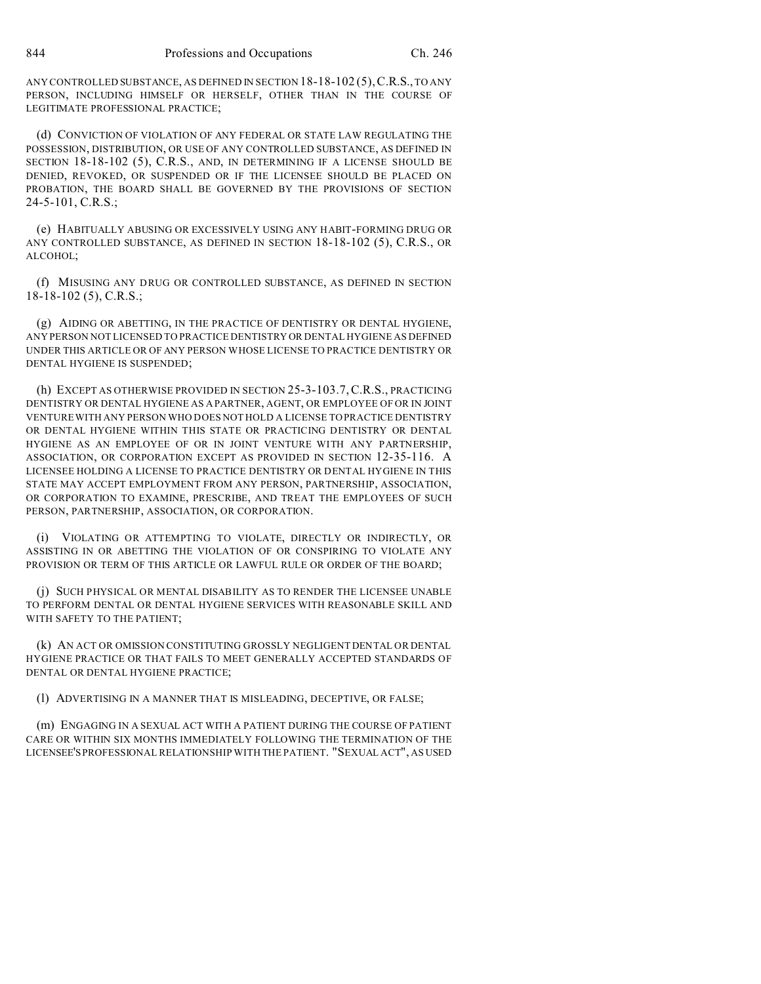ANY CONTROLLED SUBSTANCE, AS DEFINED IN SECTION 18-18-102 (5),C.R.S., TO ANY PERSON, INCLUDING HIMSELF OR HERSELF, OTHER THAN IN THE COURSE OF LEGITIMATE PROFESSIONAL PRACTICE;

(d) CONVICTION OF VIOLATION OF ANY FEDERAL OR STATE LAW REGULATING THE POSSESSION, DISTRIBUTION, OR USE OF ANY CONTROLLED SUBSTANCE, AS DEFINED IN SECTION 18-18-102 (5), C.R.S., AND, IN DETERMINING IF A LICENSE SHOULD BE DENIED, REVOKED, OR SUSPENDED OR IF THE LICENSEE SHOULD BE PLACED ON PROBATION, THE BOARD SHALL BE GOVERNED BY THE PROVISIONS OF SECTION  $24-5-101$ , C.R.S.;

(e) HABITUALLY ABUSING OR EXCESSIVELY USING ANY HABIT-FORMING DRUG OR ANY CONTROLLED SUBSTANCE, AS DEFINED IN SECTION 18-18-102 (5), C.R.S., OR ALCOHOL;

(f) MISUSING ANY DRUG OR CONTROLLED SUBSTANCE, AS DEFINED IN SECTION 18-18-102 (5), C.R.S.;

(g) AIDING OR ABETTING, IN THE PRACTICE OF DENTISTRY OR DENTAL HYGIENE, ANY PERSON NOT LICENSED TO PRACTICE DENTISTRY OR DENTAL HYGIENE AS DEFINED UNDER THIS ARTICLE OR OF ANY PERSON WHOSE LICENSE TO PRACTICE DENTISTRY OR DENTAL HYGIENE IS SUSPENDED;

(h) EXCEPT AS OTHERWISE PROVIDED IN SECTION 25-3-103.7,C.R.S., PRACTICING DENTISTRY OR DENTAL HYGIENE AS A PARTNER, AGENT, OR EMPLOYEE OF OR IN JOINT VENTURE WITH ANY PERSON WHO DOES NOT HOLD A LICENSE TO PRACTICE DENTISTRY OR DENTAL HYGIENE WITHIN THIS STATE OR PRACTICING DENTISTRY OR DENTAL HYGIENE AS AN EMPLOYEE OF OR IN JOINT VENTURE WITH ANY PARTNERSHIP, ASSOCIATION, OR CORPORATION EXCEPT AS PROVIDED IN SECTION 12-35-116. A LICENSEE HOLDING A LICENSE TO PRACTICE DENTISTRY OR DENTAL HYGIENE IN THIS STATE MAY ACCEPT EMPLOYMENT FROM ANY PERSON, PARTNERSHIP, ASSOCIATION, OR CORPORATION TO EXAMINE, PRESCRIBE, AND TREAT THE EMPLOYEES OF SUCH PERSON, PARTNERSHIP, ASSOCIATION, OR CORPORATION.

(i) VIOLATING OR ATTEMPTING TO VIOLATE, DIRECTLY OR INDIRECTLY, OR ASSISTING IN OR ABETTING THE VIOLATION OF OR CONSPIRING TO VIOLATE ANY PROVISION OR TERM OF THIS ARTICLE OR LAWFUL RULE OR ORDER OF THE BOARD;

(j) SUCH PHYSICAL OR MENTAL DISABILITY AS TO RENDER THE LICENSEE UNABLE TO PERFORM DENTAL OR DENTAL HYGIENE SERVICES WITH REASONABLE SKILL AND WITH SAFETY TO THE PATIENT;

(k) AN ACT OR OMISSION CONSTITUTING GROSSLY NEGLIGENT DENTAL OR DENTAL HYGIENE PRACTICE OR THAT FAILS TO MEET GENERALLY ACCEPTED STANDARDS OF DENTAL OR DENTAL HYGIENE PRACTICE;

(l) ADVERTISING IN A MANNER THAT IS MISLEADING, DECEPTIVE, OR FALSE;

(m) ENGAGING IN A SEXUAL ACT WITH A PATIENT DURING THE COURSE OF PATIENT CARE OR WITHIN SIX MONTHS IMMEDIATELY FOLLOWING THE TERMINATION OF THE LICENSEE'SPROFESSIONAL RELATIONSHIP WITH THE PATIENT. "SEXUAL ACT", AS USED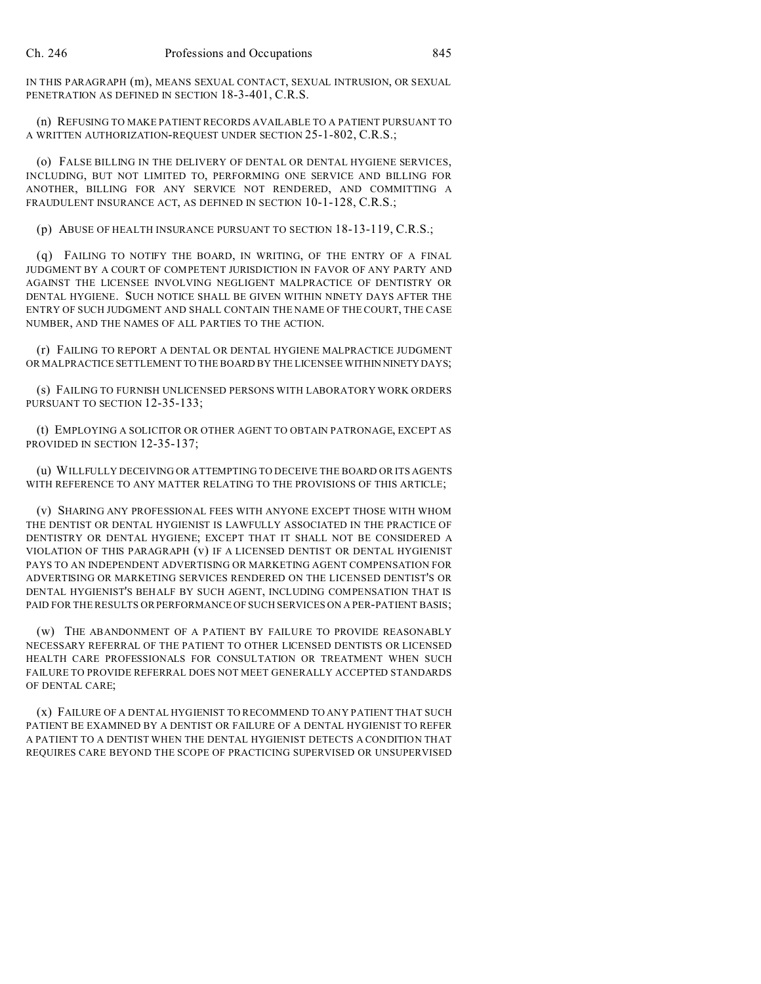IN THIS PARAGRAPH (m), MEANS SEXUAL CONTACT, SEXUAL INTRUSION, OR SEXUAL PENETRATION AS DEFINED IN SECTION 18-3-401, C.R.S.

(n) REFUSING TO MAKE PATIENT RECORDS AVAILABLE TO A PATIENT PURSUANT TO A WRITTEN AUTHORIZATION-REQUEST UNDER SECTION 25-1-802, C.R.S.;

(o) FALSE BILLING IN THE DELIVERY OF DENTAL OR DENTAL HYGIENE SERVICES, INCLUDING, BUT NOT LIMITED TO, PERFORMING ONE SERVICE AND BILLING FOR ANOTHER, BILLING FOR ANY SERVICE NOT RENDERED, AND COMMITTING A FRAUDULENT INSURANCE ACT, AS DEFINED IN SECTION 10-1-128, C.R.S.;

(p) ABUSE OF HEALTH INSURANCE PURSUANT TO SECTION 18-13-119, C.R.S.;

(q) FAILING TO NOTIFY THE BOARD, IN WRITING, OF THE ENTRY OF A FINAL JUDGMENT BY A COURT OF COMPETENT JURISDICTION IN FAVOR OF ANY PARTY AND AGAINST THE LICENSEE INVOLVING NEGLIGENT MALPRACTICE OF DENTISTRY OR DENTAL HYGIENE. SUCH NOTICE SHALL BE GIVEN WITHIN NINETY DAYS AFTER THE ENTRY OF SUCH JUDGMENT AND SHALL CONTAIN THE NAME OF THE COURT, THE CASE NUMBER, AND THE NAMES OF ALL PARTIES TO THE ACTION.

(r) FAILING TO REPORT A DENTAL OR DENTAL HYGIENE MALPRACTICE JUDGMENT OR MALPRACTICE SETTLEMENT TO THE BOARD BY THE LICENSEE WITHIN NINETYDAYS;

(s) FAILING TO FURNISH UNLICENSED PERSONS WITH LABORATORY WORK ORDERS PURSUANT TO SECTION 12-35-133;

(t) EMPLOYING A SOLICITOR OR OTHER AGENT TO OBTAIN PATRONAGE, EXCEPT AS PROVIDED IN SECTION 12-35-137;

(u) WILLFULLY DECEIVING OR ATTEMPTING TO DECEIVE THE BOARD OR ITS AGENTS WITH REFERENCE TO ANY MATTER RELATING TO THE PROVISIONS OF THIS ARTICLE;

(v) SHARING ANY PROFESSIONAL FEES WITH ANYONE EXCEPT THOSE WITH WHOM THE DENTIST OR DENTAL HYGIENIST IS LAWFULLY ASSOCIATED IN THE PRACTICE OF DENTISTRY OR DENTAL HYGIENE; EXCEPT THAT IT SHALL NOT BE CONSIDERED A VIOLATION OF THIS PARAGRAPH (v) IF A LICENSED DENTIST OR DENTAL HYGIENIST PAYS TO AN INDEPENDENT ADVERTISING OR MARKETING AGENT COMPENSATION FOR ADVERTISING OR MARKETING SERVICES RENDERED ON THE LICENSED DENTIST'S OR DENTAL HYGIENIST'S BEHALF BY SUCH AGENT, INCLUDING COMPENSATION THAT IS PAID FOR THE RESULTS OR PERFORMANCE OF SUCH SERVICES ON A PER-PATIENT BASIS;

(w) THE ABANDONMENT OF A PATIENT BY FAILURE TO PROVIDE REASONABLY NECESSARY REFERRAL OF THE PATIENT TO OTHER LICENSED DENTISTS OR LICENSED HEALTH CARE PROFESSIONALS FOR CONSULTATION OR TREATMENT WHEN SUCH FAILURE TO PROVIDE REFERRAL DOES NOT MEET GENERALLY ACCEPTED STANDARDS OF DENTAL CARE;

(x) FAILURE OF A DENTAL HYGIENIST TO RECOMMEND TO ANY PATIENT THAT SUCH PATIENT BE EXAMINED BY A DENTIST OR FAILURE OF A DENTAL HYGIENIST TO REFER A PATIENT TO A DENTIST WHEN THE DENTAL HYGIENIST DETECTS A CONDITION THAT REQUIRES CARE BEYOND THE SCOPE OF PRACTICING SUPERVISED OR UNSUPERVISED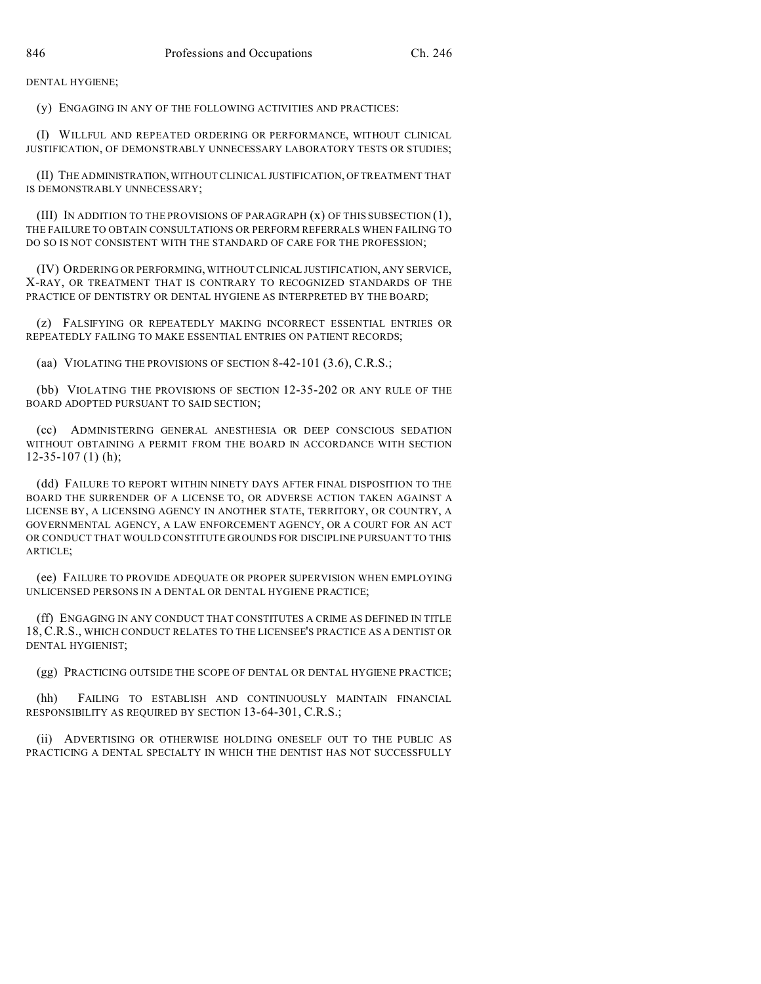DENTAL HYGIENE;

(y) ENGAGING IN ANY OF THE FOLLOWING ACTIVITIES AND PRACTICES:

(I) WILLFUL AND REPEATED ORDERING OR PERFORMANCE, WITHOUT CLINICAL JUSTIFICATION, OF DEMONSTRABLY UNNECESSARY LABORATORY TESTS OR STUDIES;

(II) THE ADMINISTRATION,WITHOUT CLINICAL JUSTIFICATION, OF TREATMENT THAT IS DEMONSTRABLY UNNECESSARY;

(III) IN ADDITION TO THE PROVISIONS OF PARAGRAPH  $(x)$  OF THIS SUBSECTION  $(1)$ , THE FAILURE TO OBTAIN CONSULTATIONS OR PERFORM REFERRALS WHEN FAILING TO DO SO IS NOT CONSISTENT WITH THE STANDARD OF CARE FOR THE PROFESSION;

(IV) ORDERING OR PERFORMING, WITHOUT CLINICAL JUSTIFICATION, ANY SERVICE, X-RAY, OR TREATMENT THAT IS CONTRARY TO RECOGNIZED STANDARDS OF THE PRACTICE OF DENTISTRY OR DENTAL HYGIENE AS INTERPRETED BY THE BOARD;

(z) FALSIFYING OR REPEATEDLY MAKING INCORRECT ESSENTIAL ENTRIES OR REPEATEDLY FAILING TO MAKE ESSENTIAL ENTRIES ON PATIENT RECORDS;

(aa) VIOLATING THE PROVISIONS OF SECTION 8-42-101 (3.6), C.R.S.;

(bb) VIOLATING THE PROVISIONS OF SECTION 12-35-202 OR ANY RULE OF THE BOARD ADOPTED PURSUANT TO SAID SECTION;

(cc) ADMINISTERING GENERAL ANESTHESIA OR DEEP CONSCIOUS SEDATION WITHOUT OBTAINING A PERMIT FROM THE BOARD IN ACCORDANCE WITH SECTION 12-35-107 (1) (h);

(dd) FAILURE TO REPORT WITHIN NINETY DAYS AFTER FINAL DISPOSITION TO THE BOARD THE SURRENDER OF A LICENSE TO, OR ADVERSE ACTION TAKEN AGAINST A LICENSE BY, A LICENSING AGENCY IN ANOTHER STATE, TERRITORY, OR COUNTRY, A GOVERNMENTAL AGENCY, A LAW ENFORCEMENT AGENCY, OR A COURT FOR AN ACT OR CONDUCT THAT WOULD CONSTITUTE GROUNDS FOR DISCIPLINE PURSUANT TO THIS ARTICLE;

(ee) FAILURE TO PROVIDE ADEQUATE OR PROPER SUPERVISION WHEN EMPLOYING UNLICENSED PERSONS IN A DENTAL OR DENTAL HYGIENE PRACTICE;

(ff) ENGAGING IN ANY CONDUCT THAT CONSTITUTES A CRIME AS DEFINED IN TITLE 18, C.R.S., WHICH CONDUCT RELATES TO THE LICENSEE'S PRACTICE AS A DENTIST OR DENTAL HYGIENIST;

(gg) PRACTICING OUTSIDE THE SCOPE OF DENTAL OR DENTAL HYGIENE PRACTICE;

(hh) FAILING TO ESTABLISH AND CONTINUOUSLY MAINTAIN FINANCIAL RESPONSIBILITY AS REQUIRED BY SECTION 13-64-301, C.R.S.;

(ii) ADVERTISING OR OTHERWISE HOLDING ONESELF OUT TO THE PUBLIC AS PRACTICING A DENTAL SPECIALTY IN WHICH THE DENTIST HAS NOT SUCCESSFULLY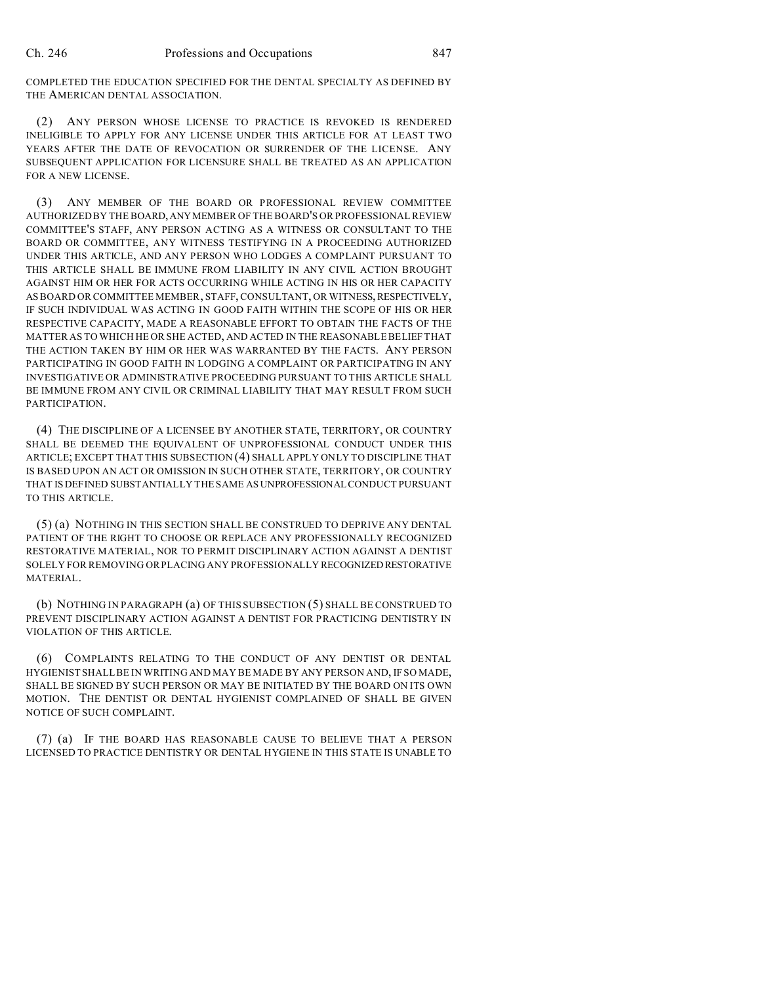COMPLETED THE EDUCATION SPECIFIED FOR THE DENTAL SPECIALTY AS DEFINED BY THE AMERICAN DENTAL ASSOCIATION.

(2) ANY PERSON WHOSE LICENSE TO PRACTICE IS REVOKED IS RENDERED INELIGIBLE TO APPLY FOR ANY LICENSE UNDER THIS ARTICLE FOR AT LEAST TWO YEARS AFTER THE DATE OF REVOCATION OR SURRENDER OF THE LICENSE. ANY SUBSEQUENT APPLICATION FOR LICENSURE SHALL BE TREATED AS AN APPLICATION FOR A NEW LICENSE.

(3) ANY MEMBER OF THE BOARD OR PROFESSIONAL REVIEW COMMITTEE AUTHORIZED BY THE BOARD,ANYMEMBER OF THE BOARD'S OR PROFESSIONAL REVIEW COMMITTEE'S STAFF, ANY PERSON ACTING AS A WITNESS OR CONSULTANT TO THE BOARD OR COMMITTEE, ANY WITNESS TESTIFYING IN A PROCEEDING AUTHORIZED UNDER THIS ARTICLE, AND ANY PERSON WHO LODGES A COMPLAINT PURSUANT TO THIS ARTICLE SHALL BE IMMUNE FROM LIABILITY IN ANY CIVIL ACTION BROUGHT AGAINST HIM OR HER FOR ACTS OCCURRING WHILE ACTING IN HIS OR HER CAPACITY AS BOARD OR COMMITTEE MEMBER, STAFF, CONSULTANT, OR WITNESS,RESPECTIVELY, IF SUCH INDIVIDUAL WAS ACTING IN GOOD FAITH WITHIN THE SCOPE OF HIS OR HER RESPECTIVE CAPACITY, MADE A REASONABLE EFFORT TO OBTAIN THE FACTS OF THE MATTER AS TO WHICH HE OR SHE ACTED, AND ACTED IN THE REASONABLE BELIEF THAT THE ACTION TAKEN BY HIM OR HER WAS WARRANTED BY THE FACTS. ANY PERSON PARTICIPATING IN GOOD FAITH IN LODGING A COMPLAINT OR PARTICIPATING IN ANY INVESTIGATIVE OR ADMINISTRATIVE PROCEEDING PURSUANT TO THIS ARTICLE SHALL BE IMMUNE FROM ANY CIVIL OR CRIMINAL LIABILITY THAT MAY RESULT FROM SUCH PARTICIPATION.

(4) THE DISCIPLINE OF A LICENSEE BY ANOTHER STATE, TERRITORY, OR COUNTRY SHALL BE DEEMED THE EQUIVALENT OF UNPROFESSIONAL CONDUCT UNDER THIS ARTICLE; EXCEPT THAT THIS SUBSECTION (4) SHALL APPLY ONLY TO DISCIPLINE THAT IS BASED UPON AN ACT OR OMISSION IN SUCH OTHER STATE, TERRITORY, OR COUNTRY THAT IS DEFINED SUBSTANTIALLY THE SAME AS UNPROFESSIONALCONDUCT PURSUANT TO THIS ARTICLE.

(5) (a) NOTHING IN THIS SECTION SHALL BE CONSTRUED TO DEPRIVE ANY DENTAL PATIENT OF THE RIGHT TO CHOOSE OR REPLACE ANY PROFESSIONALLY RECOGNIZED RESTORATIVE MATERIAL, NOR TO PERMIT DISCIPLINARY ACTION AGAINST A DENTIST SOLELY FOR REMOVING OR PLACING ANY PROFESSIONALLY RECOGNIZED RESTORATIVE MATERIAL.

(b) NOTHING IN PARAGRAPH (a) OF THIS SUBSECTION (5) SHALL BE CONSTRUED TO PREVENT DISCIPLINARY ACTION AGAINST A DENTIST FOR PRACTICING DENTISTRY IN VIOLATION OF THIS ARTICLE.

(6) COMPLAINTS RELATING TO THE CONDUCT OF ANY DENTIST OR DENTAL HYGIENIST SHALL BE IN WRITING AND MAY BE MADE BY ANY PERSON AND, IF SO MADE, SHALL BE SIGNED BY SUCH PERSON OR MAY BE INITIATED BY THE BOARD ON ITS OWN MOTION. THE DENTIST OR DENTAL HYGIENIST COMPLAINED OF SHALL BE GIVEN NOTICE OF SUCH COMPLAINT.

(7) (a) IF THE BOARD HAS REASONABLE CAUSE TO BELIEVE THAT A PERSON LICENSED TO PRACTICE DENTISTRY OR DENTAL HYGIENE IN THIS STATE IS UNABLE TO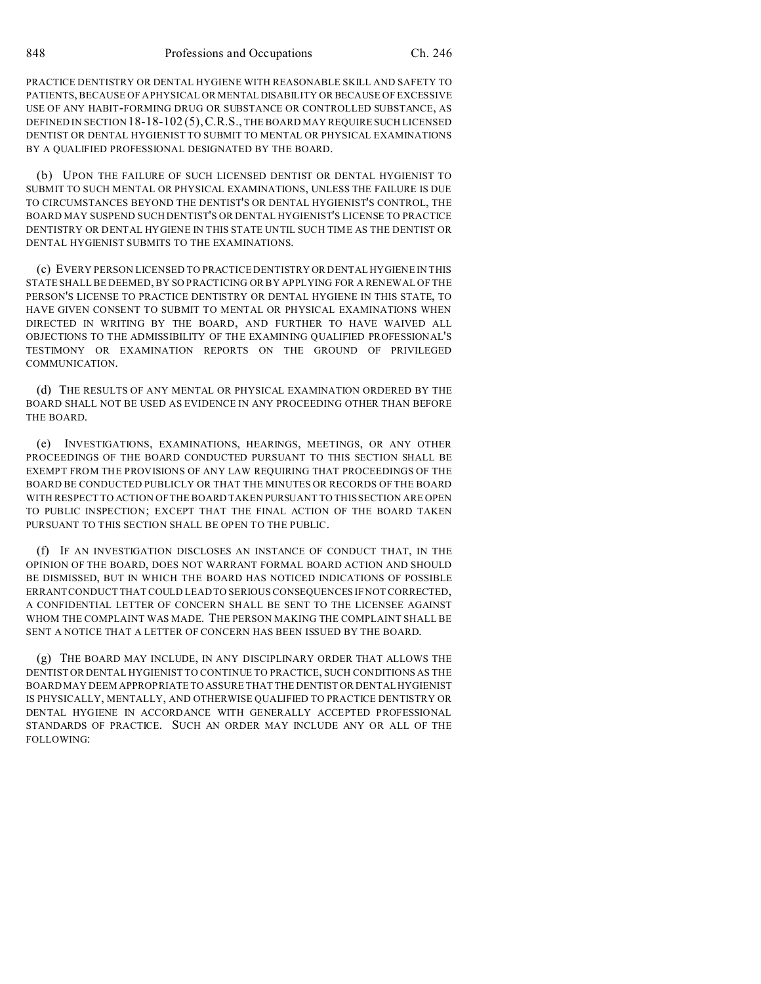PRACTICE DENTISTRY OR DENTAL HYGIENE WITH REASONABLE SKILL AND SAFETY TO PATIENTS, BECAUSE OF A PHYSICAL OR MENTAL DISABILITY OR BECAUSE OF EXCESSIVE USE OF ANY HABIT-FORMING DRUG OR SUBSTANCE OR CONTROLLED SUBSTANCE, AS DEFINED IN SECTION 18-18-102 (5),C.R.S., THE BOARD MAY REQUIRE SUCH LICENSED DENTIST OR DENTAL HYGIENIST TO SUBMIT TO MENTAL OR PHYSICAL EXAMINATIONS BY A QUALIFIED PROFESSIONAL DESIGNATED BY THE BOARD.

(b) UPON THE FAILURE OF SUCH LICENSED DENTIST OR DENTAL HYGIENIST TO SUBMIT TO SUCH MENTAL OR PHYSICAL EXAMINATIONS, UNLESS THE FAILURE IS DUE TO CIRCUMSTANCES BEYOND THE DENTIST'S OR DENTAL HYGIENIST'S CONTROL, THE BOARD MAY SUSPEND SUCH DENTIST'S OR DENTAL HYGIENIST'S LICENSE TO PRACTICE DENTISTRY OR DENTAL HYGIENE IN THIS STATE UNTIL SUCH TIME AS THE DENTIST OR DENTAL HYGIENIST SUBMITS TO THE EXAMINATIONS.

(c) EVERY PERSON LICENSED TO PRACTICE DENTISTRY OR DENTAL HYGIENE IN THIS STATE SHALL BE DEEMED, BY SO PRACTICING OR BY APPLYING FOR A RENEWAL OF THE PERSON'S LICENSE TO PRACTICE DENTISTRY OR DENTAL HYGIENE IN THIS STATE, TO HAVE GIVEN CONSENT TO SUBMIT TO MENTAL OR PHYSICAL EXAMINATIONS WHEN DIRECTED IN WRITING BY THE BOARD, AND FURTHER TO HAVE WAIVED ALL OBJECTIONS TO THE ADMISSIBILITY OF THE EXAMINING QUALIFIED PROFESSIONAL'S TESTIMONY OR EXAMINATION REPORTS ON THE GROUND OF PRIVILEGED COMMUNICATION.

(d) THE RESULTS OF ANY MENTAL OR PHYSICAL EXAMINATION ORDERED BY THE BOARD SHALL NOT BE USED AS EVIDENCE IN ANY PROCEEDING OTHER THAN BEFORE THE BOARD.

(e) INVESTIGATIONS, EXAMINATIONS, HEARINGS, MEETINGS, OR ANY OTHER PROCEEDINGS OF THE BOARD CONDUCTED PURSUANT TO THIS SECTION SHALL BE EXEMPT FROM THE PROVISIONS OF ANY LAW REQUIRING THAT PROCEEDINGS OF THE BOARD BE CONDUCTED PUBLICLY OR THAT THE MINUTES OR RECORDS OF THE BOARD WITH RESPECT TO ACTION OF THE BOARD TAKEN PURSUANT TO THIS SECTION ARE OPEN TO PUBLIC INSPECTION; EXCEPT THAT THE FINAL ACTION OF THE BOARD TAKEN PURSUANT TO THIS SECTION SHALL BE OPEN TO THE PUBLIC.

(f) IF AN INVESTIGATION DISCLOSES AN INSTANCE OF CONDUCT THAT, IN THE OPINION OF THE BOARD, DOES NOT WARRANT FORMAL BOARD ACTION AND SHOULD BE DISMISSED, BUT IN WHICH THE BOARD HAS NOTICED INDICATIONS OF POSSIBLE ERRANT CONDUCT THAT COULD LEAD TO SERIOUS CONSEQUENCES IF NOT CORRECTED, A CONFIDENTIAL LETTER OF CONCERN SHALL BE SENT TO THE LICENSEE AGAINST WHOM THE COMPLAINT WAS MADE. THE PERSON MAKING THE COMPLAINT SHALL BE SENT A NOTICE THAT A LETTER OF CONCERN HAS BEEN ISSUED BY THE BOARD.

(g) THE BOARD MAY INCLUDE, IN ANY DISCIPLINARY ORDER THAT ALLOWS THE DENTIST OR DENTAL HYGIENIST TO CONTINUE TO PRACTICE, SUCH CONDITIONS AS THE BOARD MAY DEEM APPROPRIATE TO ASSURE THAT THE DENTIST OR DENTALHYGIENIST IS PHYSICALLY, MENTALLY, AND OTHERWISE QUALIFIED TO PRACTICE DENTISTRY OR DENTAL HYGIENE IN ACCORDANCE WITH GENERALLY ACCEPTED PROFESSIONAL STANDARDS OF PRACTICE. SUCH AN ORDER MAY INCLUDE ANY OR ALL OF THE FOLLOWING: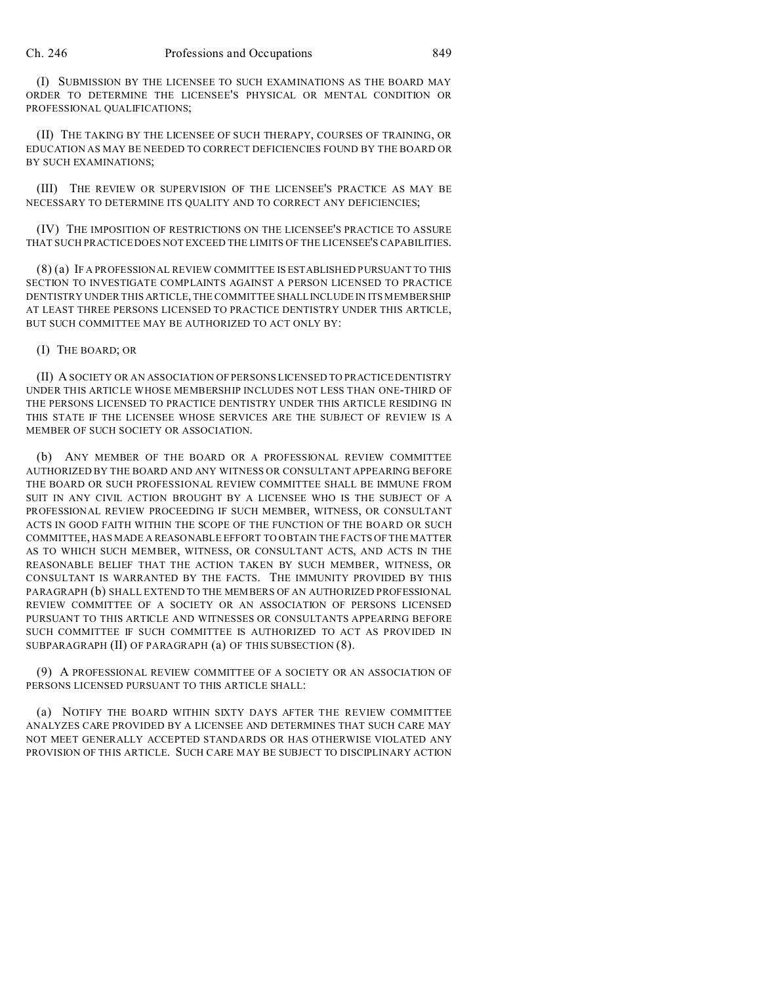(I) SUBMISSION BY THE LICENSEE TO SUCH EXAMINATIONS AS THE BOARD MAY ORDER TO DETERMINE THE LICENSEE'S PHYSICAL OR MENTAL CONDITION OR PROFESSIONAL QUALIFICATIONS;

(II) THE TAKING BY THE LICENSEE OF SUCH THERAPY, COURSES OF TRAINING, OR EDUCATION AS MAY BE NEEDED TO CORRECT DEFICIENCIES FOUND BY THE BOARD OR BY SUCH EXAMINATIONS;

(III) THE REVIEW OR SUPERVISION OF THE LICENSEE'S PRACTICE AS MAY BE NECESSARY TO DETERMINE ITS QUALITY AND TO CORRECT ANY DEFICIENCIES;

(IV) THE IMPOSITION OF RESTRICTIONS ON THE LICENSEE'S PRACTICE TO ASSURE THAT SUCH PRACTICE DOES NOT EXCEED THE LIMITS OF THE LICENSEE'S CAPABILITIES.

(8) (a) IF A PROFESSIONAL REVIEW COMMITTEE IS ESTABLISHED PURSUANT TO THIS SECTION TO INVESTIGATE COMPLAINTS AGAINST A PERSON LICENSED TO PRACTICE DENTISTRY UNDER THIS ARTICLE, THE COMMITTEE SHALLINCLUDE IN ITS MEMBERSHIP AT LEAST THREE PERSONS LICENSED TO PRACTICE DENTISTRY UNDER THIS ARTICLE, BUT SUCH COMMITTEE MAY BE AUTHORIZED TO ACT ONLY BY:

(I) THE BOARD; OR

(II) A SOCIETY OR AN ASSOCIATION OF PERSONS LICENSED TO PRACTICE DENTISTRY UNDER THIS ARTICLE WHOSE MEMBERSHIP INCLUDES NOT LESS THAN ONE-THIRD OF THE PERSONS LICENSED TO PRACTICE DENTISTRY UNDER THIS ARTICLE RESIDING IN THIS STATE IF THE LICENSEE WHOSE SERVICES ARE THE SUBJECT OF REVIEW IS A MEMBER OF SUCH SOCIETY OR ASSOCIATION.

(b) ANY MEMBER OF THE BOARD OR A PROFESSIONAL REVIEW COMMITTEE AUTHORIZED BY THE BOARD AND ANY WITNESS OR CONSULTANT APPEARING BEFORE THE BOARD OR SUCH PROFESSIONAL REVIEW COMMITTEE SHALL BE IMMUNE FROM SUIT IN ANY CIVIL ACTION BROUGHT BY A LICENSEE WHO IS THE SUBJECT OF A PROFESSIONAL REVIEW PROCEEDING IF SUCH MEMBER, WITNESS, OR CONSULTANT ACTS IN GOOD FAITH WITHIN THE SCOPE OF THE FUNCTION OF THE BOARD OR SUCH COMMITTEE, HAS MADE A REASONABLE EFFORT TO OBTAIN THE FACTS OF THE MATTER AS TO WHICH SUCH MEMBER, WITNESS, OR CONSULTANT ACTS, AND ACTS IN THE REASONABLE BELIEF THAT THE ACTION TAKEN BY SUCH MEMBER, WITNESS, OR CONSULTANT IS WARRANTED BY THE FACTS. THE IMMUNITY PROVIDED BY THIS PARAGRAPH (b) SHALL EXTEND TO THE MEMBERS OF AN AUTHORIZED PROFESSIONAL REVIEW COMMITTEE OF A SOCIETY OR AN ASSOCIATION OF PERSONS LICENSED PURSUANT TO THIS ARTICLE AND WITNESSES OR CONSULTANTS APPEARING BEFORE SUCH COMMITTEE IF SUCH COMMITTEE IS AUTHORIZED TO ACT AS PROVIDED IN SUBPARAGRAPH (II) OF PARAGRAPH (a) OF THIS SUBSECTION (8).

(9) A PROFESSIONAL REVIEW COMMITTEE OF A SOCIETY OR AN ASSOCIATION OF PERSONS LICENSED PURSUANT TO THIS ARTICLE SHALL:

(a) NOTIFY THE BOARD WITHIN SIXTY DAYS AFTER THE REVIEW COMMITTEE ANALYZES CARE PROVIDED BY A LICENSEE AND DETERMINES THAT SUCH CARE MAY NOT MEET GENERALLY ACCEPTED STANDARDS OR HAS OTHERWISE VIOLATED ANY PROVISION OF THIS ARTICLE. SUCH CARE MAY BE SUBJECT TO DISCIPLINARY ACTION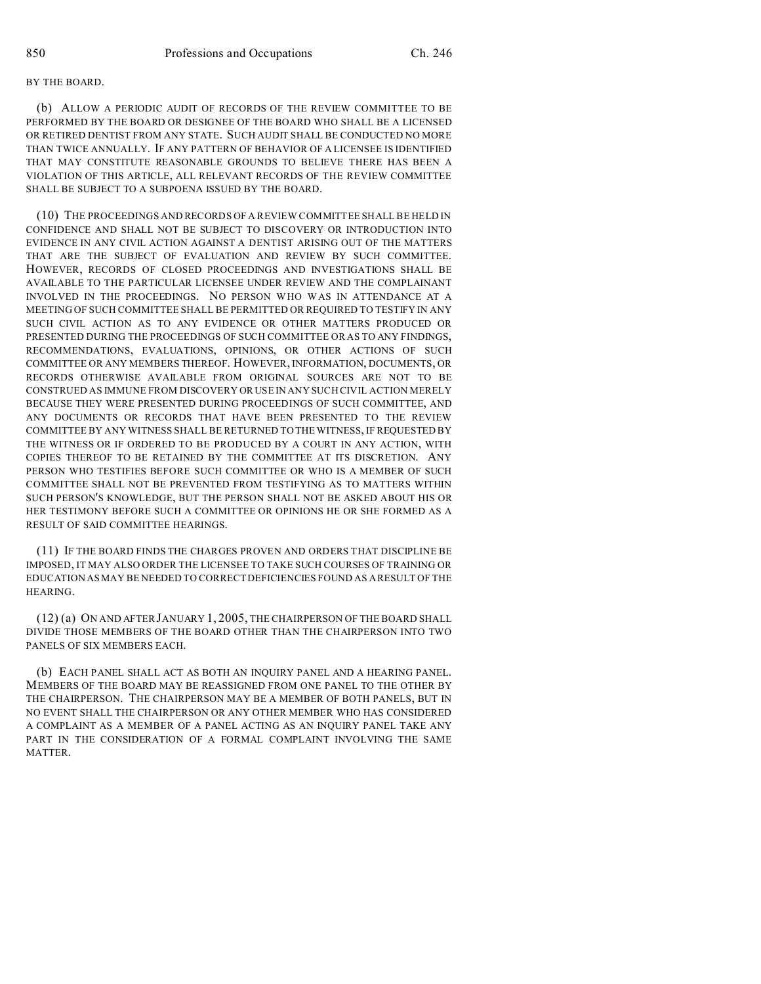#### BY THE BOARD.

(b) ALLOW A PERIODIC AUDIT OF RECORDS OF THE REVIEW COMMITTEE TO BE PERFORMED BY THE BOARD OR DESIGNEE OF THE BOARD WHO SHALL BE A LICENSED OR RETIRED DENTIST FROM ANY STATE. SUCH AUDIT SHALL BE CONDUCTED NO MORE THAN TWICE ANNUALLY. IF ANY PATTERN OF BEHAVIOR OF A LICENSEE IS IDENTIFIED THAT MAY CONSTITUTE REASONABLE GROUNDS TO BELIEVE THERE HAS BEEN A VIOLATION OF THIS ARTICLE, ALL RELEVANT RECORDS OF THE REVIEW COMMITTEE SHALL BE SUBJECT TO A SUBPOENA ISSUED BY THE BOARD.

(10) THE PROCEEDINGS AND RECORDS OF A REVIEW COMMITTEE SHALL BE HELD IN CONFIDENCE AND SHALL NOT BE SUBJECT TO DISCOVERY OR INTRODUCTION INTO EVIDENCE IN ANY CIVIL ACTION AGAINST A DENTIST ARISING OUT OF THE MATTERS THAT ARE THE SUBJECT OF EVALUATION AND REVIEW BY SUCH COMMITTEE. HOWEVER, RECORDS OF CLOSED PROCEEDINGS AND INVESTIGATIONS SHALL BE AVAILABLE TO THE PARTICULAR LICENSEE UNDER REVIEW AND THE COMPLAINANT INVOLVED IN THE PROCEEDINGS. NO PERSON WHO WAS IN ATTENDANCE AT A MEETING OF SUCH COMMITTEE SHALL BE PERMITTED OR REQUIRED TO TESTIFY IN ANY SUCH CIVIL ACTION AS TO ANY EVIDENCE OR OTHER MATTERS PRODUCED OR PRESENTED DURING THE PROCEEDINGS OF SUCH COMMITTEE OR AS TO ANY FINDINGS, RECOMMENDATIONS, EVALUATIONS, OPINIONS, OR OTHER ACTIONS OF SUCH COMMITTEE OR ANY MEMBERS THEREOF. HOWEVER, INFORMATION, DOCUMENTS, OR RECORDS OTHERWISE AVAILABLE FROM ORIGINAL SOURCES ARE NOT TO BE CONSTRUED AS IMMUNE FROM DISCOVERY OR USE IN ANY SUCH CIVIL ACTION MERELY BECAUSE THEY WERE PRESENTED DURING PROCEEDINGS OF SUCH COMMITTEE, AND ANY DOCUMENTS OR RECORDS THAT HAVE BEEN PRESENTED TO THE REVIEW COMMITTEE BY ANY WITNESS SHALL BE RETURNED TO THE WITNESS, IF REQUESTED BY THE WITNESS OR IF ORDERED TO BE PRODUCED BY A COURT IN ANY ACTION, WITH COPIES THEREOF TO BE RETAINED BY THE COMMITTEE AT ITS DISCRETION. ANY PERSON WHO TESTIFIES BEFORE SUCH COMMITTEE OR WHO IS A MEMBER OF SUCH COMMITTEE SHALL NOT BE PREVENTED FROM TESTIFYING AS TO MATTERS WITHIN SUCH PERSON'S KNOWLEDGE, BUT THE PERSON SHALL NOT BE ASKED ABOUT HIS OR HER TESTIMONY BEFORE SUCH A COMMITTEE OR OPINIONS HE OR SHE FORMED AS A RESULT OF SAID COMMITTEE HEARINGS.

(11) IF THE BOARD FINDS THE CHARGES PROVEN AND ORDERS THAT DISCIPLINE BE IMPOSED, IT MAY ALSO ORDER THE LICENSEE TO TAKE SUCH COURSES OF TRAINING OR EDUCATION AS MAY BE NEEDED TO CORRECT DEFICIENCIES FOUND AS A RESULT OF THE HEARING.

(12) (a) ON AND AFTER JANUARY 1, 2005, THE CHAIRPERSON OF THE BOARD SHALL DIVIDE THOSE MEMBERS OF THE BOARD OTHER THAN THE CHAIRPERSON INTO TWO PANELS OF SIX MEMBERS EACH.

(b) EACH PANEL SHALL ACT AS BOTH AN INQUIRY PANEL AND A HEARING PANEL. MEMBERS OF THE BOARD MAY BE REASSIGNED FROM ONE PANEL TO THE OTHER BY THE CHAIRPERSON. THE CHAIRPERSON MAY BE A MEMBER OF BOTH PANELS, BUT IN NO EVENT SHALL THE CHAIRPERSON OR ANY OTHER MEMBER WHO HAS CONSIDERED A COMPLAINT AS A MEMBER OF A PANEL ACTING AS AN INQUIRY PANEL TAKE ANY PART IN THE CONSIDERATION OF A FORMAL COMPLAINT INVOLVING THE SAME MATTER.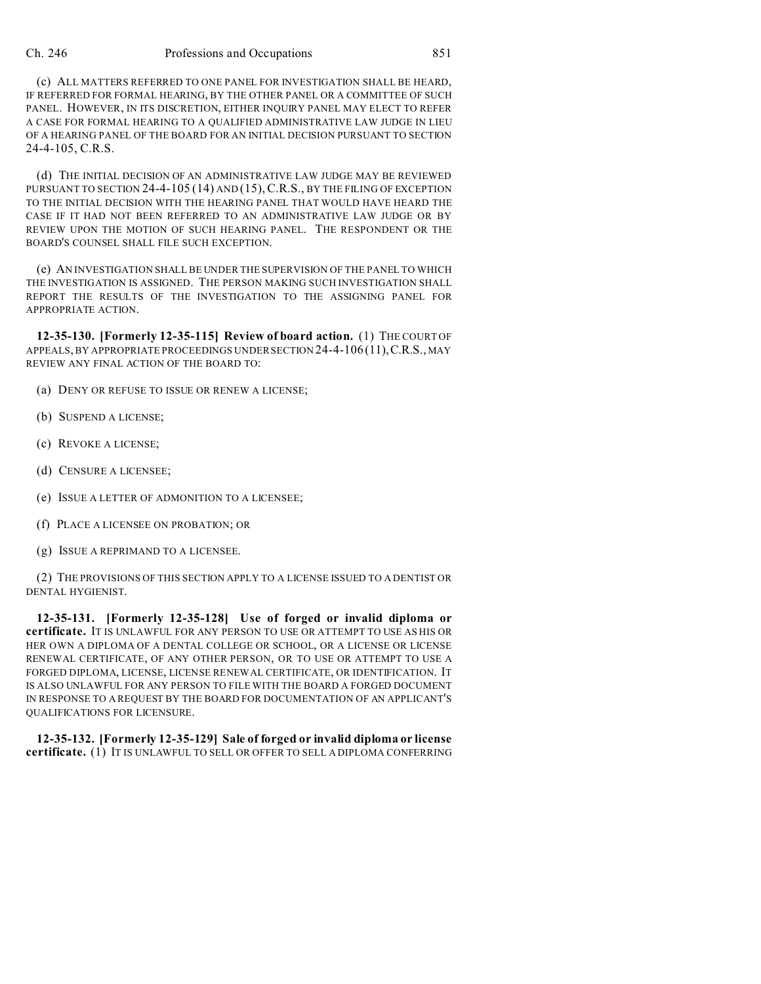(c) ALL MATTERS REFERRED TO ONE PANEL FOR INVESTIGATION SHALL BE HEARD, IF REFERRED FOR FORMAL HEARING, BY THE OTHER PANEL OR A COMMITTEE OF SUCH PANEL. HOWEVER, IN ITS DISCRETION, EITHER INQUIRY PANEL MAY ELECT TO REFER A CASE FOR FORMAL HEARING TO A QUALIFIED ADMINISTRATIVE LAW JUDGE IN LIEU OF A HEARING PANEL OF THE BOARD FOR AN INITIAL DECISION PURSUANT TO SECTION 24-4-105, C.R.S.

(d) THE INITIAL DECISION OF AN ADMINISTRATIVE LAW JUDGE MAY BE REVIEWED PURSUANT TO SECTION  $24-4-105(14)$  and  $(15)$ , C.R.S., by the filing of exception TO THE INITIAL DECISION WITH THE HEARING PANEL THAT WOULD HAVE HEARD THE CASE IF IT HAD NOT BEEN REFERRED TO AN ADMINISTRATIVE LAW JUDGE OR BY REVIEW UPON THE MOTION OF SUCH HEARING PANEL. THE RESPONDENT OR THE BOARD'S COUNSEL SHALL FILE SUCH EXCEPTION.

(e) AN INVESTIGATION SHALL BE UNDER THE SUPERVISION OF THE PANEL TO WHICH THE INVESTIGATION IS ASSIGNED. THE PERSON MAKING SUCH INVESTIGATION SHALL REPORT THE RESULTS OF THE INVESTIGATION TO THE ASSIGNING PANEL FOR APPROPRIATE ACTION.

**12-35-130. [Formerly 12-35-115] Review of board action.** (1) THE COURT OF APPEALS, BY APPROPRIATE PROCEEDINGS UNDER SECTION 24-4-106 (11), C.R.S., MAY REVIEW ANY FINAL ACTION OF THE BOARD TO:

- (a) DENY OR REFUSE TO ISSUE OR RENEW A LICENSE;
- (b) SUSPEND A LICENSE;
- (c) REVOKE A LICENSE;
- (d) CENSURE A LICENSEE;
- (e) ISSUE A LETTER OF ADMONITION TO A LICENSEE;
- (f) PLACE A LICENSEE ON PROBATION; OR
- (g) ISSUE A REPRIMAND TO A LICENSEE.

(2) THE PROVISIONS OF THIS SECTION APPLY TO A LICENSE ISSUED TO A DENTIST OR DENTAL HYGIENIST.

**12-35-131. [Formerly 12-35-128] Use of forged or invalid diploma or certificate.** IT IS UNLAWFUL FOR ANY PERSON TO USE OR ATTEMPT TO USE AS HIS OR HER OWN A DIPLOMA OF A DENTAL COLLEGE OR SCHOOL, OR A LICENSE OR LICENSE RENEWAL CERTIFICATE, OF ANY OTHER PERSON, OR TO USE OR ATTEMPT TO USE A FORGED DIPLOMA, LICENSE, LICENSE RENEWAL CERTIFICATE, OR IDENTIFICATION. IT IS ALSO UNLAWFUL FOR ANY PERSON TO FILE WITH THE BOARD A FORGED DOCUMENT IN RESPONSE TO A REQUEST BY THE BOARD FOR DOCUMENTATION OF AN APPLICANT'S QUALIFICATIONS FOR LICENSURE.

**12-35-132. [Formerly 12-35-129] Sale of forged or invalid diploma or license certificate.** (1) IT IS UNLAWFUL TO SELL OR OFFER TO SELL A DIPLOMA CONFERRING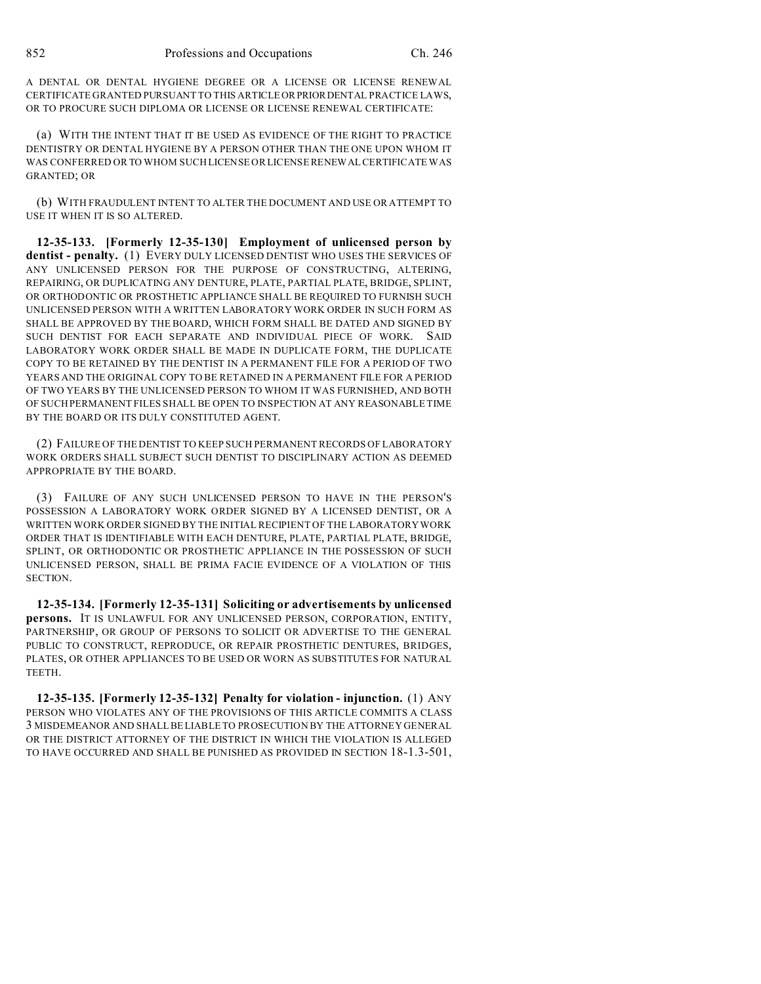A DENTAL OR DENTAL HYGIENE DEGREE OR A LICENSE OR LICENSE RENEWAL CERTIFICATE GRANTED PURSUANT TO THIS ARTICLEORPRIORDENTAL PRACTICE LAWS, OR TO PROCURE SUCH DIPLOMA OR LICENSE OR LICENSE RENEWAL CERTIFICATE:

(a) WITH THE INTENT THAT IT BE USED AS EVIDENCE OF THE RIGHT TO PRACTICE DENTISTRY OR DENTAL HYGIENE BY A PERSON OTHER THAN THE ONE UPON WHOM IT WAS CONFERRED OR TO WHOM SUCH LICENSE OR LICENSE RENEWAL CERTIFICATE WAS GRANTED; OR

(b) WITH FRAUDULENT INTENT TO ALTER THE DOCUMENT AND USE OR ATTEMPT TO USE IT WHEN IT IS SO ALTERED.

**12-35-133. [Formerly 12-35-130] Employment of unlicensed person by dentist - penalty.** (1) EVERY DULY LICENSED DENTIST WHO USES THE SERVICES OF ANY UNLICENSED PERSON FOR THE PURPOSE OF CONSTRUCTING, ALTERING, REPAIRING, OR DUPLICATING ANY DENTURE, PLATE, PARTIAL PLATE, BRIDGE, SPLINT, OR ORTHODONTIC OR PROSTHETIC APPLIANCE SHALL BE REQUIRED TO FURNISH SUCH UNLICENSED PERSON WITH A WRITTEN LABORATORY WORK ORDER IN SUCH FORM AS SHALL BE APPROVED BY THE BOARD, WHICH FORM SHALL BE DATED AND SIGNED BY SUCH DENTIST FOR EACH SEPARATE AND INDIVIDUAL PIECE OF WORK. SAID LABORATORY WORK ORDER SHALL BE MADE IN DUPLICATE FORM, THE DUPLICATE COPY TO BE RETAINED BY THE DENTIST IN A PERMANENT FILE FOR A PERIOD OF TWO YEARS AND THE ORIGINAL COPY TO BE RETAINED IN A PERMANENT FILE FOR A PERIOD OF TWO YEARS BY THE UNLICENSED PERSON TO WHOM IT WAS FURNISHED, AND BOTH OF SUCH PERMANENT FILES SHALL BE OPEN TO INSPECTION AT ANY REASONABLE TIME BY THE BOARD OR ITS DULY CONSTITUTED AGENT.

(2) FAILURE OF THE DENTIST TO KEEP SUCH PERMANENT RECORDS OF LABORATORY WORK ORDERS SHALL SUBJECT SUCH DENTIST TO DISCIPLINARY ACTION AS DEEMED APPROPRIATE BY THE BOARD.

(3) FAILURE OF ANY SUCH UNLICENSED PERSON TO HAVE IN THE PERSON'S POSSESSION A LABORATORY WORK ORDER SIGNED BY A LICENSED DENTIST, OR A WRITTEN WORK ORDER SIGNED BY THE INITIAL RECIPIENT OF THE LABORATORY WORK ORDER THAT IS IDENTIFIABLE WITH EACH DENTURE, PLATE, PARTIAL PLATE, BRIDGE, SPLINT, OR ORTHODONTIC OR PROSTHETIC APPLIANCE IN THE POSSESSION OF SUCH UNLICENSED PERSON, SHALL BE PRIMA FACIE EVIDENCE OF A VIOLATION OF THIS SECTION.

**12-35-134. [Formerly 12-35-131] Soliciting or advertisements by unlicensed persons.** IT IS UNLAWFUL FOR ANY UNLICENSED PERSON, CORPORATION, ENTITY, PARTNERSHIP, OR GROUP OF PERSONS TO SOLICIT OR ADVERTISE TO THE GENERAL PUBLIC TO CONSTRUCT, REPRODUCE, OR REPAIR PROSTHETIC DENTURES, BRIDGES, PLATES, OR OTHER APPLIANCES TO BE USED OR WORN AS SUBSTITUTES FOR NATURAL TEETH.

**12-35-135. [Formerly 12-35-132] Penalty for violation - injunction.** (1) ANY PERSON WHO VIOLATES ANY OF THE PROVISIONS OF THIS ARTICLE COMMITS A CLASS 3 MISDEMEANOR AND SHALL BE LIABLE TO PROSECUTION BY THE ATTORNEY GENERAL OR THE DISTRICT ATTORNEY OF THE DISTRICT IN WHICH THE VIOLATION IS ALLEGED TO HAVE OCCURRED AND SHALL BE PUNISHED AS PROVIDED IN SECTION 18-1.3-501,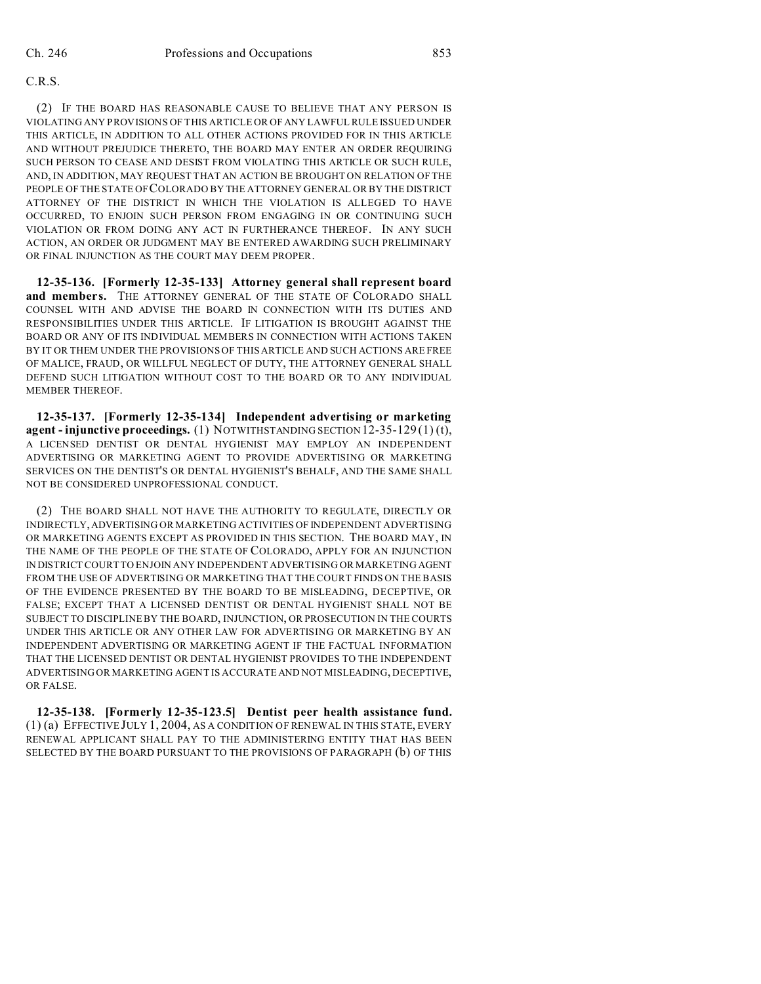### C.R.S.

(2) IF THE BOARD HAS REASONABLE CAUSE TO BELIEVE THAT ANY PERSON IS VIOLATING ANY PROVISIONS OF THIS ARTICLE OR OF ANY LAWFUL RULE ISSUED UNDER THIS ARTICLE, IN ADDITION TO ALL OTHER ACTIONS PROVIDED FOR IN THIS ARTICLE AND WITHOUT PREJUDICE THERETO, THE BOARD MAY ENTER AN ORDER REQUIRING SUCH PERSON TO CEASE AND DESIST FROM VIOLATING THIS ARTICLE OR SUCH RULE, AND, IN ADDITION, MAY REQUEST THAT AN ACTION BE BROUGHT ON RELATION OF THE PEOPLE OF THE STATE OF COLORADO BY THE ATTORNEY GENERAL OR BY THE DISTRICT ATTORNEY OF THE DISTRICT IN WHICH THE VIOLATION IS ALLEGED TO HAVE OCCURRED, TO ENJOIN SUCH PERSON FROM ENGAGING IN OR CONTINUING SUCH VIOLATION OR FROM DOING ANY ACT IN FURTHERANCE THEREOF. IN ANY SUCH ACTION, AN ORDER OR JUDGMENT MAY BE ENTERED AWARDING SUCH PRELIMINARY OR FINAL INJUNCTION AS THE COURT MAY DEEM PROPER.

**12-35-136. [Formerly 12-35-133] Attorney general shall represent board and members.** THE ATTORNEY GENERAL OF THE STATE OF COLORADO SHALL COUNSEL WITH AND ADVISE THE BOARD IN CONNECTION WITH ITS DUTIES AND RESPONSIBILITIES UNDER THIS ARTICLE. IF LITIGATION IS BROUGHT AGAINST THE BOARD OR ANY OF ITS INDIVIDUAL MEMBERS IN CONNECTION WITH ACTIONS TAKEN BY IT OR THEM UNDER THE PROVISIONS OF THIS ARTICLE AND SUCH ACTIONS ARE FREE OF MALICE, FRAUD, OR WILLFUL NEGLECT OF DUTY, THE ATTORNEY GENERAL SHALL DEFEND SUCH LITIGATION WITHOUT COST TO THE BOARD OR TO ANY INDIVIDUAL MEMBER THEREOF.

**12-35-137. [Formerly 12-35-134] Independent advertising or marketing agent - injunctive proceedings.** (1) NOTWITHSTANDING SECTION 12-35-129 (1) (t), A LICENSED DENTIST OR DENTAL HYGIENIST MAY EMPLOY AN INDEPENDENT ADVERTISING OR MARKETING AGENT TO PROVIDE ADVERTISING OR MARKETING SERVICES ON THE DENTIST'S OR DENTAL HYGIENIST'S BEHALF, AND THE SAME SHALL NOT BE CONSIDERED UNPROFESSIONAL CONDUCT.

(2) THE BOARD SHALL NOT HAVE THE AUTHORITY TO REGULATE, DIRECTLY OR INDIRECTLY,ADVERTISING OR MARKETING ACTIVITIES OF INDEPENDENT ADVERTISING OR MARKETING AGENTS EXCEPT AS PROVIDED IN THIS SECTION. THE BOARD MAY, IN THE NAME OF THE PEOPLE OF THE STATE OF COLORADO, APPLY FOR AN INJUNCTION IN DISTRICT COURT TO ENJOIN ANY INDEPENDENT ADVERTISING OR MARKETING AGENT FROM THE USE OF ADVERTISING OR MARKETING THAT THE COURT FINDS ON THE BASIS OF THE EVIDENCE PRESENTED BY THE BOARD TO BE MISLEADING, DECEPTIVE, OR FALSE; EXCEPT THAT A LICENSED DENTIST OR DENTAL HYGIENIST SHALL NOT BE SUBJECT TO DISCIPLINE BY THE BOARD, INJUNCTION, OR PROSECUTION IN THE COURTS UNDER THIS ARTICLE OR ANY OTHER LAW FOR ADVERTISING OR MARKETING BY AN INDEPENDENT ADVERTISING OR MARKETING AGENT IF THE FACTUAL INFORMATION THAT THE LICENSED DENTIST OR DENTAL HYGIENIST PROVIDES TO THE INDEPENDENT ADVERTISING OR MARKETING AGENT IS ACCURATE AND NOT MISLEADING, DECEPTIVE, OR FALSE.

**12-35-138. [Formerly 12-35-123.5] Dentist peer health assistance fund.** (1) (a) EFFECTIVE JULY 1, 2004, AS A CONDITION OF RENEWAL IN THIS STATE, EVERY RENEWAL APPLICANT SHALL PAY TO THE ADMINISTERING ENTITY THAT HAS BEEN SELECTED BY THE BOARD PURSUANT TO THE PROVISIONS OF PARAGRAPH (b) OF THIS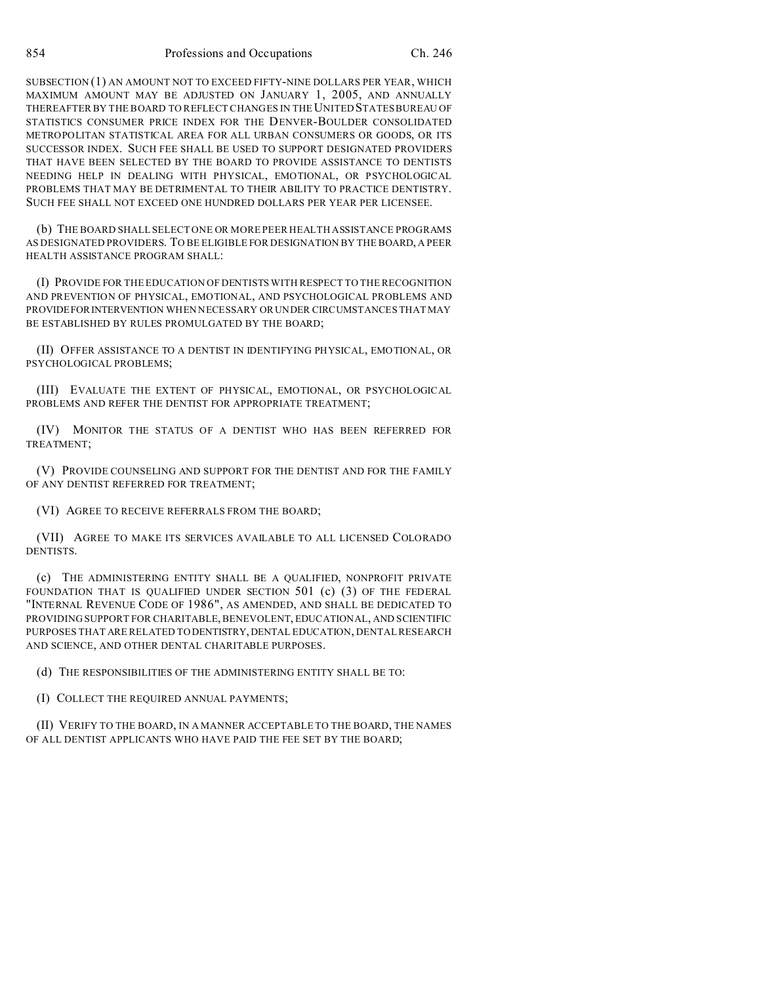SUBSECTION (1) AN AMOUNT NOT TO EXCEED FIFTY-NINE DOLLARS PER YEAR, WHICH MAXIMUM AMOUNT MAY BE ADJUSTED ON JANUARY 1, 2005, AND ANNUALLY THEREAFTER BY THE BOARD TO REFLECT CHANGES IN THE UNITED STATES BUREAU OF STATISTICS CONSUMER PRICE INDEX FOR THE DENVER-BOULDER CONSOLIDATED METROPOLITAN STATISTICAL AREA FOR ALL URBAN CONSUMERS OR GOODS, OR ITS SUCCESSOR INDEX. SUCH FEE SHALL BE USED TO SUPPORT DESIGNATED PROVIDERS THAT HAVE BEEN SELECTED BY THE BOARD TO PROVIDE ASSISTANCE TO DENTISTS NEEDING HELP IN DEALING WITH PHYSICAL, EMOTIONAL, OR PSYCHOLOGICAL PROBLEMS THAT MAY BE DETRIMENTAL TO THEIR ABILITY TO PRACTICE DENTISTRY. SUCH FEE SHALL NOT EXCEED ONE HUNDRED DOLLARS PER YEAR PER LICENSEE.

(b) THE BOARD SHALL SELECT ONE OR MORE PEER HEALTH ASSISTANCE PROGRAMS AS DESIGNATED PROVIDERS. TO BE ELIGIBLE FOR DESIGNATION BY THE BOARD, A PEER HEALTH ASSISTANCE PROGRAM SHALL:

(I) PROVIDE FOR THE EDUCATION OF DENTISTS WITH RESPECT TO THE RECOGNITION AND PREVENTION OF PHYSICAL, EMOTIONAL, AND PSYCHOLOGICAL PROBLEMS AND PROVIDEFORINTERVENTION WHEN NECESSARY OR UNDER CIRCUMSTANCES THAT MAY BE ESTABLISHED BY RULES PROMULGATED BY THE BOARD;

(II) OFFER ASSISTANCE TO A DENTIST IN IDENTIFYING PHYSICAL, EMOTIONAL, OR PSYCHOLOGICAL PROBLEMS;

(III) EVALUATE THE EXTENT OF PHYSICAL, EMOTIONAL, OR PSYCHOLOGICAL PROBLEMS AND REFER THE DENTIST FOR APPROPRIATE TREATMENT;

(IV) MONITOR THE STATUS OF A DENTIST WHO HAS BEEN REFERRED FOR TREATMENT;

(V) PROVIDE COUNSELING AND SUPPORT FOR THE DENTIST AND FOR THE FAMILY OF ANY DENTIST REFERRED FOR TREATMENT;

(VI) AGREE TO RECEIVE REFERRALS FROM THE BOARD;

(VII) AGREE TO MAKE ITS SERVICES AVAILABLE TO ALL LICENSED COLORADO DENTISTS.

(c) THE ADMINISTERING ENTITY SHALL BE A QUALIFIED, NONPROFIT PRIVATE FOUNDATION THAT IS QUALIFIED UNDER SECTION 501 (c) (3) OF THE FEDERAL "INTERNAL REVENUE CODE OF 1986", AS AMENDED, AND SHALL BE DEDICATED TO PROVIDING SUPPORT FOR CHARITABLE, BENEVOLENT, EDUCATIONAL, AND SCIENTIFIC PURPOSES THAT ARE RELATED TO DENTISTRY,DENTAL EDUCATION, DENTAL RESEARCH AND SCIENCE, AND OTHER DENTAL CHARITABLE PURPOSES.

(d) THE RESPONSIBILITIES OF THE ADMINISTERING ENTITY SHALL BE TO:

(I) COLLECT THE REQUIRED ANNUAL PAYMENTS;

(II) VERIFY TO THE BOARD, IN A MANNER ACCEPTABLE TO THE BOARD, THE NAMES OF ALL DENTIST APPLICANTS WHO HAVE PAID THE FEE SET BY THE BOARD;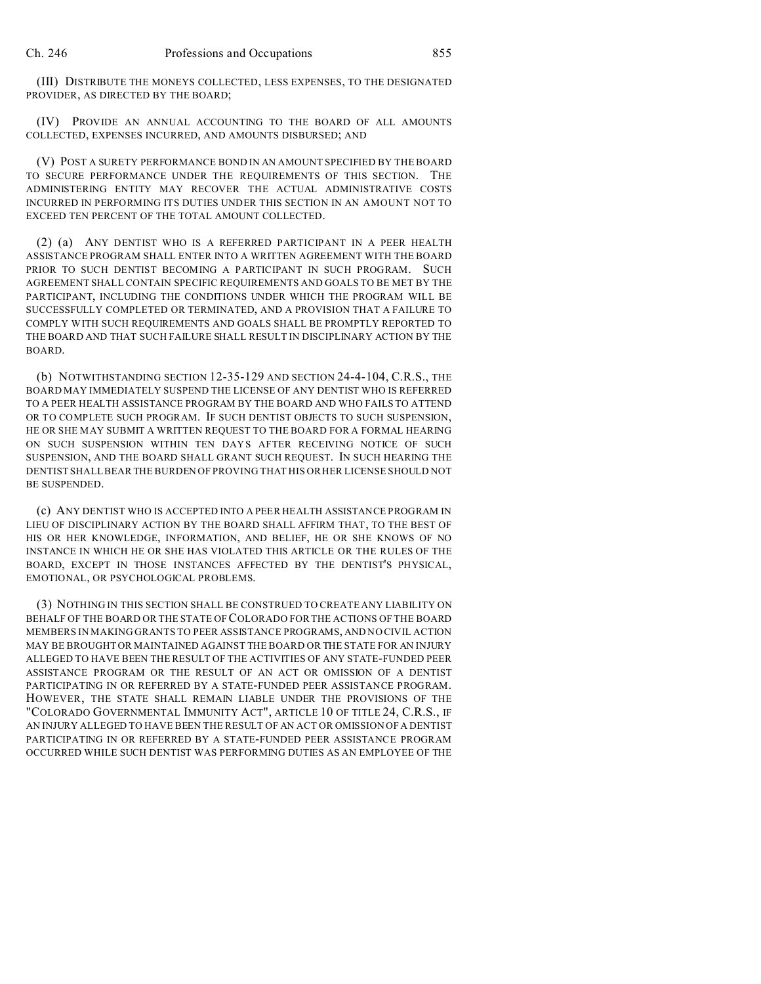(III) DISTRIBUTE THE MONEYS COLLECTED, LESS EXPENSES, TO THE DESIGNATED PROVIDER, AS DIRECTED BY THE BOARD;

(IV) PROVIDE AN ANNUAL ACCOUNTING TO THE BOARD OF ALL AMOUNTS COLLECTED, EXPENSES INCURRED, AND AMOUNTS DISBURSED; AND

(V) POST A SURETY PERFORMANCE BOND IN AN AMOUNT SPECIFIED BY THE BOARD TO SECURE PERFORMANCE UNDER THE REQUIREMENTS OF THIS SECTION. THE ADMINISTERING ENTITY MAY RECOVER THE ACTUAL ADMINISTRATIVE COSTS INCURRED IN PERFORMING ITS DUTIES UNDER THIS SECTION IN AN AMOUNT NOT TO EXCEED TEN PERCENT OF THE TOTAL AMOUNT COLLECTED.

(2) (a) ANY DENTIST WHO IS A REFERRED PARTICIPANT IN A PEER HEALTH ASSISTANCE PROGRAM SHALL ENTER INTO A WRITTEN AGREEMENT WITH THE BOARD PRIOR TO SUCH DENTIST BECOMING A PARTICIPANT IN SUCH PROGRAM. SUCH AGREEMENT SHALL CONTAIN SPECIFIC REQUIREMENTS AND GOALS TO BE MET BY THE PARTICIPANT, INCLUDING THE CONDITIONS UNDER WHICH THE PROGRAM WILL BE SUCCESSFULLY COMPLETED OR TERMINATED, AND A PROVISION THAT A FAILURE TO COMPLY WITH SUCH REQUIREMENTS AND GOALS SHALL BE PROMPTLY REPORTED TO THE BOARD AND THAT SUCH FAILURE SHALL RESULT IN DISCIPLINARY ACTION BY THE BOARD.

(b) NOTWITHSTANDING SECTION 12-35-129 AND SECTION 24-4-104, C.R.S., THE BOARD MAY IMMEDIATELY SUSPEND THE LICENSE OF ANY DENTIST WHO IS REFERRED TO A PEER HEALTH ASSISTANCE PROGRAM BY THE BOARD AND WHO FAILS TO ATTEND OR TO COMPLETE SUCH PROGRAM. IF SUCH DENTIST OBJECTS TO SUCH SUSPENSION, HE OR SHE MAY SUBMIT A WRITTEN REQUEST TO THE BOARD FOR A FORMAL HEARING ON SUCH SUSPENSION WITHIN TEN DAYS AFTER RECEIVING NOTICE OF SUCH SUSPENSION, AND THE BOARD SHALL GRANT SUCH REQUEST. IN SUCH HEARING THE DENTIST SHALL BEAR THE BURDEN OF PROVING THAT HIS OR HER LICENSE SHOULD NOT BE SUSPENDED.

(c) ANY DENTIST WHO IS ACCEPTED INTO A PEER HEALTH ASSISTANCE PROGRAM IN LIEU OF DISCIPLINARY ACTION BY THE BOARD SHALL AFFIRM THAT, TO THE BEST OF HIS OR HER KNOWLEDGE, INFORMATION, AND BELIEF, HE OR SHE KNOWS OF NO INSTANCE IN WHICH HE OR SHE HAS VIOLATED THIS ARTICLE OR THE RULES OF THE BOARD, EXCEPT IN THOSE INSTANCES AFFECTED BY THE DENTIST'S PHYSICAL, EMOTIONAL, OR PSYCHOLOGICAL PROBLEMS.

(3) NOTHING IN THIS SECTION SHALL BE CONSTRUED TO CREATE ANY LIABILITY ON BEHALF OF THE BOARD OR THE STATE OF COLORADO FOR THE ACTIONS OF THE BOARD MEMBERS IN MAKING GRANTS TO PEER ASSISTANCE PROGRAMS, AND NO CIVIL ACTION MAY BE BROUGHT OR MAINTAINED AGAINST THE BOARD OR THE STATE FOR AN INJURY ALLEGED TO HAVE BEEN THE RESULT OF THE ACTIVITIES OF ANY STATE-FUNDED PEER ASSISTANCE PROGRAM OR THE RESULT OF AN ACT OR OMISSION OF A DENTIST PARTICIPATING IN OR REFERRED BY A STATE-FUNDED PEER ASSISTANCE PROGRAM. HOWEVER, THE STATE SHALL REMAIN LIABLE UNDER THE PROVISIONS OF THE "COLORADO GOVERNMENTAL IMMUNITY ACT", ARTICLE 10 OF TITLE 24, C.R.S., IF AN INJURY ALLEGED TO HAVE BEEN THE RESULT OF AN ACT OR OMISSION OF A DENTIST PARTICIPATING IN OR REFERRED BY A STATE-FUNDED PEER ASSISTANCE PROGRAM OCCURRED WHILE SUCH DENTIST WAS PERFORMING DUTIES AS AN EMPLOYEE OF THE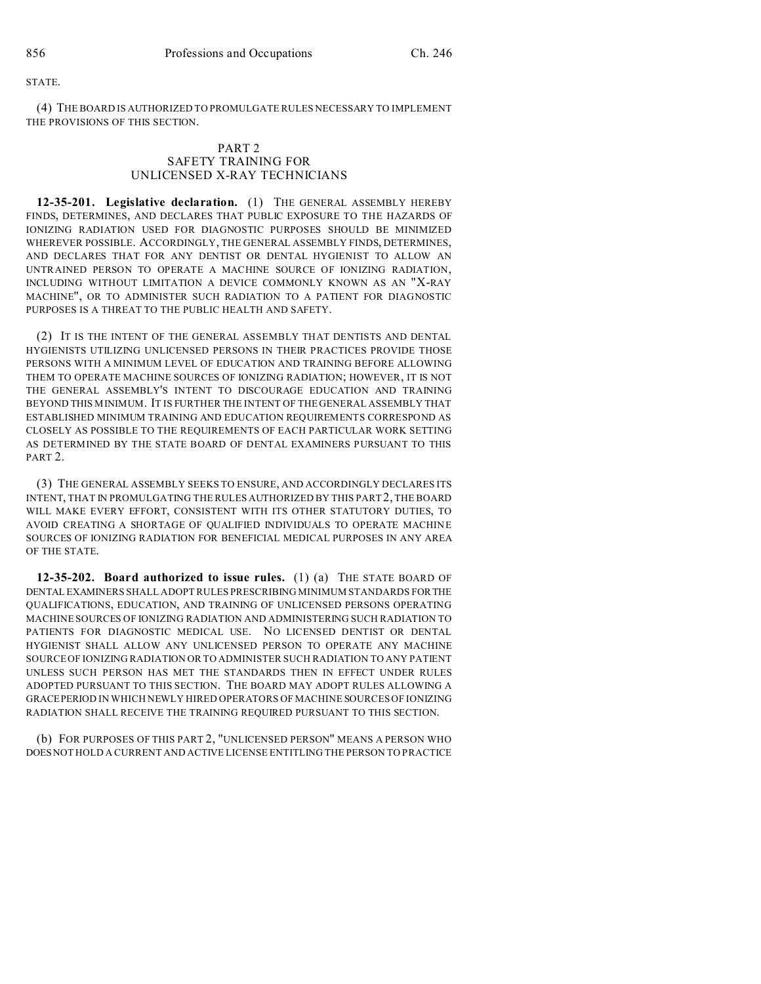#### STATE.

(4) THE BOARD IS AUTHORIZED TO PROMULGATE RULES NECESSARY TO IMPLEMENT THE PROVISIONS OF THIS SECTION.

### PART 2 SAFETY TRAINING FOR UNLICENSED X-RAY TECHNICIANS

**12-35-201. Legislative declaration.** (1) THE GENERAL ASSEMBLY HEREBY FINDS, DETERMINES, AND DECLARES THAT PUBLIC EXPOSURE TO THE HAZARDS OF IONIZING RADIATION USED FOR DIAGNOSTIC PURPOSES SHOULD BE MINIMIZED WHEREVER POSSIBLE. ACCORDINGLY, THE GENERAL ASSEMBLY FINDS, DETERMINES, AND DECLARES THAT FOR ANY DENTIST OR DENTAL HYGIENIST TO ALLOW AN UNTRAINED PERSON TO OPERATE A MACHINE SOURCE OF IONIZING RADIATION, INCLUDING WITHOUT LIMITATION A DEVICE COMMONLY KNOWN AS AN "X-RAY MACHINE", OR TO ADMINISTER SUCH RADIATION TO A PATIENT FOR DIAGNOSTIC PURPOSES IS A THREAT TO THE PUBLIC HEALTH AND SAFETY.

(2) IT IS THE INTENT OF THE GENERAL ASSEMBLY THAT DENTISTS AND DENTAL HYGIENISTS UTILIZING UNLICENSED PERSONS IN THEIR PRACTICES PROVIDE THOSE PERSONS WITH A MINIMUM LEVEL OF EDUCATION AND TRAINING BEFORE ALLOWING THEM TO OPERATE MACHINE SOURCES OF IONIZING RADIATION; HOWEVER, IT IS NOT THE GENERAL ASSEMBLY'S INTENT TO DISCOURAGE EDUCATION AND TRAINING BEYOND THIS MINIMUM. IT IS FURTHER THE INTENT OF THE GENERAL ASSEMBLY THAT ESTABLISHED MINIMUM TRAINING AND EDUCATION REQUIREMENTS CORRESPOND AS CLOSELY AS POSSIBLE TO THE REQUIREMENTS OF EACH PARTICULAR WORK SETTING AS DETERMINED BY THE STATE BOARD OF DENTAL EXAMINERS PURSUANT TO THIS PART 2.

(3) THE GENERAL ASSEMBLY SEEKS TO ENSURE, AND ACCORDINGLY DECLARES ITS INTENT, THAT IN PROMULGATING THE RULES AUTHORIZED BY THIS PART 2, THE BOARD WILL MAKE EVERY EFFORT, CONSISTENT WITH ITS OTHER STATUTORY DUTIES, TO AVOID CREATING A SHORTAGE OF QUALIFIED INDIVIDUALS TO OPERATE MACHINE SOURCES OF IONIZING RADIATION FOR BENEFICIAL MEDICAL PURPOSES IN ANY AREA OF THE STATE.

**12-35-202. Board authorized to issue rules.** (1) (a) THE STATE BOARD OF DENTAL EXAMINERS SHALL ADOPT RULES PRESCRIBING MINIMUM STANDARDS FORTHE QUALIFICATIONS, EDUCATION, AND TRAINING OF UNLICENSED PERSONS OPERATING MACHINE SOURCES OF IONIZING RADIATION AND ADMINISTERING SUCH RADIATION TO PATIENTS FOR DIAGNOSTIC MEDICAL USE. NO LICENSED DENTIST OR DENTAL HYGIENIST SHALL ALLOW ANY UNLICENSED PERSON TO OPERATE ANY MACHINE SOURCE OF IONIZING RADIATION OR TO ADMINISTER SUCH RADIATION TO ANY PATIENT UNLESS SUCH PERSON HAS MET THE STANDARDS THEN IN EFFECT UNDER RULES ADOPTED PURSUANT TO THIS SECTION. THE BOARD MAY ADOPT RULES ALLOWING A GRACEPERIOD IN WHICH NEWLY HIRED OPERATORS OF MACHINE SOURCES OF IONIZING RADIATION SHALL RECEIVE THE TRAINING REQUIRED PURSUANT TO THIS SECTION.

(b) FOR PURPOSES OF THIS PART 2, "UNLICENSED PERSON" MEANS A PERSON WHO DOES NOT HOLD A CURRENT AND ACTIVE LICENSE ENTITLING THE PERSON TO PRACTICE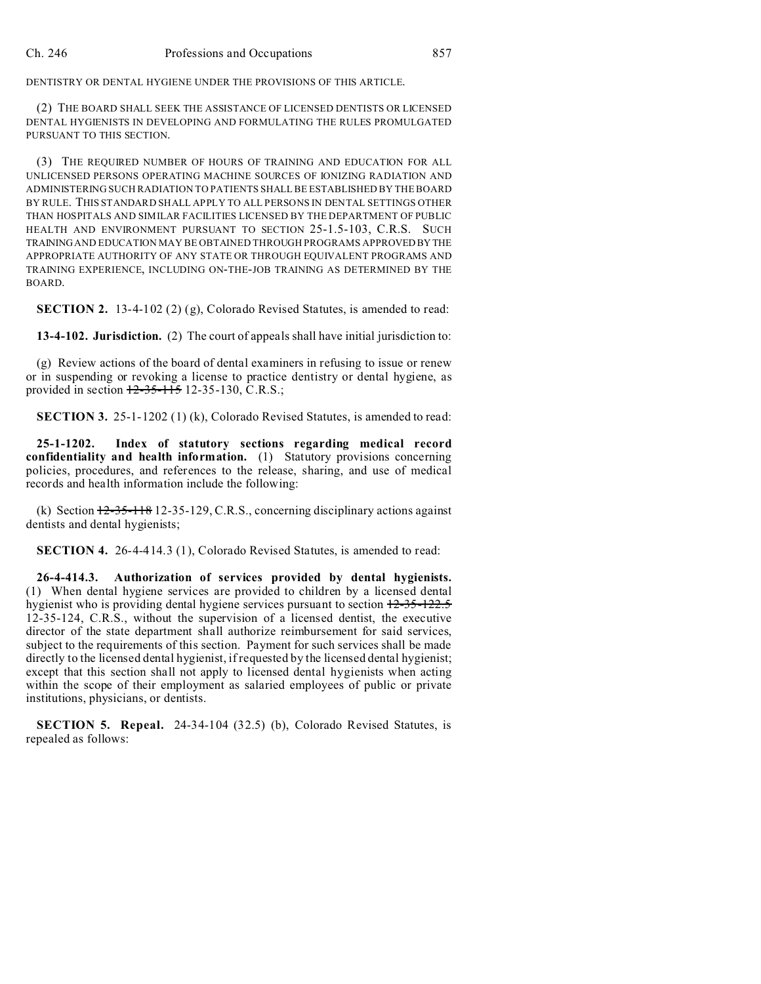DENTISTRY OR DENTAL HYGIENE UNDER THE PROVISIONS OF THIS ARTICLE.

(2) THE BOARD SHALL SEEK THE ASSISTANCE OF LICENSED DENTISTS OR LICENSED DENTAL HYGIENISTS IN DEVELOPING AND FORMULATING THE RULES PROMULGATED PURSUANT TO THIS SECTION.

(3) THE REQUIRED NUMBER OF HOURS OF TRAINING AND EDUCATION FOR ALL UNLICENSED PERSONS OPERATING MACHINE SOURCES OF IONIZING RADIATION AND ADMINISTERING SUCH RADIATION TO PATIENTS SHALL BE ESTABLISHED BY THE BOARD BY RULE. THIS STANDARD SHALL APPLY TO ALL PERSONS IN DENTAL SETTINGS OTHER THAN HOSPITALS AND SIMILAR FACILITIES LICENSED BY THE DEPARTMENT OF PUBLIC HEALTH AND ENVIRONMENT PURSUANT TO SECTION 25-1.5-103, C.R.S. SUCH TRAINING AND EDUCATION MAY BE OBTAINED THROUGH PROGRAMS APPROVED BY THE APPROPRIATE AUTHORITY OF ANY STATE OR THROUGH EQUIVALENT PROGRAMS AND TRAINING EXPERIENCE, INCLUDING ON-THE-JOB TRAINING AS DETERMINED BY THE BOARD.

**SECTION 2.** 13-4-102 (2) (g), Colorado Revised Statutes, is amended to read:

**13-4-102. Jurisdiction.** (2) The court of appeals shall have initial jurisdiction to:

(g) Review actions of the board of dental examiners in refusing to issue or renew or in suspending or revoking a license to practice dentistry or dental hygiene, as provided in section  $12-35-115$  12-35-130, C.R.S.;

**SECTION 3.** 25-1-1202 (1) (k), Colorado Revised Statutes, is amended to read:

**25-1-1202. Index of statutory sections regarding medical record confidentiality and health information.** (1) Statutory provisions concerning policies, procedures, and references to the release, sharing, and use of medical records and health information include the following:

(k) Section  $12-35-118$  12-35-129, C.R.S., concerning disciplinary actions against dentists and dental hygienists;

**SECTION 4.** 26-4-414.3 (1), Colorado Revised Statutes, is amended to read:

**26-4-414.3. Authorization of services provided by dental hygienists.** (1) When dental hygiene services are provided to children by a licensed dental hygienist who is providing dental hygiene services pursuant to section 12-35-122.5 12-35-124, C.R.S., without the supervision of a licensed dentist, the executive director of the state department shall authorize reimbursement for said services, subject to the requirements of this section. Payment for such services shall be made directly to the licensed dental hygienist, if requested by the licensed dental hygienist; except that this section shall not apply to licensed dental hygienists when acting within the scope of their employment as salaried employees of public or private institutions, physicians, or dentists.

**SECTION 5. Repeal.** 24-34-104 (32.5) (b), Colorado Revised Statutes, is repealed as follows: